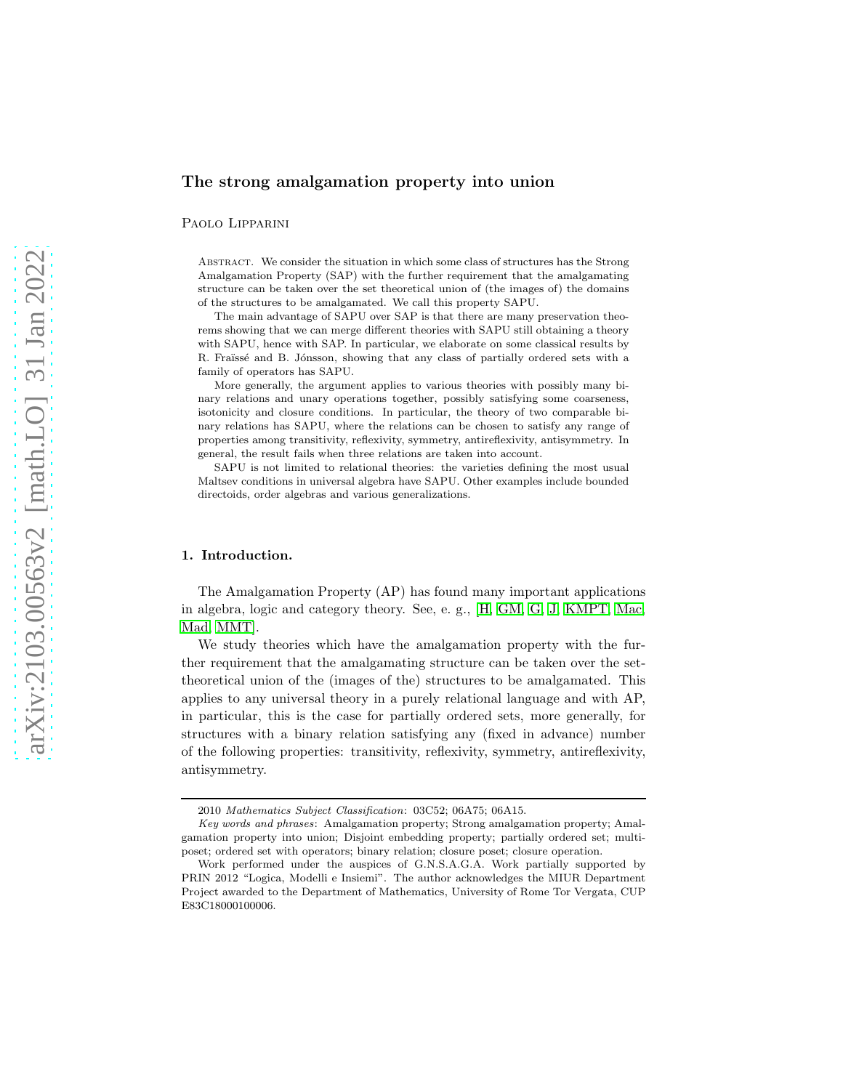# The strong amalgamation property into union

Paolo Lipparini

Abstract. We consider the situation in which some class of structures has the Strong Amalgamation Property (SAP) with the further requirement that the amalgamating structure can be taken over the set theoretical union of (the images of) the domains of the structures to be amalgamated. We call this property SAPU.

The main advantage of SAPU over SAP is that there are many preservation theorems showing that we can merge different theories with SAPU still obtaining a theory with SAPU, hence with SAP. In particular, we elaborate on some classical results by R. Fraïssé and B. Jónsson, showing that any class of partially ordered sets with a family of operators has SAPU.

More generally, the argument applies to various theories with possibly many binary relations and unary operations together, possibly satisfying some coarseness, isotonicity and closure conditions. In particular, the theory of two comparable binary relations has SAPU, where the relations can be chosen to satisfy any range of properties among transitivity, reflexivity, symmetry, antireflexivity, antisymmetry. In general, the result fails when three relations are taken into account.

SAPU is not limited to relational theories: the varieties defining the most usual Maltsev conditions in universal algebra have SAPU. Other examples include bounded directoids, order algebras and various generalizations.

# 1. Introduction.

The Amalgamation Property (AP) has found many important applications in algebra, logic and category theory. See, e. g., [\[H,](#page-36-0) [GM,](#page-36-1) [G,](#page-36-2) [J,](#page-36-3) [KMPT,](#page-36-4) [Mac,](#page-37-0) [Mad,](#page-37-1) [MMT\]](#page-37-2).

We study theories which have the amalgamation property with the further requirement that the amalgamating structure can be taken over the settheoretical union of the (images of the) structures to be amalgamated. This applies to any universal theory in a purely relational language and with AP, in particular, this is the case for partially ordered sets, more generally, for structures with a binary relation satisfying any (fixed in advance) number of the following properties: transitivity, reflexivity, symmetry, antireflexivity, antisymmetry.

<sup>2010</sup> *Mathematics Subject Classification*: 03C52; 06A75; 06A15.

*Key words and phrases*: Amalgamation property; Strong amalgamation property; Amalgamation property into union; Disjoint embedding property; partially ordered set; multiposet; ordered set with operators; binary relation; closure poset; closure operation.

Work performed under the auspices of G.N.S.A.G.A. Work partially supported by PRIN 2012 "Logica, Modelli e Insiemi". The author acknowledges the MIUR Department Project awarded to the Department of Mathematics, University of Rome Tor Vergata, CUP E83C18000100006.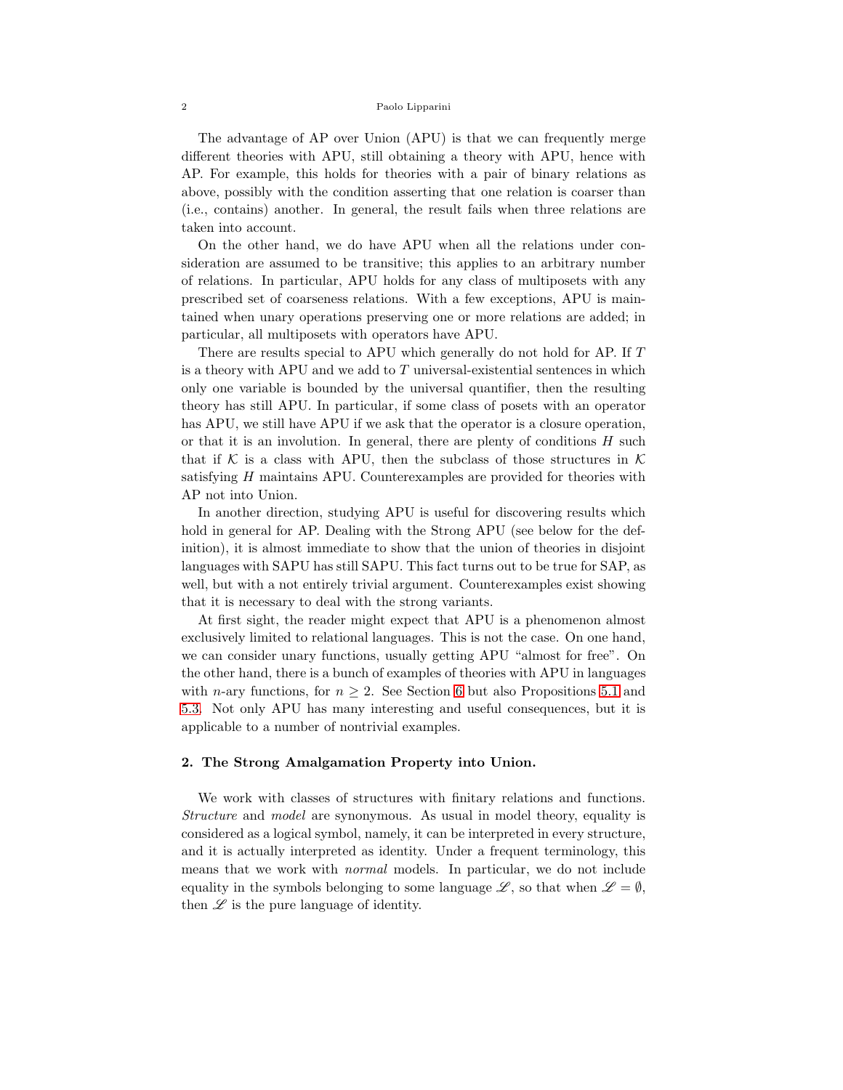The advantage of AP over Union (APU) is that we can frequently merge different theories with APU, still obtaining a theory with APU, hence with AP. For example, this holds for theories with a pair of binary relations as above, possibly with the condition asserting that one relation is coarser than (i.e., contains) another. In general, the result fails when three relations are taken into account.

On the other hand, we do have APU when all the relations under consideration are assumed to be transitive; this applies to an arbitrary number of relations. In particular, APU holds for any class of multiposets with any prescribed set of coarseness relations. With a few exceptions, APU is maintained when unary operations preserving one or more relations are added; in particular, all multiposets with operators have APU.

There are results special to APU which generally do not hold for AP. If T is a theory with APU and we add to  $T$  universal-existential sentences in which only one variable is bounded by the universal quantifier, then the resulting theory has still APU. In particular, if some class of posets with an operator has APU, we still have APU if we ask that the operator is a closure operation, or that it is an involution. In general, there are plenty of conditions  $H$  such that if K is a class with APU, then the subclass of those structures in K satisfying H maintains APU. Counterexamples are provided for theories with AP not into Union.

In another direction, studying APU is useful for discovering results which hold in general for AP. Dealing with the Strong APU (see below for the definition), it is almost immediate to show that the union of theories in disjoint languages with SAPU has still SAPU. This fact turns out to be true for SAP, as well, but with a not entirely trivial argument. Counterexamples exist showing that it is necessary to deal with the strong variants.

At first sight, the reader might expect that APU is a phenomenon almost exclusively limited to relational languages. This is not the case. On one hand, we can consider unary functions, usually getting APU "almost for free". On the other hand, there is a bunch of examples of theories with APU in languages with *n*-ary functions, for  $n \geq 2$ . See Section [6](#page-21-0) but also Propositions [5.1](#page-13-0) and [5.3.](#page-15-0) Not only APU has many interesting and useful consequences, but it is applicable to a number of nontrivial examples.

# <span id="page-1-0"></span>2. The Strong Amalgamation Property into Union.

We work with classes of structures with finitary relations and functions. *Structure* and *model* are synonymous. As usual in model theory, equality is considered as a logical symbol, namely, it can be interpreted in every structure, and it is actually interpreted as identity. Under a frequent terminology, this means that we work with *normal* models. In particular, we do not include equality in the symbols belonging to some language  $\mathscr{L}$ , so that when  $\mathscr{L} = \emptyset$ , then  $\mathscr L$  is the pure language of identity.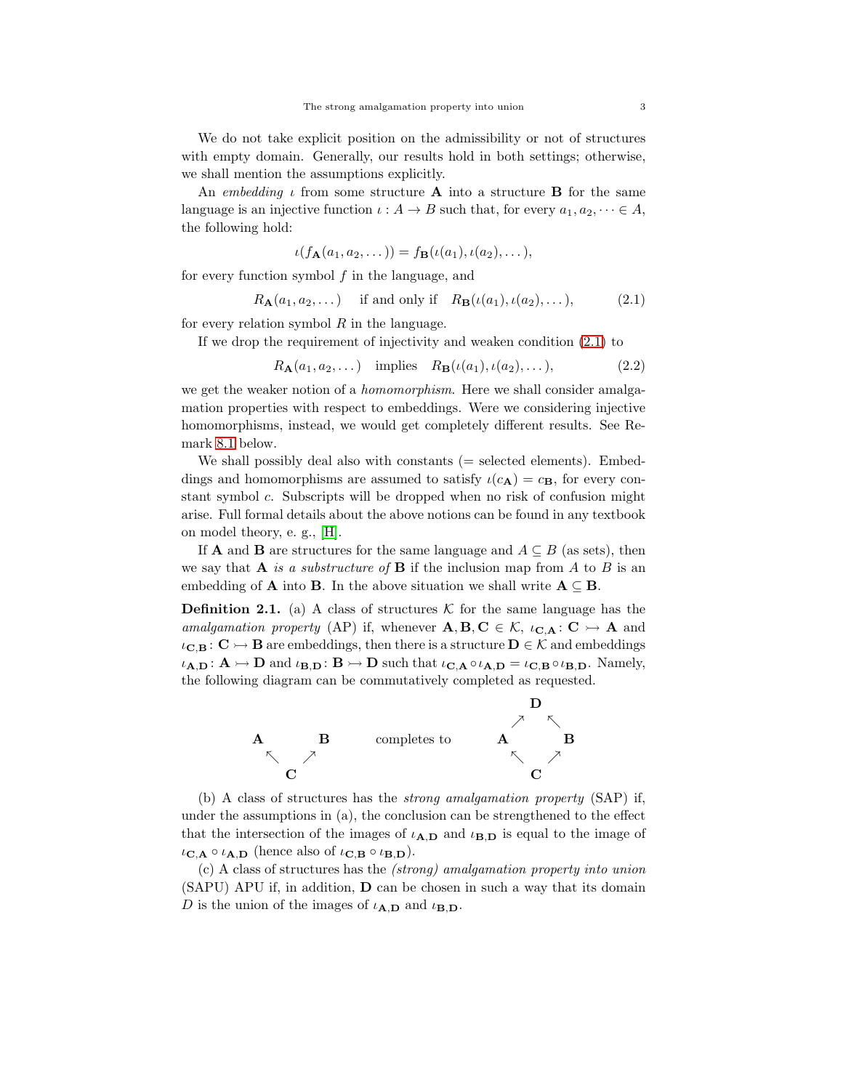We do not take explicit position on the admissibility or not of structures with empty domain. Generally, our results hold in both settings; otherwise, we shall mention the assumptions explicitly.

An *embedding*  $\iota$  from some structure **A** into a structure **B** for the same language is an injective function  $\iota : A \to B$  such that, for every  $a_1, a_2, \dots \in A$ , the following hold:

$$
\iota(f_{\mathbf{A}}(a_1,a_2,\dots))=f_{\mathbf{B}}(\iota(a_1),\iota(a_2),\dots),
$$

for every function symbol  $f$  in the language, and

<span id="page-2-0"></span>
$$
R_{\mathbf{A}}(a_1, a_2, \dots) \quad \text{if and only if} \quad R_{\mathbf{B}}(\iota(a_1), \iota(a_2), \dots), \tag{2.1}
$$

for every relation symbol  $R$  in the language.

If we drop the requirement of injectivity and weaken condition [\(2.1\)](#page-2-0) to

<span id="page-2-2"></span>
$$
R_{\mathbf{A}}(a_1, a_2, \dots) \quad \text{implies} \quad R_{\mathbf{B}}(\iota(a_1), \iota(a_2), \dots), \tag{2.2}
$$

we get the weaker notion of a *homomorphism*. Here we shall consider amalgamation properties with respect to embeddings. Were we considering injective homomorphisms, instead, we would get completely different results. See Remark [8.1](#page-29-0) below.

We shall possibly deal also with constants  $(=$  selected elements). Embeddings and homomorphisms are assumed to satisfy  $\iota(c_{\mathbf{A}}) = c_{\mathbf{B}}$ , for every constant symbol c. Subscripts will be dropped when no risk of confusion might arise. Full formal details about the above notions can be found in any textbook on model theory, e. g., [\[H\]](#page-36-0).

If **A** and **B** are structures for the same language and  $A \subseteq B$  (as sets), then we say that A *is a substructure of* B if the inclusion map from A to B is an embedding of **A** into **B**. In the above situation we shall write  $A \subseteq B$ .

<span id="page-2-1"></span>**Definition 2.1.** (a) A class of structures K for the same language has the *amalgamation property* (AP) if, whenever  $\mathbf{A}, \mathbf{B}, \mathbf{C} \in \mathcal{K}$ ,  $\iota_{\mathbf{C},\mathbf{A}} : \mathbf{C} \rightarrow \mathbf{A}$  and  $\iota_{\mathbf{C},\mathbf{B}}:\mathbf{C}\rightarrow\mathbf{B}$  are embeddings, then there is a structure  $\mathbf{D}\in\mathcal{K}$  and embeddings  $\iota_{A,D} : A \rightarrowtail D$  and  $\iota_{B,D} : B \rightarrowtail D$  such that  $\iota_{C,A} \circ \iota_{A,D} = \iota_{C,B} \circ \iota_{B,D}$ . Namely, the following diagram can be commutatively completed as requested.



(b) A class of structures has the *strong amalgamation property* (SAP) if, under the assumptions in (a), the conclusion can be strengthened to the effect that the intersection of the images of  $\iota_{A,D}$  and  $\iota_{B,D}$  is equal to the image of  $\iota_{\mathbf{C},\mathbf{A}} \circ \iota_{\mathbf{A},\mathbf{D}}$  (hence also of  $\iota_{\mathbf{C},\mathbf{B}} \circ \iota_{\mathbf{B},\mathbf{D}}$ ).

(c) A class of structures has the *(strong) amalgamation property into union* (SAPU) APU if, in addition, D can be chosen in such a way that its domain D is the union of the images of  $\iota_{A,D}$  and  $\iota_{B,D}$ .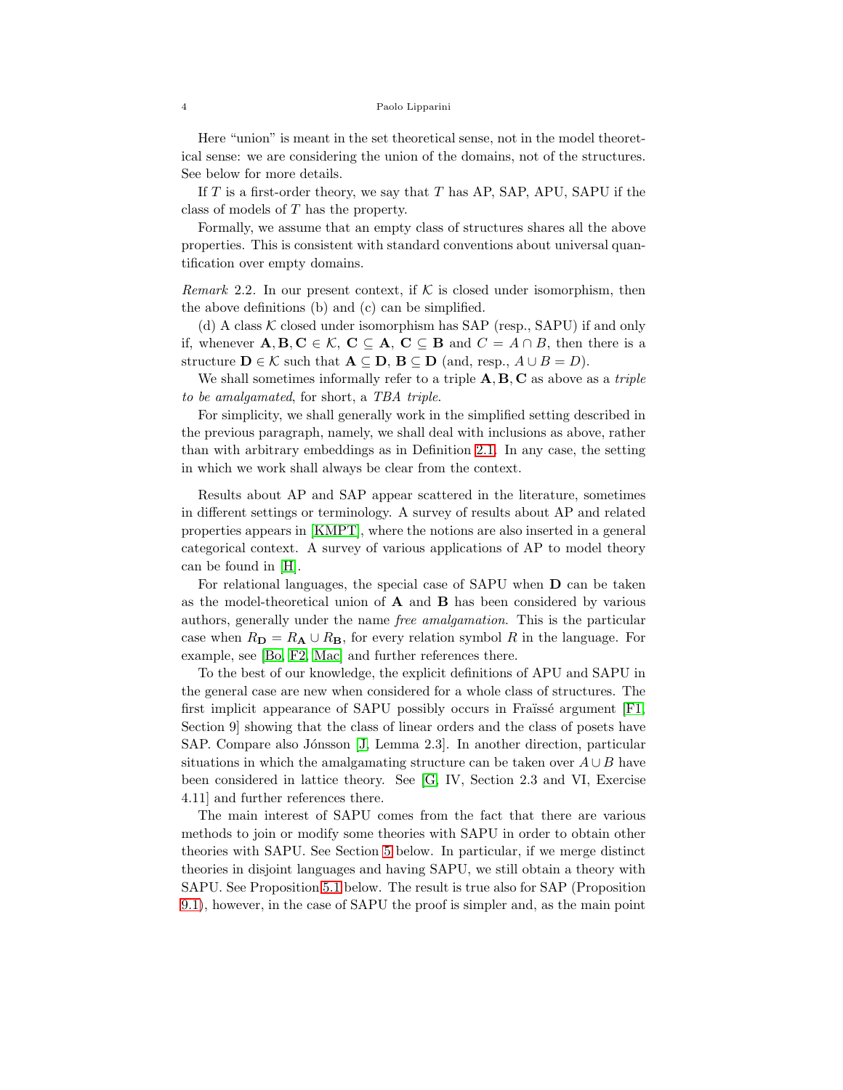Here "union" is meant in the set theoretical sense, not in the model theoretical sense: we are considering the union of the domains, not of the structures. See below for more details.

If  $T$  is a first-order theory, we say that  $T$  has AP, SAP, APU, SAPU if the class of models of T has the property.

Formally, we assume that an empty class of structures shares all the above properties. This is consistent with standard conventions about universal quantification over empty domains.

<span id="page-3-0"></span>*Remark* 2.2. In our present context, if  $K$  is closed under isomorphism, then the above definitions (b) and (c) can be simplified.

(d) A class  $K$  closed under isomorphism has SAP (resp., SAPU) if and only if, whenever  $\mathbf{A}, \mathbf{B}, \mathbf{C} \in \mathcal{K}, \mathbf{C} \subseteq \mathbf{A}, \mathbf{C} \subseteq \mathbf{B}$  and  $C = A \cap B$ , then there is a structure  $\mathbf{D} \in \mathcal{K}$  such that  $\mathbf{A} \subseteq \mathbf{D}$ ,  $\mathbf{B} \subseteq \mathbf{D}$  (and, resp.,  $A \cup B = D$ ).

We shall sometimes informally refer to a triple A, B, C as above as a *triple to be amalgamated*, for short, a *TBA triple*.

For simplicity, we shall generally work in the simplified setting described in the previous paragraph, namely, we shall deal with inclusions as above, rather than with arbitrary embeddings as in Definition [2.1.](#page-2-1) In any case, the setting in which we work shall always be clear from the context.

Results about AP and SAP appear scattered in the literature, sometimes in different settings or terminology. A survey of results about AP and related properties appears in [\[KMPT\]](#page-36-4), where the notions are also inserted in a general categorical context. A survey of various applications of AP to model theory can be found in [\[H\]](#page-36-0).

For relational languages, the special case of SAPU when D can be taken as the model-theoretical union of  $A$  and  $B$  has been considered by various authors, generally under the name *free amalgamation*. This is the particular case when  $R_{\mathbf{D}} = R_{\mathbf{A}} \cup R_{\mathbf{B}}$ , for every relation symbol R in the language. For example, see [\[Bo,](#page-36-5) [F2,](#page-36-6) [Mac\]](#page-37-0) and further references there.

To the best of our knowledge, the explicit definitions of APU and SAPU in the general case are new when considered for a whole class of structures. The first implicit appearance of SAPU possibly occurs in Fraüssé argument  $[F1,$ Section 9] showing that the class of linear orders and the class of posets have SAP. Compare also Jónsson [\[J,](#page-36-3) Lemma 2.3]. In another direction, particular situations in which the amalgamating structure can be taken over  $A \cup B$  have been considered in lattice theory. See [\[G,](#page-36-2) IV, Section 2.3 and VI, Exercise 4.11] and further references there.

The main interest of SAPU comes from the fact that there are various methods to join or modify some theories with SAPU in order to obtain other theories with SAPU. See Section [5](#page-13-1) below. In particular, if we merge distinct theories in disjoint languages and having SAPU, we still obtain a theory with SAPU. See Proposition [5.1](#page-13-0) below. The result is true also for SAP (Proposition [9.1\)](#page-35-0), however, in the case of SAPU the proof is simpler and, as the main point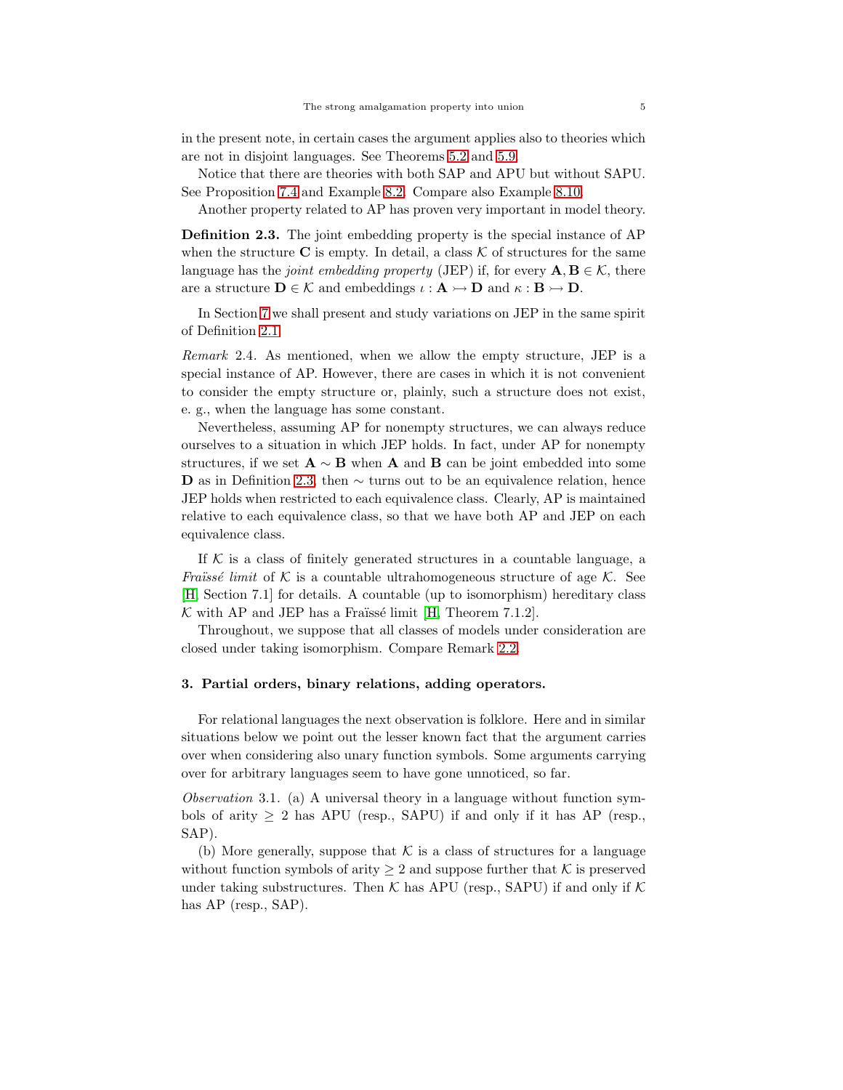in the present note, in certain cases the argument applies also to theories which are not in disjoint languages. See Theorems 5.2 and [5.9.](#page-18-0)

Notice that there are theories with both SAP and APU but without SAPU. See Proposition [7.4](#page-26-0) and Example [8.2.](#page-30-0) Compare also Example [8.10.](#page-32-0)

Another property related to AP has proven very important in model theory.

<span id="page-4-0"></span>Definition 2.3. The joint embedding property is the special instance of AP when the structure  $\bf{C}$  is empty. In detail, a class  $\cal{K}$  of structures for the same language has the *joint embedding property* (JEP) if, for every  $\mathbf{A}, \mathbf{B} \in \mathcal{K}$ , there are a structure  $\mathbf{D} \in \mathcal{K}$  and embeddings  $\iota : \mathbf{A} \rightarrowtail \mathbf{D}$  and  $\kappa : \mathbf{B} \rightarrowtail \mathbf{D}$ .

In Section [7](#page-25-0) we shall present and study variations on JEP in the same spirit of Definition [2.1.](#page-2-1)

<span id="page-4-2"></span>*Remark* 2.4*.* As mentioned, when we allow the empty structure, JEP is a special instance of AP. However, there are cases in which it is not convenient to consider the empty structure or, plainly, such a structure does not exist, e. g., when the language has some constant.

Nevertheless, assuming AP for nonempty structures, we can always reduce ourselves to a situation in which JEP holds. In fact, under AP for nonempty structures, if we set  $\mathbf{A} \sim \mathbf{B}$  when  $\mathbf{A}$  and  $\mathbf{B}$  can be joint embedded into some D as in Definition [2.3,](#page-4-0) then  $\sim$  turns out to be an equivalence relation, hence JEP holds when restricted to each equivalence class. Clearly, AP is maintained relative to each equivalence class, so that we have both AP and JEP on each equivalence class.

If  $K$  is a class of finitely generated structures in a countable language, a *Fraïssé limit* of K is a countable ultrahomogeneous structure of age K. See [\[H,](#page-36-0) Section 7.1] for details. A countable (up to isomorphism) hereditary class  $K$  with AP and JEP has a Fraïssé limit [\[H,](#page-36-0) Theorem 7.1.2].

Throughout, we suppose that all classes of models under consideration are closed under taking isomorphism. Compare Remark [2.2.](#page-3-0)

### 3. Partial orders, binary relations, adding operators.

For relational languages the next observation is folklore. Here and in similar situations below we point out the lesser known fact that the argument carries over when considering also unary function symbols. Some arguments carrying over for arbitrary languages seem to have gone unnoticed, so far.

<span id="page-4-1"></span>*Observation* 3.1*.* (a) A universal theory in a language without function symbols of arity  $\geq 2$  has APU (resp., SAPU) if and only if it has AP (resp., SAP).

(b) More generally, suppose that  $K$  is a class of structures for a language without function symbols of arity  $\geq 2$  and suppose further that K is preserved under taking substructures. Then  $K$  has APU (resp., SAPU) if and only if  $K$ has AP (resp., SAP).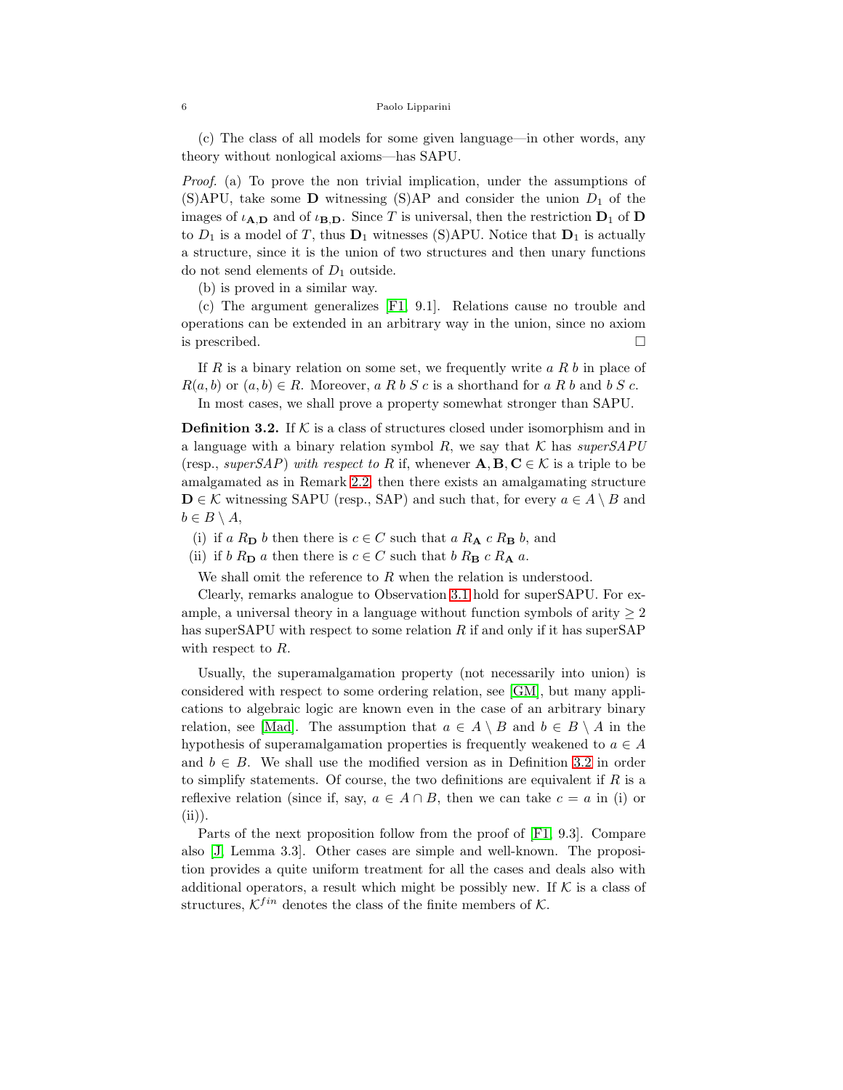(c) The class of all models for some given language—in other words, any theory without nonlogical axioms—has SAPU.

*Proof.* (a) To prove the non trivial implication, under the assumptions of (S)APU, take some **D** witnessing (S)AP and consider the union  $D_1$  of the images of  $\iota_{A,D}$  and of  $\iota_{B,D}$ . Since T is universal, then the restriction  $D_1$  of D to  $D_1$  is a model of T, thus  $D_1$  witnesses (S)APU. Notice that  $D_1$  is actually a structure, since it is the union of two structures and then unary functions do not send elements of  $D_1$  outside.

(b) is proved in a similar way.

(c) The argument generalizes [\[F1,](#page-36-7) 9.1]. Relations cause no trouble and operations can be extended in an arbitrary way in the union, since no axiom is prescribed.

If  $R$  is a binary relation on some set, we frequently write  $a R b$  in place of  $R(a, b)$  or  $(a, b) \in R$ . Moreover, a R b S c is a shorthand for a R b and b S c.

In most cases, we shall prove a property somewhat stronger than SAPU.

<span id="page-5-0"></span>**Definition 3.2.** If  $K$  is a class of structures closed under isomorphism and in a language with a binary relation symbol  $R$ , we say that  $K$  has *superSAPU* (resp., *superSAP*) *with respect to* R if, whenever  $\mathbf{A}, \mathbf{B}, \mathbf{C} \in \mathcal{K}$  is a triple to be amalgamated as in Remark [2.2,](#page-3-0) then there exists an amalgamating structure  $\mathbf{D} \in \mathcal{K}$  witnessing SAPU (resp., SAP) and such that, for every  $a \in A \setminus B$  and  $b \in B \setminus A$ ,

- (i) if a  $R_{\mathbf{D}}$  b then there is  $c \in C$  such that a  $R_{\mathbf{A}} c R_{\mathbf{B}} b$ , and
- (ii) if b  $R_{\text{D}}$  a then there is  $c \in C$  such that b  $R_{\text{B}} c R_{\text{A}} a$ .

We shall omit the reference to  $R$  when the relation is understood.

Clearly, remarks analogue to Observation [3.1](#page-4-1) hold for superSAPU. For example, a universal theory in a language without function symbols of arity  $\geq 2$ has superSAPU with respect to some relation R if and only if it has superSAP with respect to R.

Usually, the superamalgamation property (not necessarily into union) is considered with respect to some ordering relation, see [\[GM\]](#page-36-1), but many applications to algebraic logic are known even in the case of an arbitrary binary relation, see [\[Mad\]](#page-37-1). The assumption that  $a \in A \setminus B$  and  $b \in B \setminus A$  in the hypothesis of superamalgamation properties is frequently weakened to  $a \in A$ and  $b \in B$ . We shall use the modified version as in Definition [3.2](#page-5-0) in order to simplify statements. Of course, the two definitions are equivalent if  $R$  is a reflexive relation (since if, say,  $a \in A \cap B$ , then we can take  $c = a$  in (i) or (ii)).

Parts of the next proposition follow from the proof of [\[F1,](#page-36-7) 9.3]. Compare also [\[J,](#page-36-3) Lemma 3.3]. Other cases are simple and well-known. The proposition provides a quite uniform treatment for all the cases and deals also with additional operators, a result which might be possibly new. If  $K$  is a class of structures,  $K^{fin}$  denotes the class of the finite members of  $K$ .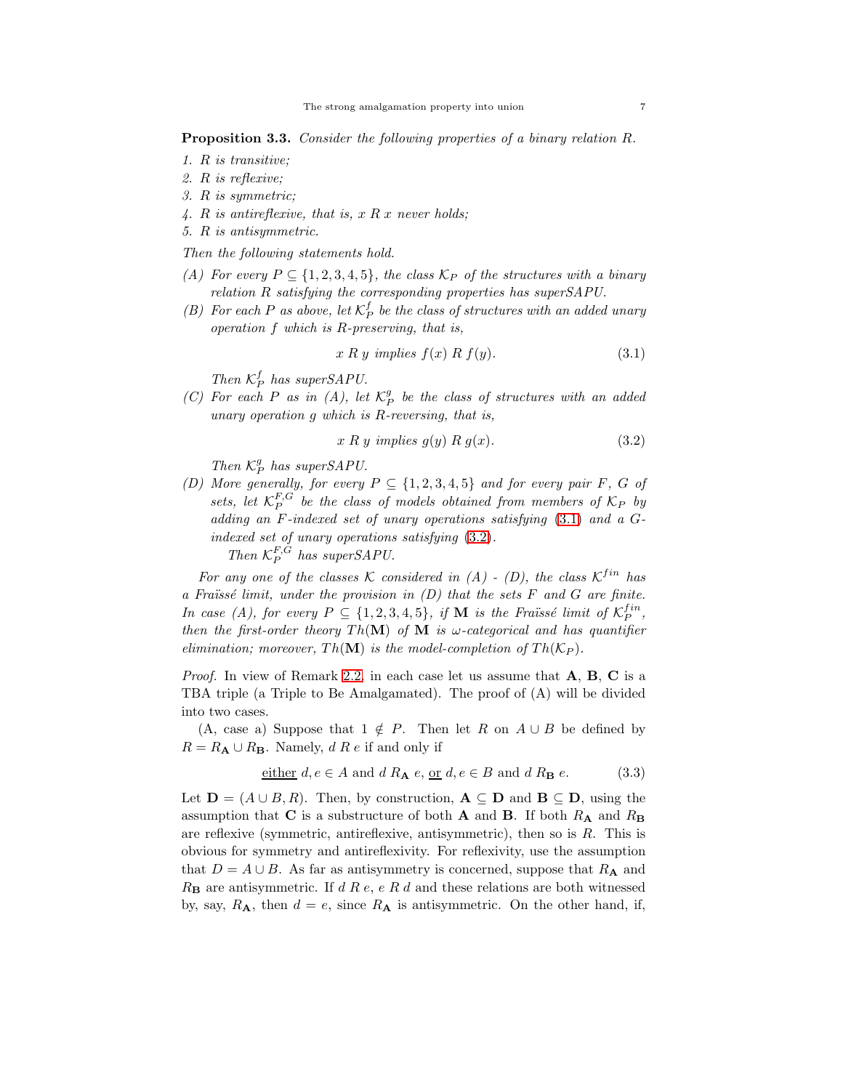<span id="page-6-3"></span>Proposition 3.3. *Consider the following properties of a binary relation* R*.*

- *1.* R *is transitive;*
- *2.* R *is reflexive;*
- *3.* R *is symmetric;*
- *4.* R *is antireflexive, that is,* x R x *never holds;*
- *5.* R *is antisymmetric.*

*Then the following statements hold.*

- *(A)* For every  $P \subseteq \{1, 2, 3, 4, 5\}$ , the class  $\mathcal{K}_P$  of the structures with a binary *relation* R *satisfying the corresponding properties has superSAPU.*
- (*B*) For each P as above, let  $K_P^f$  be the class of structures with an added unary *operation* f *which is* R*-preserving, that is,*

<span id="page-6-0"></span>
$$
x R y implies f(x) R f(y).
$$
\n(3.1)

*Then*  $K_P^f$  has superSAPU.

 $(C)$  For each P as in  $(A)$ , let  $K_P^g$  be the class of structures with an added *unary operation* g *which is* R*-reversing, that is,*

<span id="page-6-1"></span>
$$
x R y implies g(y) R g(x).
$$
\n
$$
(3.2)
$$

*Then*  $K_P^g$  has superSAPU.

*(D)* More generally, for every  $P \subseteq \{1, 2, 3, 4, 5\}$  and for every pair F, G of sets, let  $\mathcal{K}_P^{F,G}$  be the class of models obtained from members of  $\mathcal{K}_P$  by *adding an* F*-indexed set of unary operations satisfying* [\(3.1\)](#page-6-0) *and a* G*indexed set of unary operations satisfying* [\(3.2\)](#page-6-1)*. Then*  $K_P^{F,G}$  has superSAPU.

For any one of the classes K considered in  $(A)$  -  $(D)$ , the class  $K^{fin}$  has *a Fra¨ıss´e limit, under the provision in (D) that the sets* F *and* G *are finite. In case (A), for every*  $P \subseteq \{1, 2, 3, 4, 5\}$ , if **M** is the Fraüssé limit of  $\mathcal{K}_P^{fin}$ , *then the first-order theory*  $Th(\mathbf{M})$  *of*  $\mathbf{M}$  *is*  $\omega$ -categorical and has quantifier *elimination; moreover,*  $Th(\mathbf{M})$  *is the model-completion of*  $Th(\mathcal{K}_P)$ *.* 

*Proof.* In view of Remark [2.2,](#page-3-0) in each case let us assume that A, B, C is a TBA triple (a Triple to Be Amalgamated). The proof of (A) will be divided into two cases.

(A, case a) Suppose that  $1 \notin P$ . Then let R on  $A \cup B$  be defined by  $R = R_{\mathbf{A}} \cup R_{\mathbf{B}}$ . Namely, d R e if and only if

<span id="page-6-2"></span>either 
$$
d, e \in A
$$
 and  $d R_A e, \underline{\text{or}} d, e \in B$  and  $d R_B e$ . (3.3)

Let  $\mathbf{D} = (A \cup B, R)$ . Then, by construction,  $\mathbf{A} \subseteq \mathbf{D}$  and  $\mathbf{B} \subseteq \mathbf{D}$ , using the assumption that C is a substructure of both A and B. If both  $R_A$  and  $R_B$ are reflexive (symmetric, antireflexive, antisymmetric), then so is  $R$ . This is obvious for symmetry and antireflexivity. For reflexivity, use the assumption that  $D = A \cup B$ . As far as antisymmetry is concerned, suppose that  $R_A$  and  $R_{\rm B}$  are antisymmetric. If d R e, e R d and these relations are both witnessed by, say,  $R_A$ , then  $d = e$ , since  $R_A$  is antisymmetric. On the other hand, if,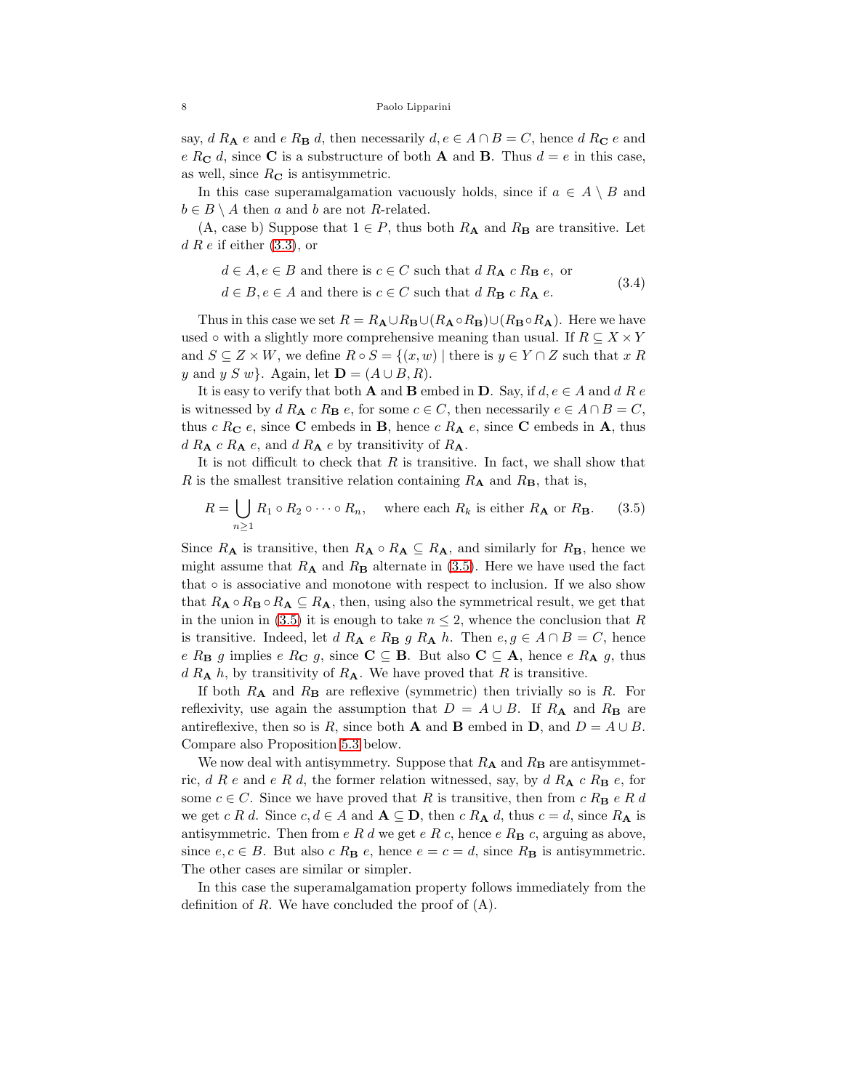say, d R<sub>A</sub> e and e R<sub>B</sub> d, then necessarily  $d, e \in A \cap B = C$ , hence d R<sub>C</sub> e and e R<sub>C</sub> d, since C is a substructure of both **A** and **B**. Thus  $d = e$  in this case, as well, since  $R_{\mathbf C}$  is antisymmetric.

In this case superamalgamation vacuously holds, since if  $a \in A \setminus B$  and  $b \in B \setminus A$  then a and b are not R-related.

 $(A, \text{ case } b)$  Suppose that  $1 \in P$ , thus both  $R_{\bf{A}}$  and  $R_{\bf{B}}$  are transitive. Let  $d R e$  if either  $(3.3)$ , or

<span id="page-7-1"></span>
$$
d \in A, e \in B
$$
 and there is  $c \in C$  such that  $d R_{\mathbf{A}} c R_{\mathbf{B}} e$ , or

(3.4)

 $d \in B, e \in A$  and there is  $c \in C$  such that  $d R_B c R_A e$ .

Thus in this case we set  $R = R_{\mathbf{A}} \cup R_{\mathbf{B}} \cup (R_{\mathbf{A}} \circ R_{\mathbf{B}}) \cup (R_{\mathbf{B}} \circ R_{\mathbf{A}})$ . Here we have used ∘ with a slightly more comprehensive meaning than usual. If  $R \subseteq X \times Y$ and  $S \subseteq Z \times W$ , we define  $R \circ S = \{(x, w) \mid \text{there is } y \in Y \cap Z \text{ such that } x R$ y and y S w}. Again, let  $\mathbf{D} = (A \cup B, R)$ .

It is easy to verify that both **A** and **B** embed in **D**. Say, if  $d, e \in A$  and  $d \in R$  e is witnessed by  $d R_{\mathbf{A}} c R_{\mathbf{B}} e$ , for some  $c \in C$ , then necessarily  $e \in A \cap B = C$ , thus  $c R_C e$ , since C embeds in B, hence  $c R_A e$ , since C embeds in A, thus  $d R_{\mathbf{A}} c R_{\mathbf{A}} e$ , and  $d R_{\mathbf{A}} e$  by transitivity of  $R_{\mathbf{A}}$ .

It is not difficult to check that  $R$  is transitive. In fact, we shall show that R is the smallest transitive relation containing  $R_{\rm A}$  and  $R_{\rm B}$ , that is,

<span id="page-7-0"></span>
$$
R = \bigcup_{n \ge 1} R_1 \circ R_2 \circ \cdots \circ R_n, \quad \text{where each } R_k \text{ is either } R_\mathbf{A} \text{ or } R_\mathbf{B}. \tag{3.5}
$$

Since  $R_{\mathbf{A}}$  is transitive, then  $R_{\mathbf{A}} \circ R_{\mathbf{A}} \subseteq R_{\mathbf{A}}$ , and similarly for  $R_{\mathbf{B}}$ , hence we might assume that  $R_A$  and  $R_B$  alternate in [\(3.5\)](#page-7-0). Here we have used the fact that ◦ is associative and monotone with respect to inclusion. If we also show that  $R_A \circ R_B \circ R_A \subseteq R_A$ , then, using also the symmetrical result, we get that in the union in [\(3.5\)](#page-7-0) it is enough to take  $n \leq 2$ , whence the conclusion that R is transitive. Indeed, let d R<sub>A</sub> e R<sub>B</sub> g R<sub>A</sub> h. Then e,  $g \in A \cap B = C$ , hence e R<sub>B</sub> g implies e R<sub>C</sub> g, since  $C \subseteq B$ . But also  $C \subseteq A$ , hence e R<sub>A</sub> g, thus  $d R_{\mathbf{A}} h$ , by transitivity of  $R_{\mathbf{A}}$ . We have proved that R is transitive.

If both  $R_{\rm A}$  and  $R_{\rm B}$  are reflexive (symmetric) then trivially so is R. For reflexivity, use again the assumption that  $D = A \cup B$ . If  $R_A$  and  $R_B$  are antireflexive, then so is R, since both **A** and **B** embed in **D**, and  $D = A \cup B$ . Compare also Proposition [5.3](#page-15-0) below.

We now deal with antisymmetry. Suppose that  $R_{\rm A}$  and  $R_{\rm B}$  are antisymmetric, d R e and e R d, the former relation witnessed, say, by d  $R_{\bf A} c R_{\bf B} e$ , for some  $c \in C$ . Since we have proved that R is transitive, then from  $c R_{\mathbf{B}} e R d$ we get c R d. Since  $c, d \in A$  and  $A \subseteq D$ , then c  $R_A d$ , thus  $c = d$ , since  $R_A$  is antisymmetric. Then from e R d we get e R c, hence e  $R_{\rm B}$  c, arguing as above, since  $e, c \in B$ . But also c  $R_{\mathbf{B}} e$ , hence  $e = c = d$ , since  $R_{\mathbf{B}}$  is antisymmetric. The other cases are similar or simpler.

In this case the superamalgamation property follows immediately from the definition of  $R$ . We have concluded the proof of  $(A)$ .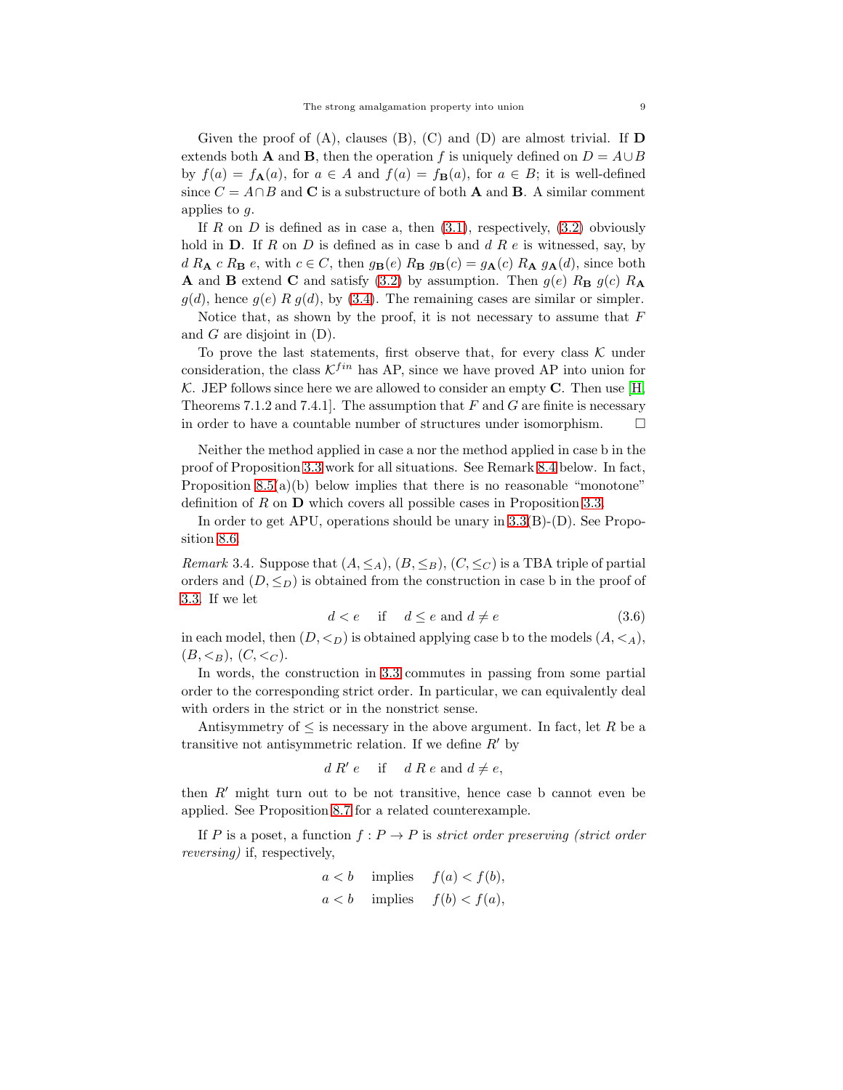Given the proof of  $(A)$ , clauses  $(B)$ ,  $(C)$  and  $(D)$  are almost trivial. If  $D$ extends both **A** and **B**, then the operation f is uniquely defined on  $D = A \cup B$ by  $f(a) = f_{\mathbf{A}}(a)$ , for  $a \in A$  and  $f(a) = f_{\mathbf{B}}(a)$ , for  $a \in B$ ; it is well-defined since  $C = A \cap B$  and **C** is a substructure of both **A** and **B**. A similar comment applies to  $g$ .

If R on D is defined as in case a, then  $(3.1)$ , respectively,  $(3.2)$  obviously hold in  $D$ . If  $R$  on  $D$  is defined as in case b and  $d R e$  is witnessed, say, by  $d R_{\mathbf{A}} c R_{\mathbf{B}} e$ , with  $c \in C$ , then  $g_{\mathbf{B}}(e) R_{\mathbf{B}} g_{\mathbf{B}}(c) = g_{\mathbf{A}}(c) R_{\mathbf{A}} g_{\mathbf{A}}(d)$ , since both **A** and **B** extend **C** and satisfy [\(3.2\)](#page-6-1) by assumption. Then  $g(e)$   $R_{\mathbf{B}} g(c)$   $R_{\mathbf{A}}$  $g(d)$ , hence  $g(e)$  R  $g(d)$ , by [\(3.4\)](#page-7-1). The remaining cases are similar or simpler.

Notice that, as shown by the proof, it is not necessary to assume that  $F$ and G are disjoint in (D).

To prove the last statements, first observe that, for every class  $K$  under consideration, the class  $K^{fin}$  has AP, since we have proved AP into union for K. JEP follows since here we are allowed to consider an empty  $C$ . Then use  $[H, \mathcal{L}]$ Theorems 7.1.2 and 7.4.1..]. The assumption that F and G are finite is necessary in order to have a countable number of structures under isomorphism.  $\Box$ 

Neither the method applied in case a nor the method applied in case b in the proof of Proposition [3.3](#page-6-3) work for all situations. See Remark [8.4](#page-30-1) below. In fact, Proposition  $8.5(a)(b)$  below implies that there is no reasonable "monotone" definition of R on  $\bf{D}$  which covers all possible cases in Proposition [3.3.](#page-6-3)

In order to get APU, operations should be unary in [3.3\(](#page-6-3)B)-(D). See Proposition [8.6.](#page-31-0)

<span id="page-8-0"></span>*Remark* 3.4. Suppose that  $(A, \leq_A), (B, \leq_B), (C, \leq_C)$  is a TBA triple of partial orders and  $(D, \leq_D)$  is obtained from the construction in case b in the proof of [3.3.](#page-6-3) If we let

$$
d < e \quad \text{if} \quad d \le e \text{ and } d \ne e \tag{3.6}
$$

in each model, then  $(D, \langle_D \rangle)$  is obtained applying case b to the models  $(A, \langle A \rangle)$ ,  $(B, \leq_B), (C, \leq_C).$ 

In words, the construction in [3.3](#page-6-3) commutes in passing from some partial order to the corresponding strict order. In particular, we can equivalently deal with orders in the strict or in the nonstrict sense.

Antisymmetry of  $\leq$  is necessary in the above argument. In fact, let R be a transitive not antisymmetric relation. If we define  $R'$  by

$$
d R' e
$$
 if  $d R e$  and  $d \neq e$ ,

then R′ might turn out to be not transitive, hence case b cannot even be applied. See Proposition [8.7](#page-31-1) for a related counterexample.

If P is a poset, a function  $f : P \to P$  is *strict order preserving (strict order reversing)* if, respectively,

$$
a < b
$$
 implies  $f(a) < f(b)$ ,  
\n $a < b$  implies  $f(b) < f(a)$ ,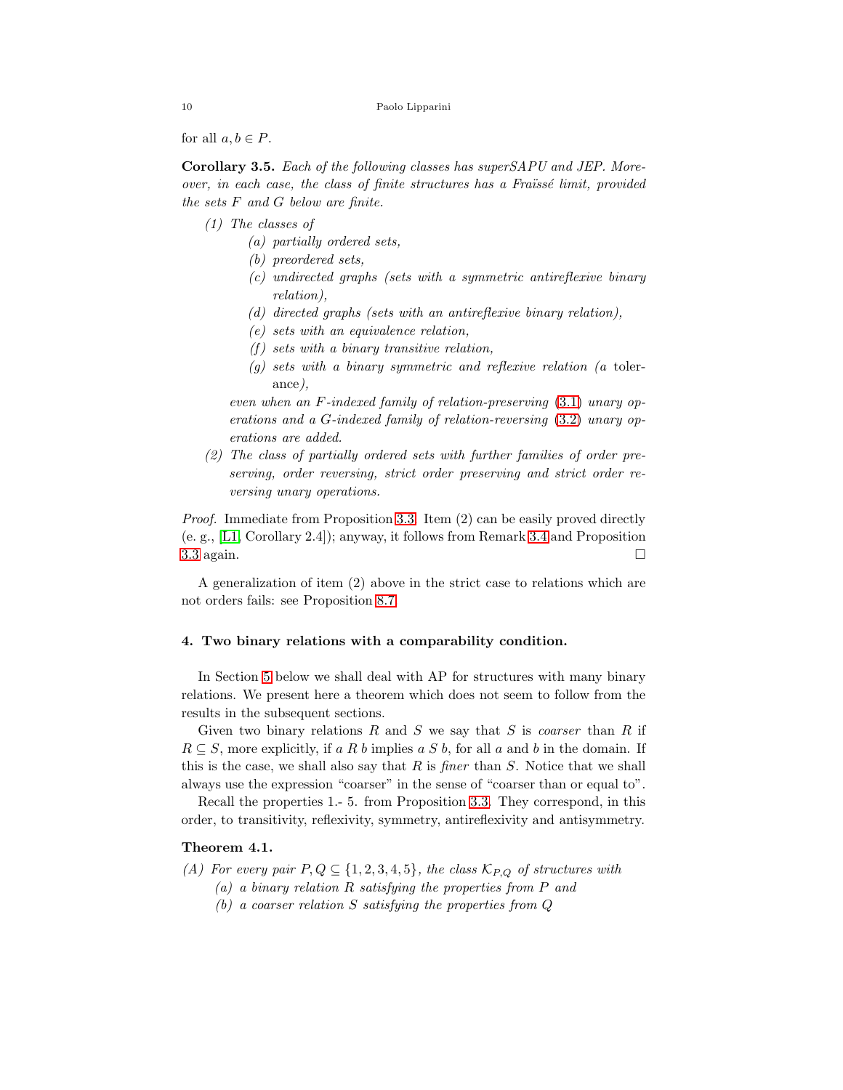```
10 Paolo Lipparini
```
for all  $a, b \in P$ .

<span id="page-9-1"></span>Corollary 3.5. *Each of the following classes has superSAPU and JEP. Moreover, in each case, the class of finite structures has a Fraïssé limit, provided the sets* F *and* G *below are finite.*

- *(1) The classes of*
	- *(a) partially ordered sets,*
	- *(b) preordered sets,*
	- *(c) undirected graphs (sets with a symmetric antireflexive binary relation),*
	- *(d) directed graphs (sets with an antireflexive binary relation),*
	- *(e) sets with an equivalence relation,*
	- *(f ) sets with a binary transitive relation,*
	- *(g) sets with a binary symmetric and reflexive relation (a* tolerance*),*

*even when an* F*-indexed family of relation-preserving* [\(3.1\)](#page-6-0) *unary operations and a* G*-indexed family of relation-reversing* [\(3.2\)](#page-6-1) *unary operations are added.*

*(2) The class of partially ordered sets with further families of order preserving, order reversing, strict order preserving and strict order reversing unary operations.*

*Proof.* Immediate from Proposition [3.3.](#page-6-3) Item (2) can be easily proved directly (e. g., [\[L1,](#page-36-8) Corollary 2.4]); anyway, it follows from Remark [3.4](#page-8-0) and Proposition [3.3](#page-6-3) again.  $\square$ 

A generalization of item (2) above in the strict case to relations which are not orders fails: see Proposition [8.7.](#page-31-1)

# 4. Two binary relations with a comparability condition.

In Section [5](#page-13-1) below we shall deal with AP for structures with many binary relations. We present here a theorem which does not seem to follow from the results in the subsequent sections.

Given two binary relations R and S we say that S is *coarser* than R if  $R \subseteq S$ , more explicitly, if a R b implies a S b, for all a and b in the domain. If this is the case, we shall also say that R is *finer* than S. Notice that we shall always use the expression "coarser" in the sense of "coarser than or equal to".

Recall the properties 1.- 5. from Proposition [3.3.](#page-6-3) They correspond, in this order, to transitivity, reflexivity, symmetry, antireflexivity and antisymmetry.

# <span id="page-9-0"></span>Theorem 4.1.

*(A) For every pair*  $P, Q \subseteq \{1, 2, 3, 4, 5\}$ *, the class*  $K_{P,Q}$  *of structures with* 

- *(a) a binary relation* R *satisfying the properties from* P *and*
- *(b) a coarser relation* S *satisfying the properties from* Q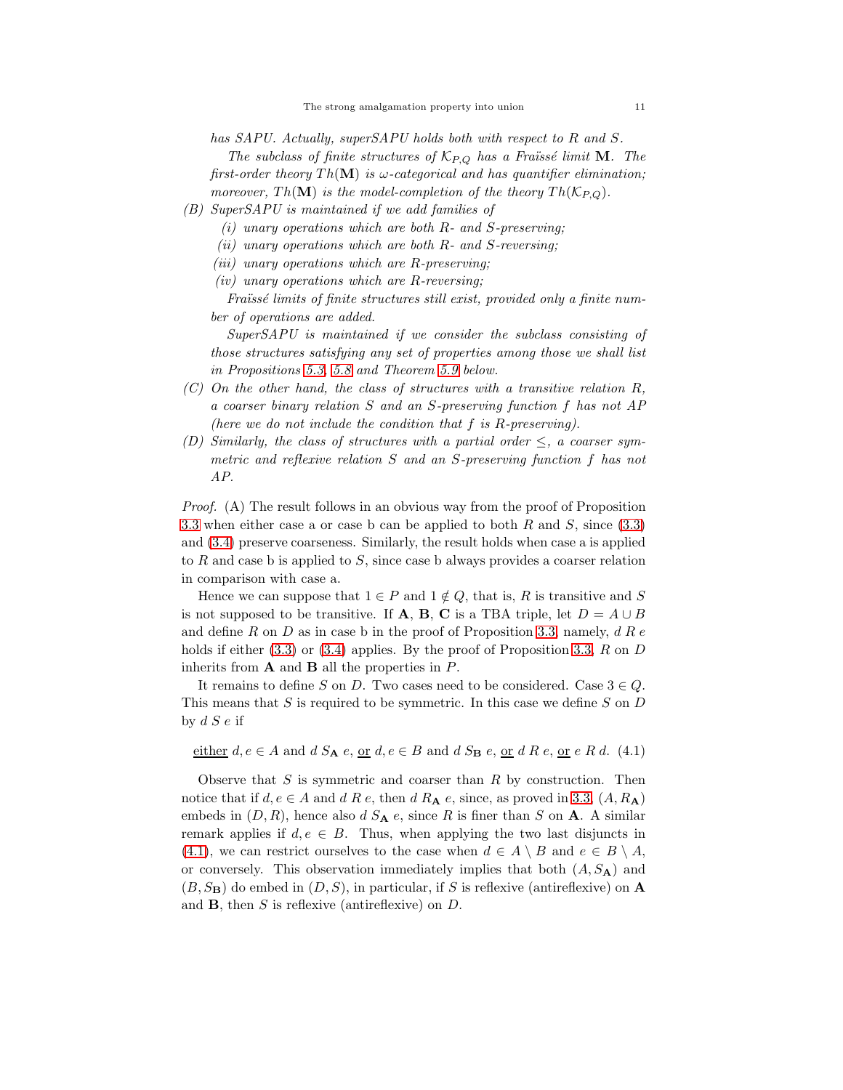*has SAPU. Actually, superSAPU holds both with respect to* R *and* S*.*

*The subclass of finite structures of*  $K_{P,Q}$  *has a Fraïssé limit* **M***. The first-order theory*  $Th(M)$  *is*  $\omega$ -categorical and has quantifier elimination; *moreover,*  $Th(\mathbf{M})$  *is the model-completion of the theory*  $Th(\mathcal{K}_{PO})$ *.* 

- *(B) SuperSAPU is maintained if we add families of*
	- *(i) unary operations which are both* R *and* S*-preserving;*
	- *(ii) unary operations which are both* R *and* S*-reversing;*
	- *(iii) unary operations which are* R*-preserving;*
	- *(iv) unary operations which are* R*-reversing;*

*Fra¨ıss´e limits of finite structures still exist, provided only a finite number of operations are added.*

*SuperSAPU is maintained if we consider the subclass consisting of those structures satisfying any set of properties among those we shall list in Propositions [5.3,](#page-15-0) [5.8](#page-17-0) and Theorem [5.9](#page-18-0) below.*

- *(C) On the other hand, the class of structures with a transitive relation* R*, a coarser binary relation* S *and an* S*-preserving function* f *has not AP (here we do not include the condition that* f *is* R*-preserving).*
- *(D) Similarly, the class of structures with a partial order* ≤*, a coarser symmetric and reflexive relation* S *and an* S*-preserving function* f *has not AP.*

*Proof.* (A) The result follows in an obvious way from the proof of Proposition [3.3](#page-6-3) when either case a or case b can be applied to both R and  $S$ , since [\(3.3\)](#page-6-2) and [\(3.4\)](#page-7-1) preserve coarseness. Similarly, the result holds when case a is applied to  $R$  and case b is applied to  $S$ , since case b always provides a coarser relation in comparison with case a.

Hence we can suppose that  $1 \in P$  and  $1 \notin Q$ , that is, R is transitive and S is not supposed to be transitive. If **A**, **B**, **C** is a TBA triple, let  $D = A \cup B$ and define R on D as in case b in the proof of Proposition [3.3,](#page-6-3) namely,  $dR e$ holds if either  $(3.3)$  or  $(3.4)$  applies. By the proof of Proposition [3.3,](#page-6-3) R on D inherits from  $A$  and  $B$  all the properties in  $P$ .

It remains to define S on D. Two cases need to be considered. Case  $3 \in Q$ . This means that  $S$  is required to be symmetric. In this case we define  $S$  on  $D$ by  $d S e$  if

<span id="page-10-0"></span>either  $d, e \in A$  and  $d S_A e, o r d, e \in B$  and  $d S_B e, o r d R e, o r e R d. (4.1)$ 

Observe that  $S$  is symmetric and coarser than  $R$  by construction. Then notice that if  $d, e \in A$  and  $d R e$ , then  $d R_{\mathbf{A}} e$ , since, as proved in [3.3,](#page-6-3)  $(A, R_{\mathbf{A}})$ embeds in  $(D, R)$ , hence also d  $S_A e$ , since R is finer than S on A. A similar remark applies if  $d, e \in B$ . Thus, when applying the two last disjuncts in [\(4.1\)](#page-10-0), we can restrict ourselves to the case when  $d \in A \setminus B$  and  $e \in B \setminus A$ , or conversely. This observation immediately implies that both  $(A, S_A)$  and  $(B, S_B)$  do embed in  $(D, S)$ , in particular, if S is reflexive (antireflexive) on A and B, then S is reflexive (antireflexive) on D.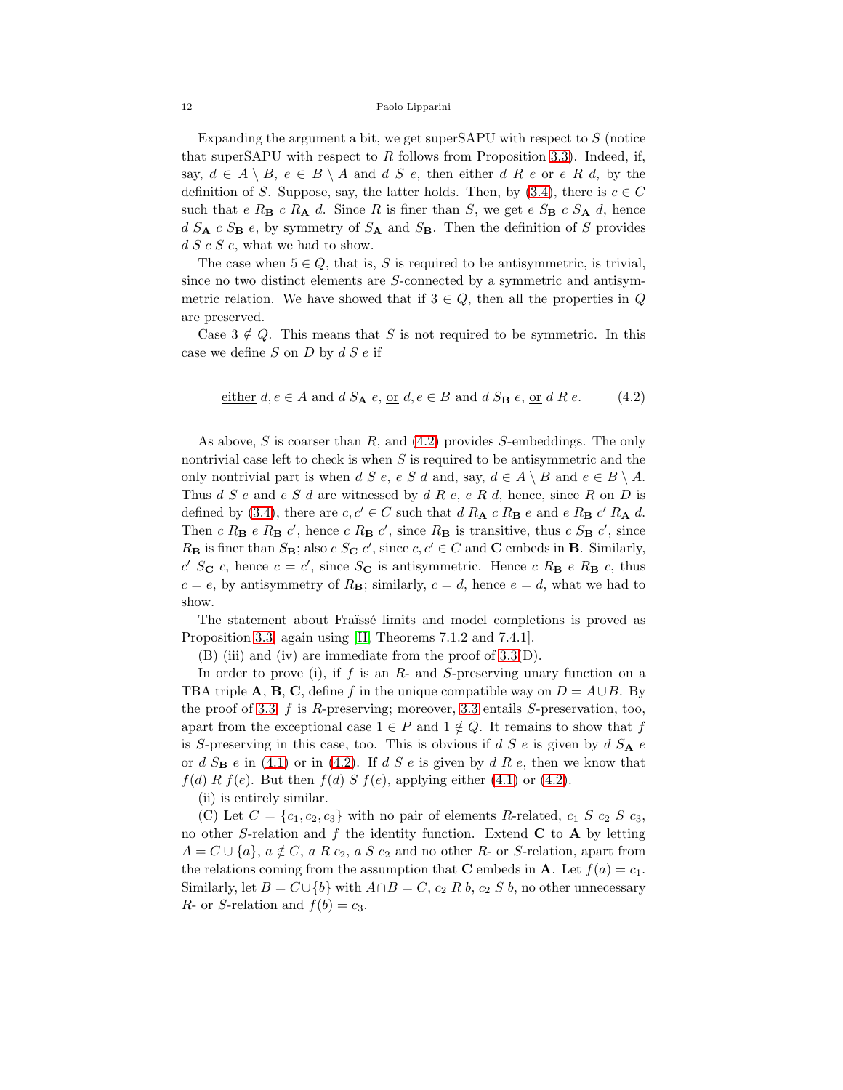Expanding the argument a bit, we get superSAPU with respect to S (notice that superSAPU with respect to  $R$  follows from Proposition [3.3\)](#page-6-3). Indeed, if, say,  $d \in A \setminus B$ ,  $e \in B \setminus A$  and d S e, then either d R e or e R d, by the definition of S. Suppose, say, the latter holds. Then, by [\(3.4\)](#page-7-1), there is  $c \in C$ such that e  $R_B$  c  $R_A$  d. Since R is finer than S, we get e  $S_B$  c  $S_A$  d, hence  $d S_A c S_B e$ , by symmetry of  $S_A$  and  $S_B$ . Then the definition of S provides  $d S c S e$ , what we had to show.

The case when  $5 \in Q$ , that is, S is required to be antisymmetric, is trivial, since no two distinct elements are S-connected by a symmetric and antisymmetric relation. We have showed that if  $3 \in Q$ , then all the properties in Q are preserved.

Case  $3 \notin Q$ . This means that S is not required to be symmetric. In this case we define  $S$  on  $D$  by  $dS e$  if

<span id="page-11-0"></span>either 
$$
d, e \in A
$$
 and  $d S_A e, \text{ or } d, e \in B$  and  $d S_B e, \text{ or } d R e$ . (4.2)

As above, S is coarser than R, and  $(4.2)$  provides S-embeddings. The only nontrivial case left to check is when  $S$  is required to be antisymmetric and the only nontrivial part is when d S e, e S d and, say,  $d \in A \setminus B$  and  $e \in B \setminus A$ . Thus  $d S e$  and  $e S d$  are witnessed by  $d R e$ ,  $e R d$ , hence, since R on D is defined by [\(3.4\)](#page-7-1), there are  $c, c' \in C$  such that  $d R_{\mathbf{A}} c R_{\mathbf{B}} e$  and  $e R_{\mathbf{B}} c' R_{\mathbf{A}} d$ . Then c  $R_\mathbf{B} e R_\mathbf{B} c'$ , hence c  $R_\mathbf{B} c'$ , since  $R_\mathbf{B}$  is transitive, thus c  $S_\mathbf{B} c'$ , since  $R_{\bf{B}}$  is finer than  $S_{\bf{B}}$ ; also  $c S_{\bf{C}} c'$ , since  $c, c' \in C$  and **C** embeds in **B**. Similarly,  $c'$  S<sub>C</sub> c, hence  $c = c'$ , since S<sub>C</sub> is antisymmetric. Hence c R<sub>B</sub> e R<sub>B</sub> c, thus  $c = e$ , by antisymmetry of  $R_{\rm B}$ ; similarly,  $c = d$ , hence  $e = d$ , what we had to show.

The statement about Fraïssé limits and model completions is proved as Proposition [3.3,](#page-6-3) again using [\[H,](#page-36-0) Theorems 7.1.2 and 7.4.1].

(B) (iii) and (iv) are immediate from the proof of [3.3\(](#page-6-3)D).

In order to prove (i), if  $f$  is an  $R$ - and  $S$ -preserving unary function on a TBA triple **A**, **B**, **C**, define f in the unique compatible way on  $D = A \cup B$ . By the proof of [3.3,](#page-6-3) f is R-preserving; moreover, [3.3](#page-6-3) entails S-preservation, too, apart from the exceptional case  $1 \in P$  and  $1 \notin Q$ . It remains to show that f is S-preserving in this case, too. This is obvious if  $d S e$  is given by  $d S_A e$ or d  $S_B$  e in [\(4.1\)](#page-10-0) or in [\(4.2\)](#page-11-0). If d S e is given by d R e, then we know that  $f(d) \mathcal{R} f(e)$ . But then  $f(d) \mathcal{S} f(e)$ , applying either [\(4.1\)](#page-10-0) or [\(4.2\)](#page-11-0).

(ii) is entirely similar.

(C) Let  $C = \{c_1, c_2, c_3\}$  with no pair of elements R-related,  $c_1 S c_2 S c_3$ , no other S-relation and  $f$  the identity function. Extend  $C$  to  $A$  by letting  $A = C \cup \{a\}, a \notin C, a R c_2, a S c_2$  and no other R- or S-relation, apart from the relations coming from the assumption that **C** embeds in **A**. Let  $f(a) = c_1$ . Similarly, let  $B = C \cup \{b\}$  with  $A \cap B = C$ ,  $c_2 R b$ ,  $c_2 S b$ , no other unnecessary R- or S-relation and  $f(b) = c_3$ .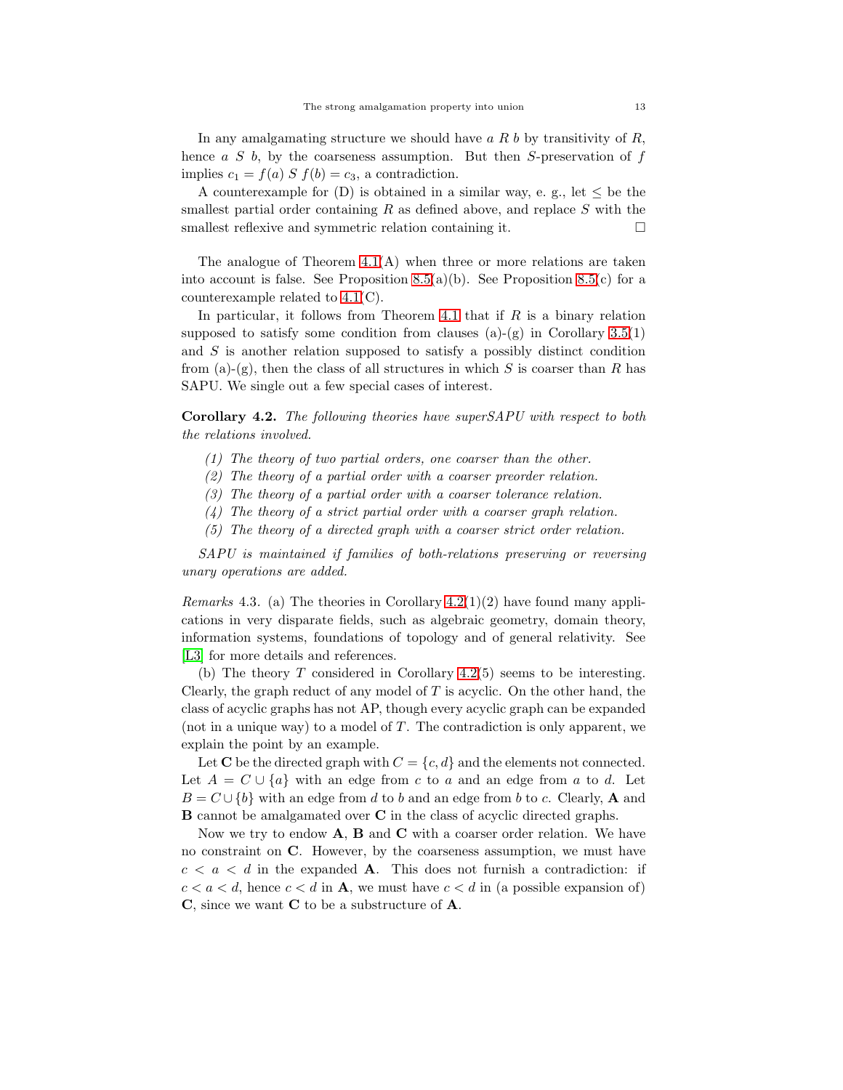In any amalgamating structure we should have  $a R b$  by transitivity of  $R$ , hence  $a S b$ , by the coarseness assumption. But then S-preservation of  $f$ implies  $c_1 = f(a) S f(b) = c_3$ , a contradiction.

A counterexample for  $(D)$  is obtained in a similar way, e. g., let  $\leq$  be the smallest partial order containing  $R$  as defined above, and replace  $S$  with the smallest reflexive and symmetric relation containing it.  $\Box$ 

The analogue of Theorem  $4.1(A)$  when three or more relations are taken into account is false. See Proposition [8.5\(](#page-30-2)a)(b). See Proposition 8.5(c) for a counterexample related to [4.1\(](#page-9-0)C).

In particular, it follows from Theorem [4.1](#page-9-0) that if  $R$  is a binary relation supposed to satisfy some condition from clauses (a)-(g) in Corollary  $3.5(1)$ and S is another relation supposed to satisfy a possibly distinct condition from (a)-(g), then the class of all structures in which  $S$  is coarser than  $R$  has SAPU. We single out a few special cases of interest.

<span id="page-12-0"></span>Corollary 4.2. *The following theories have superSAPU with respect to both the relations involved.*

- *(1) The theory of two partial orders, one coarser than the other.*
- *(2) The theory of a partial order with a coarser preorder relation.*
- *(3) The theory of a partial order with a coarser tolerance relation.*
- *(4) The theory of a strict partial order with a coarser graph relation.*
- *(5) The theory of a directed graph with a coarser strict order relation.*

*SAPU is maintained if families of both-relations preserving or reversing unary operations are added.*

<span id="page-12-1"></span>*Remarks* 4.3*.* (a) The theories in Corollary [4.2\(](#page-12-0)1)(2) have found many applications in very disparate fields, such as algebraic geometry, domain theory, information systems, foundations of topology and of general relativity. See [\[L3\]](#page-36-9) for more details and references.

(b) The theory  $T$  considered in Corollary [4.2\(](#page-12-0)5) seems to be interesting. Clearly, the graph reduct of any model of  $T$  is acyclic. On the other hand, the class of acyclic graphs has not AP, though every acyclic graph can be expanded (not in a unique way) to a model of  $T$ . The contradiction is only apparent, we explain the point by an example.

Let **C** be the directed graph with  $C = \{c, d\}$  and the elements not connected. Let  $A = C \cup \{a\}$  with an edge from c to a and an edge from a to d. Let  $B = C \cup \{b\}$  with an edge from d to b and an edge from b to c. Clearly, **A** and B cannot be amalgamated over C in the class of acyclic directed graphs.

Now we try to endow  $A$ ,  $B$  and  $C$  with a coarser order relation. We have no constraint on C. However, by the coarseness assumption, we must have  $c < a < d$  in the expanded **A**. This does not furnish a contradiction: if  $c < a < d$ , hence  $c < d$  in **A**, we must have  $c < d$  in (a possible expansion of) C, since we want C to be a substructure of A.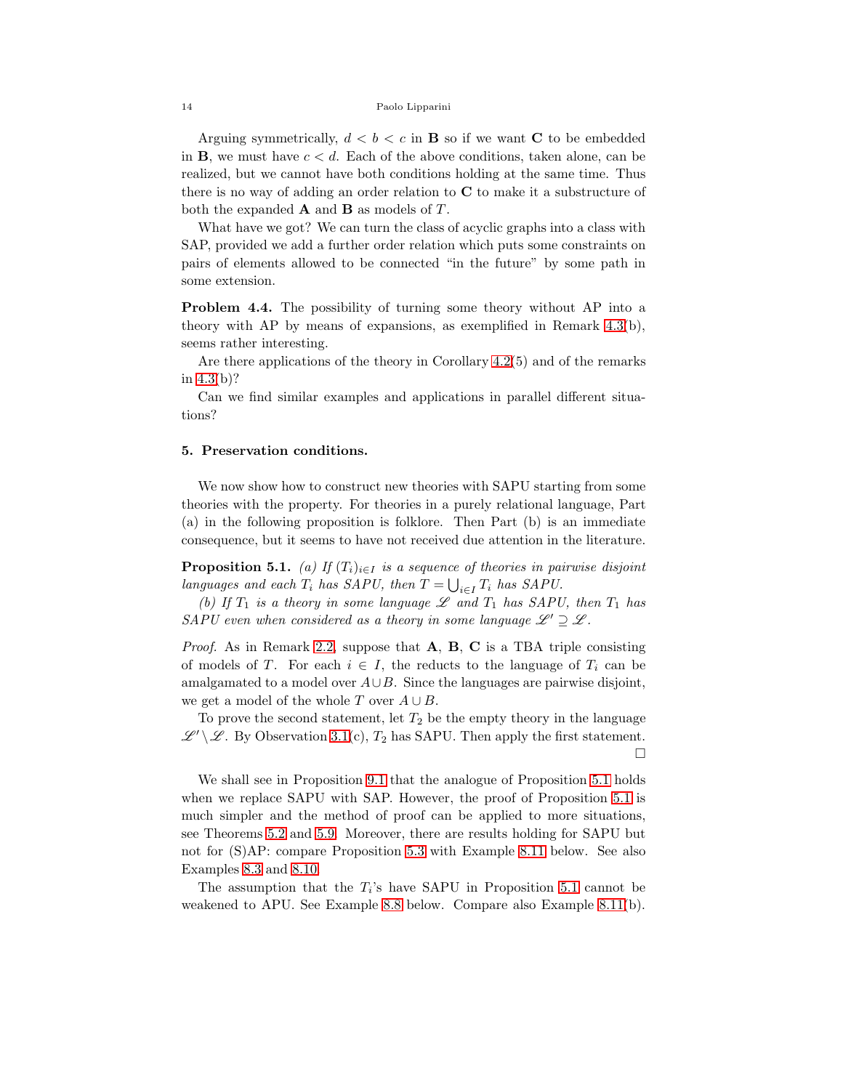Arguing symmetrically,  $d < b < c$  in **B** so if we want **C** to be embedded in **B**, we must have  $c < d$ . Each of the above conditions, taken alone, can be realized, but we cannot have both conditions holding at the same time. Thus there is no way of adding an order relation to C to make it a substructure of both the expanded  $\bf{A}$  and  $\bf{B}$  as models of  $T$ .

What have we got? We can turn the class of acyclic graphs into a class with SAP, provided we add a further order relation which puts some constraints on pairs of elements allowed to be connected "in the future" by some path in some extension.

Problem 4.4. The possibility of turning some theory without AP into a theory with AP by means of expansions, as exemplified in Remark [4.3\(](#page-12-1)b), seems rather interesting.

Are there applications of the theory in Corollary [4.2\(](#page-12-0)5) and of the remarks in [4.3\(](#page-12-1)b)?

Can we find similar examples and applications in parallel different situations?

### <span id="page-13-1"></span>5. Preservation conditions.

We now show how to construct new theories with SAPU starting from some theories with the property. For theories in a purely relational language, Part (a) in the following proposition is folklore. Then Part (b) is an immediate consequence, but it seems to have not received due attention in the literature.

<span id="page-13-0"></span>**Proposition 5.1.** *(a)* If  $(T_i)_{i \in I}$  *is a sequence of theories in pairwise disjoint languages and each*  $T_i$  *has SAPU, then*  $T = \bigcup_{i \in I} T_i$  *has SAPU.* 

*(b)* If  $T_1$  *is a theory in some language*  $\mathscr L$  *and*  $T_1$  *has SAPU, then*  $T_1$  *has SAPU* even when considered as a theory in some language  $\mathscr{L}' \supseteq \mathscr{L}$ .

*Proof.* As in Remark [2.2,](#page-3-0) suppose that **A**, **B**, **C** is a TBA triple consisting of models of T. For each  $i \in I$ , the reducts to the language of  $T_i$  can be amalgamated to a model over  $A\cup B$ . Since the languages are pairwise disjoint, we get a model of the whole T over  $A \cup B$ .

To prove the second statement, let  $T_2$  be the empty theory in the language  $\mathscr{L}' \setminus \mathscr{L}$ . By Observation [3.1\(](#page-4-1)c),  $T_2$  has SAPU. Then apply the first statement.

 $\Box$ 

We shall see in Proposition [9.1](#page-35-0) that the analogue of Proposition [5.1](#page-13-0) holds when we replace SAPU with SAP. However, the proof of Proposition [5.1](#page-13-0) is much simpler and the method of proof can be applied to more situations, see Theorems 5.2 and [5.9.](#page-18-0) Moreover, there are results holding for SAPU but not for (S)AP: compare Proposition [5.3](#page-15-0) with Example [8.11](#page-33-0) below. See also Examples [8.3](#page-30-3) and [8.10.](#page-32-0)

The assumption that the  $T_i$ 's have SAPU in Proposition [5.1](#page-13-0) cannot be weakened to APU. See Example [8.8](#page-32-1) below. Compare also Example [8.11\(](#page-33-0)b).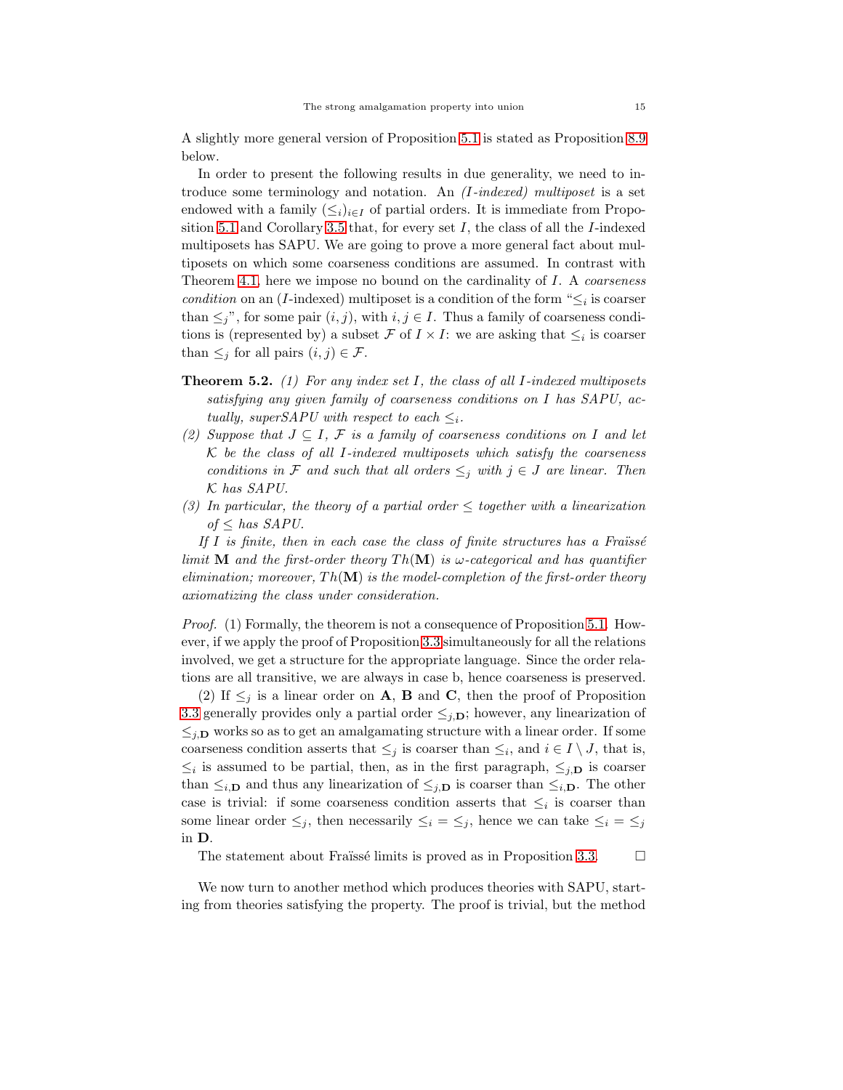A slightly more general version of Proposition [5.1](#page-13-0) is stated as Proposition [8.9](#page-32-2) below.

In order to present the following results in due generality, we need to introduce some terminology and notation. An *(*I*-indexed) multiposet* is a set endowed with a family  $(\leq_i)_{i\in I}$  of partial orders. It is immediate from Propo-sition [5.1](#page-13-0) and Corollary [3.5](#page-9-1) that, for every set  $I$ , the class of all the  $I$ -indexed multiposets has SAPU. We are going to prove a more general fact about multiposets on which some coarseness conditions are assumed. In contrast with Theorem [4.1,](#page-9-0) here we impose no bound on the cardinality of I. A *coarseness condition* on an (*I*-indexed) multiposet is a condition of the form " $\leq_i$  is coarser than  $\leq j$ ", for some pair  $(i, j)$ , with  $i, j \in I$ . Thus a family of coarseness conditions is (represented by) a subset  $\mathcal F$  of  $I \times I$ : we are asking that  $\leq_i$  is coarser than  $\leq_j$  for all pairs  $(i, j) \in \mathcal{F}$ .

- Theorem 5.2. *(1) For any index set* I*, the class of all* I*-indexed multiposets satisfying any given family of coarseness conditions on* I *has SAPU, actually, superSAPU with respect to each*  $\leq_i$ *.*
- *(2) Suppose that*  $J ⊆ I$ ,  $F$  *is a family of coarseness conditions on* I *and let* K *be the class of all* I*-indexed multiposets which satisfy the coarseness conditions in* F *and such that all orders*  $\leq_j$  *with*  $j \in J$  *are linear. Then* K *has SAPU.*
- *(3) In particular, the theory of a partial order*  $\leq$  *together with a linearization of* ≤ *has SAPU.*

If *I* is finite, then in each case the class of finite structures has a Fraïssé *limit* **M** *and the first-order theory*  $Th(\mathbf{M})$  *is*  $\omega$ -categorical and has quantifier *elimination; moreover,*  $Th(\mathbf{M})$  *is the model-completion of the first-order theory axiomatizing the class under consideration.*

*Proof.* (1) Formally, the theorem is not a consequence of Proposition [5.1.](#page-13-0) However, if we apply the proof of Proposition [3.3](#page-6-3) simultaneously for all the relations involved, we get a structure for the appropriate language. Since the order relations are all transitive, we are always in case b, hence coarseness is preserved.

(2) If  $\leq_i$  is a linear order on **A**, **B** and **C**, then the proof of Proposition [3.3](#page-6-3) generally provides only a partial order  $\leq_{i,\mathbf{D}}$ ; however, any linearization of  $\leq_{j,\mathbf{D}}$  works so as to get an amalgamating structure with a linear order. If some coarseness condition asserts that  $\leq_j$  is coarser than  $\leq_i$ , and  $i \in I \setminus J$ , that is,  $\leq_i$  is assumed to be partial, then, as in the first paragraph,  $\leq_{j,\mathbf{D}}$  is coarser than  $\leq_{i,\mathbf{D}}$  and thus any linearization of  $\leq_{j,\mathbf{D}}$  is coarser than  $\leq_{i,\mathbf{D}}$ . The other case is trivial: if some coarseness condition asserts that  $\leq_i$  is coarser than some linear order  $\leq_i$ , then necessarily  $\leq_i = \leq_j$ , hence we can take  $\leq_i = \leq_j$ in D.

The statement about Fraïssé limits is proved as in Proposition [3.3.](#page-6-3)  $\Box$ 

We now turn to another method which produces theories with SAPU, starting from theories satisfying the property. The proof is trivial, but the method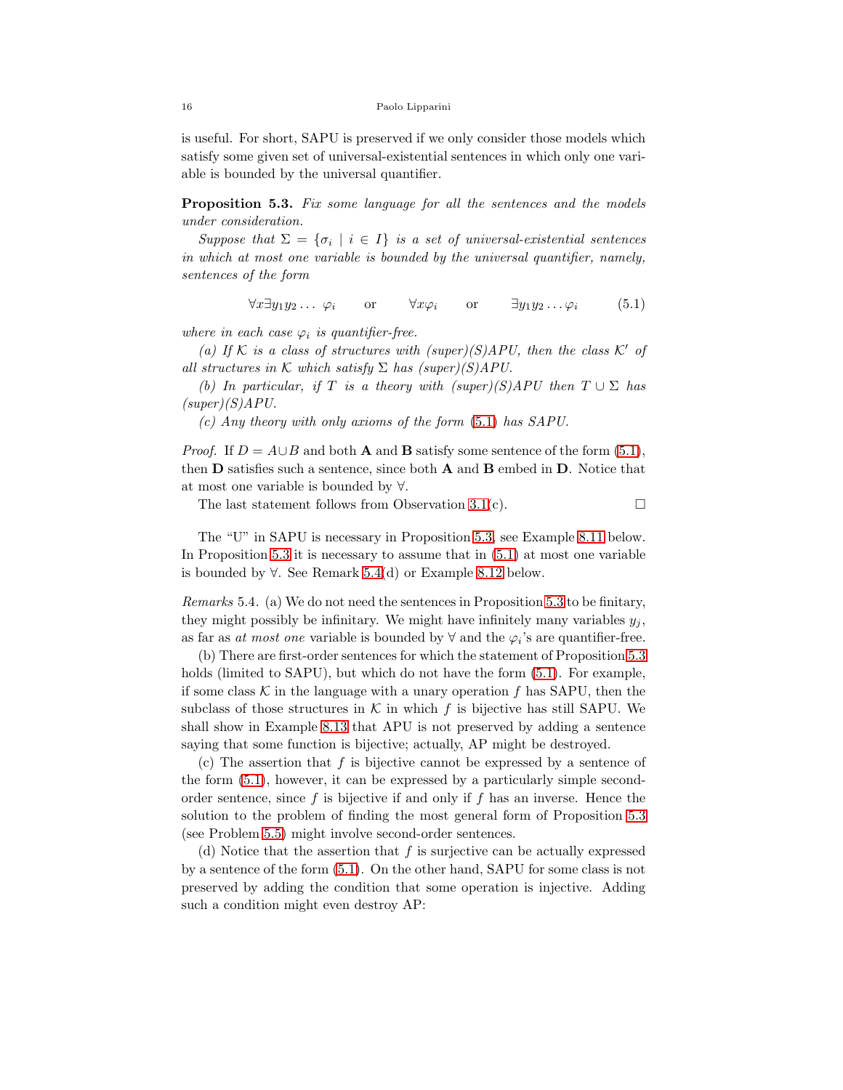is useful. For short, SAPU is preserved if we only consider those models which satisfy some given set of universal-existential sentences in which only one variable is bounded by the universal quantifier.

<span id="page-15-0"></span>Proposition 5.3. *Fix some language for all the sentences and the models under consideration.*

*Suppose that*  $\Sigma = {\sigma_i \mid i \in I}$  *is a set of universal-existential sentences in which at most one variable is bounded by the universal quantifier, namely, sentences of the form*

<span id="page-15-1"></span> $\forall x \exists y_1 y_2 \ldots \varphi_i$  or  $\forall x \varphi_i$  or  $\exists y_1 y_2 \ldots \varphi_i$  (5.1)

*where in each case*  $\varphi_i$  *is quantifier-free.* 

*(a)* If K is a class of structures with (super)(S)APU, then the class K' of *all structures in* K *which satisfy*  $\Sigma$  *has (super)(S)APU.* 

*(b)* In particular, if T is a theory with  $(super)(S)APU$  then  $T \cup \Sigma$  has *(super)(S)APU.*

*(c) Any theory with only axioms of the form* [\(5.1\)](#page-15-1) *has SAPU.*

*Proof.* If  $D = A \cup B$  and both **A** and **B** satisfy some sentence of the form [\(5.1\)](#page-15-1), then D satisfies such a sentence, since both A and B embed in D. Notice that at most one variable is bounded by ∀.

The last statement follows from Observation [3.1\(](#page-4-1)c).  $\Box$ 

The "U" in SAPU is necessary in Proposition [5.3,](#page-15-0) see Example [8.11](#page-33-0) below. In Proposition [5.3](#page-15-0) it is necessary to assume that in [\(5.1\)](#page-15-1) at most one variable is bounded by  $\forall$ . See Remark [5.4\(](#page-15-2)d) or Example [8.12](#page-34-0) below.

<span id="page-15-2"></span>*Remarks* 5.4*.* (a) We do not need the sentences in Proposition [5.3](#page-15-0) to be finitary, they might possibly be infinitary. We might have infinitely many variables  $y_i$ , as far as *at most one* variable is bounded by  $\forall$  and the  $\varphi_i$ 's are quantifier-free.

(b) There are first-order sentences for which the statement of Proposition [5.3](#page-15-0) holds (limited to SAPU), but which do not have the form  $(5.1)$ . For example, if some class  $\mathcal K$  in the language with a unary operation f has SAPU, then the subclass of those structures in K in which f is bijective has still SAPU. We shall show in Example [8.13](#page-34-1) that APU is not preserved by adding a sentence saying that some function is bijective; actually, AP might be destroyed.

(c) The assertion that  $f$  is bijective cannot be expressed by a sentence of the form [\(5.1\)](#page-15-1), however, it can be expressed by a particularly simple secondorder sentence, since  $f$  is bijective if and only if  $f$  has an inverse. Hence the solution to the problem of finding the most general form of Proposition [5.3](#page-15-0) (see Problem [5.5\)](#page-16-0) might involve second-order sentences.

(d) Notice that the assertion that  $f$  is surjective can be actually expressed by a sentence of the form [\(5.1\)](#page-15-1). On the other hand, SAPU for some class is not preserved by adding the condition that some operation is injective. Adding such a condition might even destroy AP: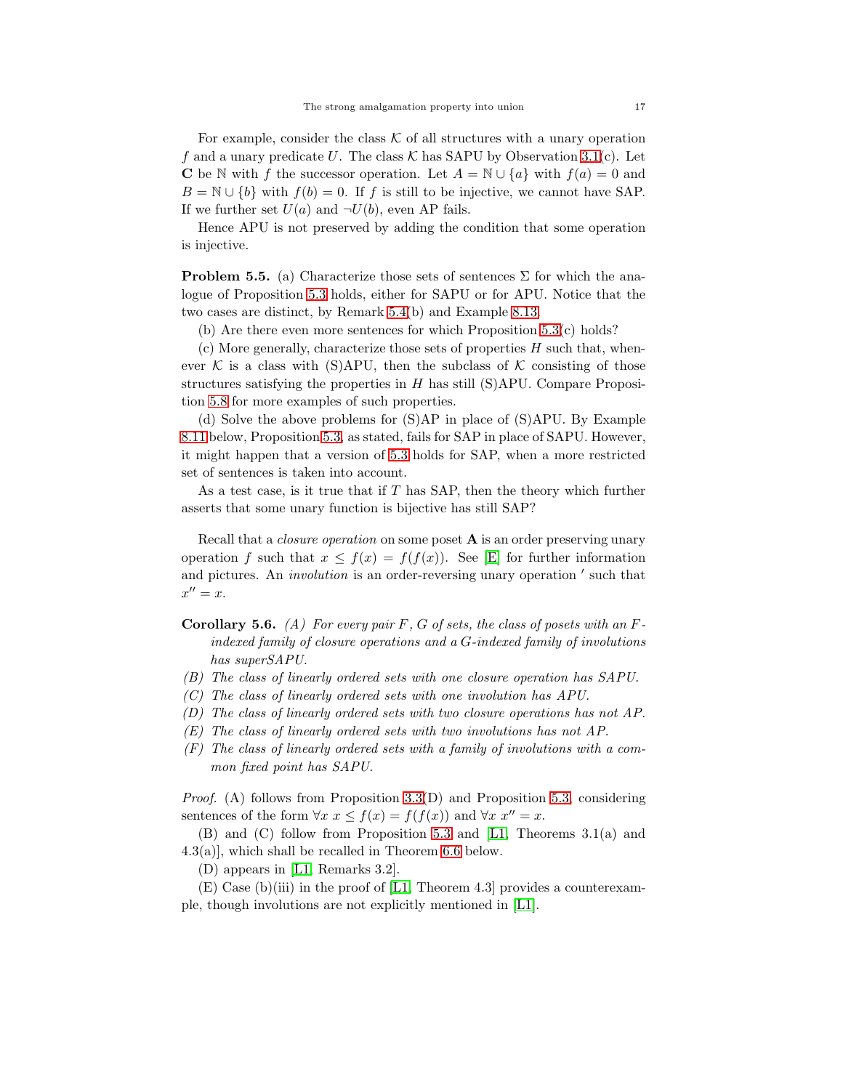For example, consider the class  $K$  of all structures with a unary operation f and a unary predicate U. The class  $K$  has SAPU by Observation [3.1\(](#page-4-1)c). Let **C** be N with f the successor operation. Let  $A = \mathbb{N} \cup \{a\}$  with  $f(a) = 0$  and  $B = \mathbb{N} \cup \{b\}$  with  $f(b) = 0$ . If f is still to be injective, we cannot have SAP. If we further set  $U(a)$  and  $\neg U(b)$ , even AP fails.

Hence APU is not preserved by adding the condition that some operation is injective.

<span id="page-16-0"></span>**Problem 5.5.** (a) Characterize those sets of sentences  $\Sigma$  for which the analogue of Proposition [5.3](#page-15-0) holds, either for SAPU or for APU. Notice that the two cases are distinct, by Remark [5.4\(](#page-15-2)b) and Example [8.13.](#page-34-1)

(b) Are there even more sentences for which Proposition  $5.3(c)$  holds?

 $(c)$  More generally, characterize those sets of properties  $H$  such that, whenever K is a class with (S)APU, then the subclass of K consisting of those structures satisfying the properties in  $H$  has still (S)APU. Compare Proposition [5.8](#page-17-0) for more examples of such properties.

(d) Solve the above problems for (S)AP in place of (S)APU. By Example [8.11](#page-33-0) below, Proposition [5.3,](#page-15-0) as stated, fails for SAP in place of SAPU. However, it might happen that a version of [5.3](#page-15-0) holds for SAP, when a more restricted set of sentences is taken into account.

As a test case, is it true that if  $T$  has SAP, then the theory which further asserts that some unary function is bijective has still SAP?

Recall that a *closure operation* on some poset A is an order preserving unary operation f such that  $x \leq f(x) = f(f(x))$ . See [\[E\]](#page-36-10) for further information and pictures. An *involution* is an order-reversing unary operation ′ such that  $x'' = x.$ 

Corollary 5.6. *(A) For every pair* F*,* G *of sets, the class of posets with an* F*indexed family of closure operations and a* G*-indexed family of involutions has superSAPU.*

- *(B) The class of linearly ordered sets with one closure operation has SAPU.*
- *(C) The class of linearly ordered sets with one involution has APU.*
- *(D) The class of linearly ordered sets with two closure operations has not AP.*
- *(E) The class of linearly ordered sets with two involutions has not AP.*
- *(F) The class of linearly ordered sets with a family of involutions with a common fixed point has SAPU.*

*Proof.* (A) follows from Proposition [3.3\(](#page-6-3)D) and Proposition [5.3,](#page-15-0) considering sentences of the form  $\forall x \ x \leq f(x) = f(f(x))$  and  $\forall x \ x'' = x$ .

(B) and (C) follow from Proposition [5.3](#page-15-0) and [\[L1,](#page-36-8) Theorems 3.1(a) and 4.3(a)], which shall be recalled in Theorem [6.6](#page-24-0) below.

(D) appears in [\[L1,](#page-36-8) Remarks 3.2].

 $(E)$  Case (b)(iii) in the proof of [\[L1,](#page-36-8) Theorem 4.3] provides a counterexample, though involutions are not explicitly mentioned in [\[L1\]](#page-36-8).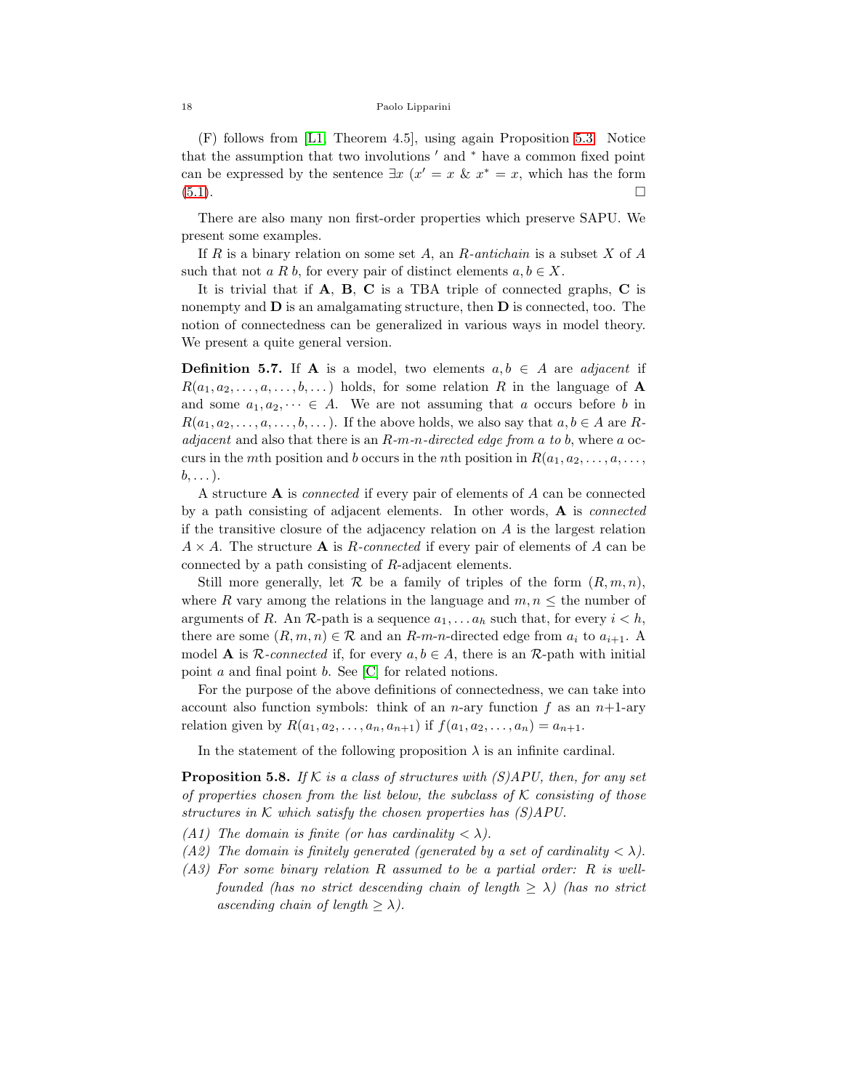(F) follows from [\[L1,](#page-36-8) Theorem 4.5], using again Proposition [5.3.](#page-15-0) Notice that the assumption that two involutions ′ and <sup>∗</sup> have a common fixed point can be expressed by the sentence  $\exists x \ (x' = x \ \& \ x^* = x)$ , which has the form  $(5.1).$  $(5.1).$ 

There are also many non first-order properties which preserve SAPU. We present some examples.

If R is a binary relation on some set A, an R*-antichain* is a subset X of A such that not a R b, for every pair of distinct elements  $a, b \in X$ .

It is trivial that if A, B, C is a TBA triple of connected graphs, C is nonempty and  **is an amalgamating structure, then**  $**D**$  **is connected, too. The** notion of connectedness can be generalized in various ways in model theory. We present a quite general version.

<span id="page-17-1"></span>**Definition 5.7.** If **A** is a model, two elements  $a, b \in A$  are *adjacent* if  $R(a_1, a_2, \ldots, a, \ldots, b, \ldots)$  holds, for some relation R in the language of A and some  $a_1, a_2, \dots \in A$ . We are not assuming that a occurs before b in  $R(a_1, a_2, \ldots, a, \ldots, b, \ldots)$ . If the above holds, we also say that  $a, b \in A$  are R*adjacent* and also that there is an R*-*m*-*n*-directed edge from* a *to* b, where a occurs in the mth position and b occurs in the nth position in  $R(a_1, a_2, \ldots, a, \ldots, a_n)$  $b, \ldots$ ).

A structure A is *connected* if every pair of elements of A can be connected by a path consisting of adjacent elements. In other words, A is *connected* if the transitive closure of the adjacency relation on A is the largest relation  $A \times A$ . The structure **A** is *R*-connected if every pair of elements of *A* can be connected by a path consisting of R-adjacent elements.

Still more generally, let  $\mathcal R$  be a family of triples of the form  $(R, m, n)$ , where R vary among the relations in the language and  $m, n \leq$  the number of arguments of R. An R-path is a sequence  $a_1, \ldots, a_h$  such that, for every  $i < h$ , there are some  $(R, m, n) \in \mathcal{R}$  and an R-m-n-directed edge from  $a_i$  to  $a_{i+1}$ . A model **A** is  $\mathcal{R}$ -connected if, for every  $a, b \in A$ , there is an  $\mathcal{R}$ -path with initial point a and final point b. See [\[C\]](#page-36-11) for related notions.

For the purpose of the above definitions of connectedness, we can take into account also function symbols: think of an n-ary function f as an  $n+1$ -ary relation given by  $R(a_1, a_2, \ldots, a_n, a_{n+1})$  if  $f(a_1, a_2, \ldots, a_n) = a_{n+1}$ .

In the statement of the following proposition  $\lambda$  is an infinite cardinal.

<span id="page-17-0"></span>Proposition 5.8. *If* K *is a class of structures with (S)APU, then, for any set of properties chosen from the list below, the subclass of* K *consisting of those structures in* K *which satisfy the chosen properties has (S)APU.*

- *(A1)* The domain is finite (or has cardinality  $\langle \lambda \rangle$ ).
- *(A2)* The domain is finitely generated *(generated by a set of cardinality*  $\langle \lambda \rangle$ ).
- *(A3) For some binary relation* R *assumed to be a partial order:* R *is wellfounded (has no strict descending chain of length*  $\geq \lambda$ ) *(has no strict ascending chain of length*  $\geq \lambda$ *).*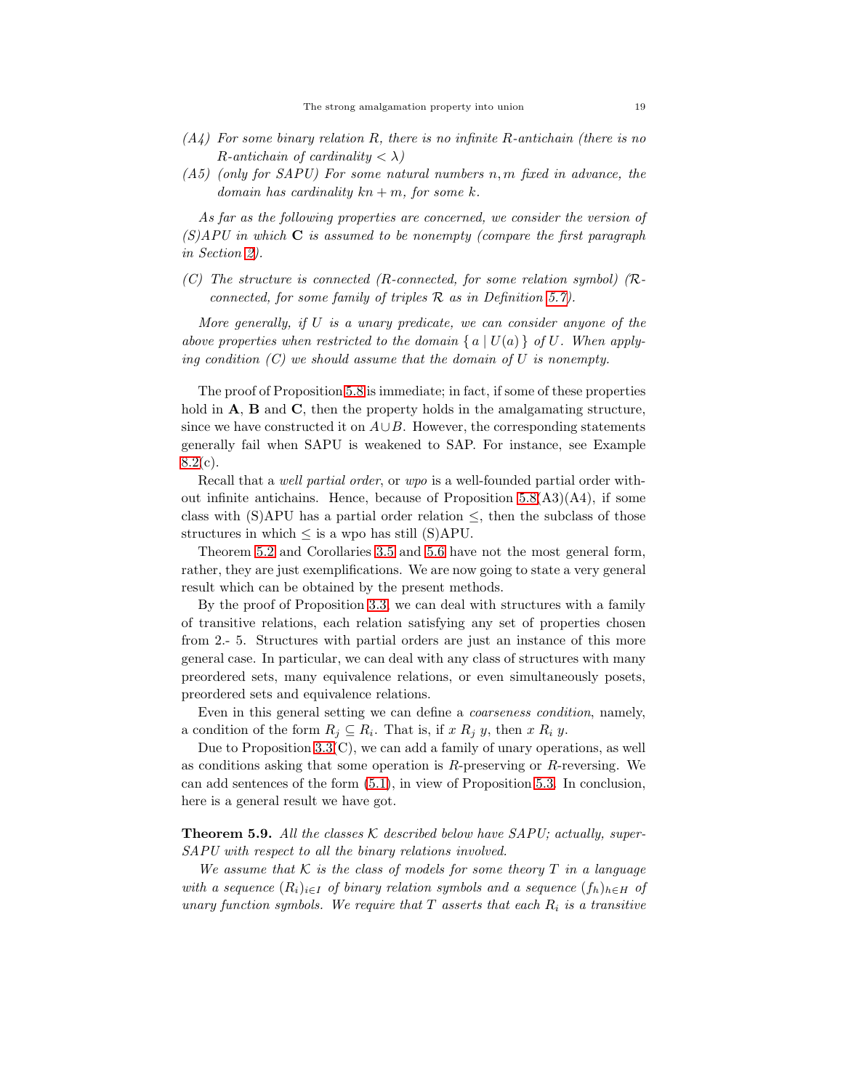- *(A4) For some binary relation* R*, there is no infinite* R*-antichain (there is no*  $R$ -antichain of cardinality  $\langle \lambda \rangle$
- *(A5) (only for SAPU) For some natural numbers* n, m *fixed in advance, the domain has cardinality* kn + m*, for some* k*.*

*As far as the following properties are concerned, we consider the version of (S)APU in which* C *is assumed to be nonempty (compare the first paragraph in Section [2\)](#page-1-0).*

*(C) The structure is connected (*R*-connected, for some relation symbol) (*R*connected, for some family of triples* R *as in Definition [5.7\)](#page-17-1).*

*More generally, if* U *is a unary predicate, we can consider anyone of the above properties when restricted to the domain*  $\{a \mid U(a)\}$  *of* U. When apply*ing condition (C) we should assume that the domain of* U *is nonempty.*

The proof of Proposition [5.8](#page-17-0) is immediate; in fact, if some of these properties hold in  $A$ ,  $B$  and  $C$ , then the property holds in the amalgamating structure, since we have constructed it on  $A\cup B$ . However, the corresponding statements generally fail when SAPU is weakened to SAP. For instance, see Example  $8.2(c)$  $8.2(c)$ .

Recall that a *well partial order*, or *wpo* is a well-founded partial order without infinite antichains. Hence, because of Proposition  $5.8(A3)(A4)$ , if some class with (S)APU has a partial order relation  $\leq$ , then the subclass of those structures in which  $\leq$  is a wpo has still (S)APU.

Theorem 5.2 and Corollaries [3.5](#page-9-1) and 5.6 have not the most general form, rather, they are just exemplifications. We are now going to state a very general result which can be obtained by the present methods.

By the proof of Proposition [3.3,](#page-6-3) we can deal with structures with a family of transitive relations, each relation satisfying any set of properties chosen from 2.- 5. Structures with partial orders are just an instance of this more general case. In particular, we can deal with any class of structures with many preordered sets, many equivalence relations, or even simultaneously posets, preordered sets and equivalence relations.

Even in this general setting we can define a *coarseness condition*, namely, a condition of the form  $R_j \subseteq R_i$ . That is, if x  $R_j$  y, then x  $R_i$  y.

Due to Proposition [3.3\(](#page-6-3)C), we can add a family of unary operations, as well as conditions asking that some operation is  $R$ -preserving or  $R$ -reversing. We can add sentences of the form [\(5.1\)](#page-15-1), in view of Proposition [5.3.](#page-15-0) In conclusion, here is a general result we have got.

<span id="page-18-0"></span>Theorem 5.9. *All the classes* K *described below have SAPU; actually, super-SAPU with respect to all the binary relations involved.*

*We assume that*  $K$  *is the class of models for some theory*  $T$  *in a language with a sequence*  $(R_i)_{i \in I}$  *of binary relation symbols and a sequence*  $(f_h)_{h \in H}$  *of unary function symbols. We require that* T *asserts that each* R<sup>i</sup> *is a transitive*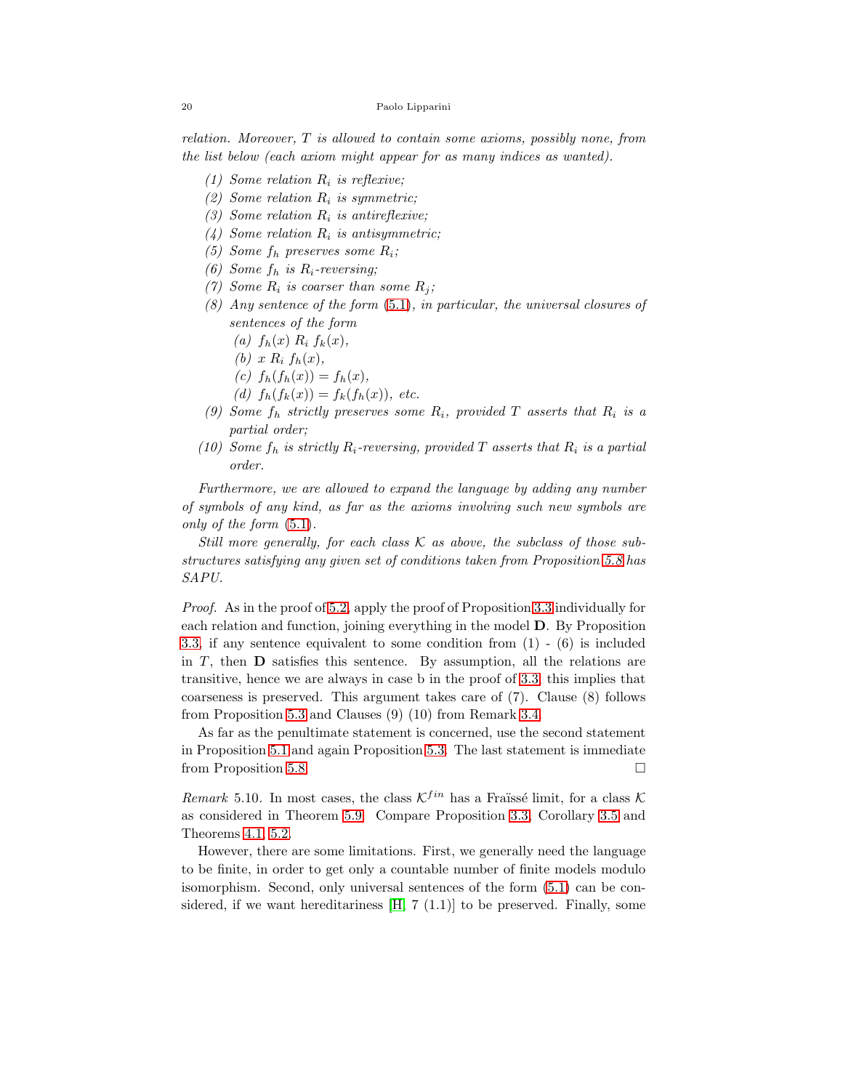*relation. Moreover,* T *is allowed to contain some axioms, possibly none, from the list below (each axiom might appear for as many indices as wanted).*

- *(1) Some relation* R<sup>i</sup> *is reflexive;*
- $(2)$  *Some relation*  $R_i$  *is symmetric;*
- *(3) Some relation* R<sup>i</sup> *is antireflexive;*
- *(4) Some relation* R<sup>i</sup> *is antisymmetric;*
- *(5) Some* f<sup>h</sup> *preserves some* Ri*;*
- *(6) Some* f<sup>h</sup> *is* Ri*-reversing;*
- *(7) Some*  $R_i$  *is coarser than some*  $R_j$ *;*
- *(8) Any sentence of the form* [\(5.1\)](#page-15-1)*, in particular, the universal closures of sentences of the form*
	- $(a)$   $f_h(x)$   $R_i$   $f_k(x)$ ,
	- $(b)$  x  $R_i$   $f_h(x)$ ,
	- $(c) f_h(f_h(x)) = f_h(x)$ ,

(d) 
$$
f_h(f_k(x)) = f_k(f_h(x))
$$
, etc.

- *(9) Some* f<sup>h</sup> *strictly preserves some* Ri*, provided* T *asserts that* R<sup>i</sup> *is a partial order;*
- (10) Some  $f_h$  *is strictly*  $R_i$ -reversing, provided  $T$  asserts that  $R_i$  *is a partial order.*

*Furthermore, we are allowed to expand the language by adding any number of symbols of any kind, as far as the axioms involving such new symbols are only of the form* [\(5.1\)](#page-15-1)*.*

*Still more generally, for each class* K *as above, the subclass of those substructures satisfying any given set of conditions taken from Proposition [5.8](#page-17-0) has SAPU.*

*Proof.* As in the proof of 5.2, apply the proof of Proposition [3.3](#page-6-3) individually for each relation and function, joining everything in the model D. By Proposition [3.3,](#page-6-3) if any sentence equivalent to some condition from (1) - (6) is included in  $T$ , then  $D$  satisfies this sentence. By assumption, all the relations are transitive, hence we are always in case b in the proof of [3.3;](#page-6-3) this implies that coarseness is preserved. This argument takes care of (7). Clause (8) follows from Proposition [5.3](#page-15-0) and Clauses (9) (10) from Remark [3.4.](#page-8-0)

As far as the penultimate statement is concerned, use the second statement in Proposition [5.1](#page-13-0) and again Proposition [5.3.](#page-15-0) The last statement is immediate from Proposition [5.8.](#page-17-0)

*Remark* 5.10. In most cases, the class  $K^{fin}$  has a Fraïssé limit, for a class K as considered in Theorem [5.9.](#page-18-0) Compare Proposition [3.3,](#page-6-3) Corollary [3.5](#page-9-1) and Theorems [4.1,](#page-9-0) 5.2.

However, there are some limitations. First, we generally need the language to be finite, in order to get only a countable number of finite models modulo isomorphism. Second, only universal sentences of the form [\(5.1\)](#page-15-1) can be considered, if we want hereditariness  $[H, 7 (1.1)]$  to be preserved. Finally, some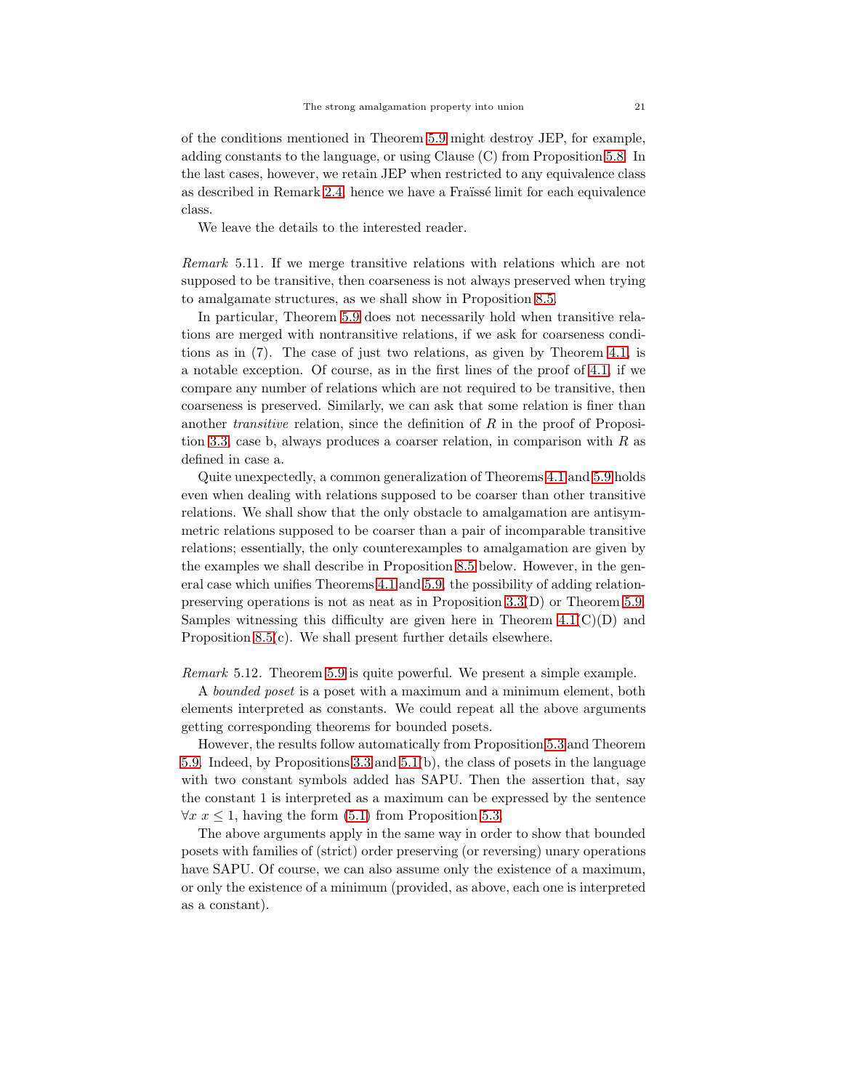of the conditions mentioned in Theorem [5.9](#page-18-0) might destroy JEP, for example, adding constants to the language, or using Clause (C) from Proposition [5.8.](#page-17-0) In the last cases, however, we retain JEP when restricted to any equivalence class as described in Remark [2.4,](#page-4-2) hence we have a Fraïssé limit for each equivalence class.

We leave the details to the interested reader.

*Remark* 5.11*.* If we merge transitive relations with relations which are not supposed to be transitive, then coarseness is not always preserved when trying to amalgamate structures, as we shall show in Proposition [8.5.](#page-30-2)

In particular, Theorem [5.9](#page-18-0) does not necessarily hold when transitive relations are merged with nontransitive relations, if we ask for coarseness conditions as in (7). The case of just two relations, as given by Theorem [4.1,](#page-9-0) is a notable exception. Of course, as in the first lines of the proof of [4.1,](#page-9-0) if we compare any number of relations which are not required to be transitive, then coarseness is preserved. Similarly, we can ask that some relation is finer than another *transitive* relation, since the definition of R in the proof of Proposition [3.3,](#page-6-3) case b, always produces a coarser relation, in comparison with R as defined in case a.

Quite unexpectedly, a common generalization of Theorems [4.1](#page-9-0) and [5.9](#page-18-0) holds even when dealing with relations supposed to be coarser than other transitive relations. We shall show that the only obstacle to amalgamation are antisymmetric relations supposed to be coarser than a pair of incomparable transitive relations; essentially, the only counterexamples to amalgamation are given by the examples we shall describe in Proposition [8.5](#page-30-2) below. However, in the general case which unifies Theorems [4.1](#page-9-0) and [5.9,](#page-18-0) the possibility of adding relationpreserving operations is not as neat as in Proposition [3.3\(](#page-6-3)D) or Theorem [5.9.](#page-18-0) Samples witnessing this difficulty are given here in Theorem  $4.1(C)(D)$  and Proposition [8.5\(](#page-30-2)c). We shall present further details elsewhere.

<span id="page-20-0"></span>*Remark* 5.12*.* Theorem [5.9](#page-18-0) is quite powerful. We present a simple example.

A *bounded poset* is a poset with a maximum and a minimum element, both elements interpreted as constants. We could repeat all the above arguments getting corresponding theorems for bounded posets.

However, the results follow automatically from Proposition [5.3](#page-15-0) and Theorem [5.9.](#page-18-0) Indeed, by Propositions [3.3](#page-6-3) and [5.1\(](#page-13-0)b), the class of posets in the language with two constant symbols added has SAPU. Then the assertion that, say the constant 1 is interpreted as a maximum can be expressed by the sentence  $\forall x \ x \leq 1$ , having the form [\(5.1\)](#page-15-1) from Proposition [5.3.](#page-15-0)

The above arguments apply in the same way in order to show that bounded posets with families of (strict) order preserving (or reversing) unary operations have SAPU. Of course, we can also assume only the existence of a maximum, or only the existence of a minimum (provided, as above, each one is interpreted as a constant).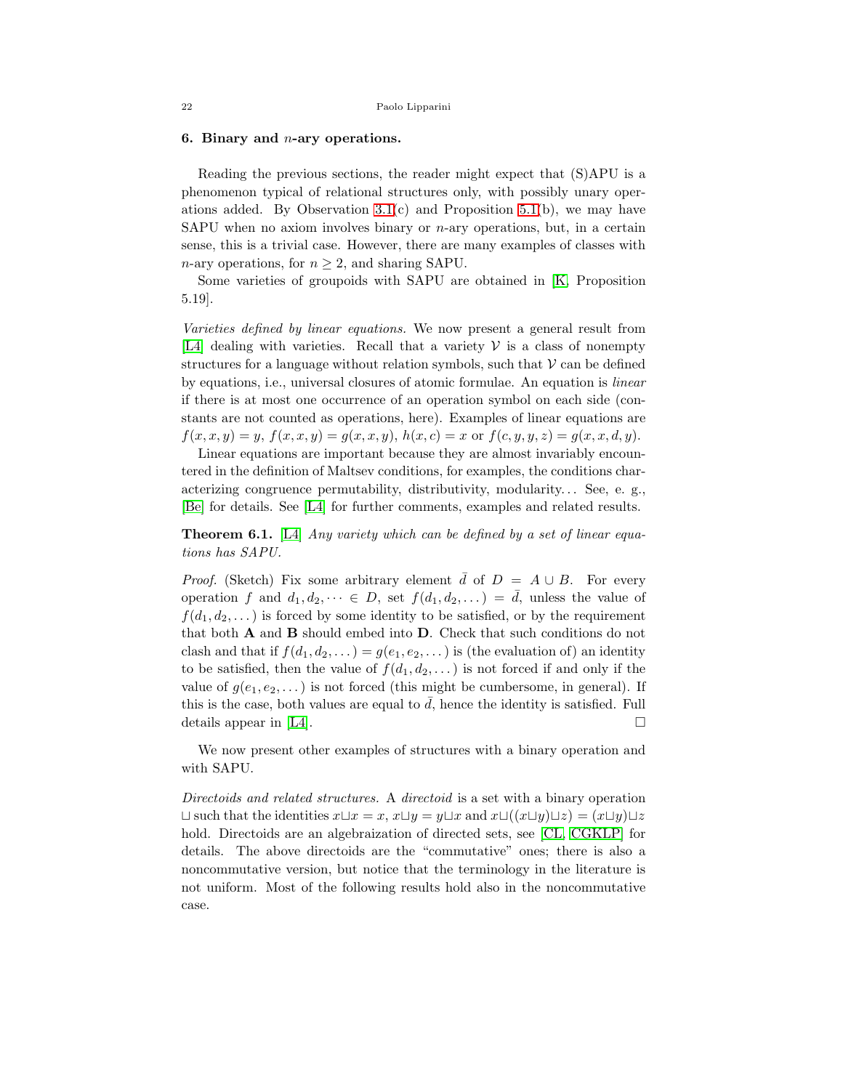# <span id="page-21-0"></span>6. Binary and  $n$ -ary operations.

Reading the previous sections, the reader might expect that (S)APU is a phenomenon typical of relational structures only, with possibly unary operations added. By Observation  $3.1(c)$  and Proposition  $5.1(b)$ , we may have SAPU when no axiom involves binary or  $n$ -ary operations, but, in a certain sense, this is a trivial case. However, there are many examples of classes with n-ary operations, for  $n \geq 2$ , and sharing SAPU.

Some varieties of groupoids with SAPU are obtained in [\[K,](#page-36-12) Proposition 5.19].

*Varieties defined by linear equations.* We now present a general result from [\[L4\]](#page-37-3) dealing with varieties. Recall that a variety  $V$  is a class of nonempty structures for a language without relation symbols, such that  $V$  can be defined by equations, i.e., universal closures of atomic formulae. An equation is *linear* if there is at most one occurrence of an operation symbol on each side (constants are not counted as operations, here). Examples of linear equations are  $f(x, x, y) = y$ ,  $f(x, x, y) = g(x, x, y)$ ,  $h(x, c) = x$  or  $f(c, y, y, z) = g(x, x, d, y)$ .

Linear equations are important because they are almost invariably encountered in the definition of Maltsev conditions, for examples, the conditions characterizing congruence permutability, distributivity, modularity. . . See, e. g., [\[Be\]](#page-36-13) for details. See [\[L4\]](#page-37-3) for further comments, examples and related results.

<span id="page-21-1"></span>Theorem 6.1. [\[L4\]](#page-37-3) *Any variety which can be defined by a set of linear equations has SAPU.*

*Proof.* (Sketch) Fix some arbitrary element  $\bar{d}$  of  $D = A \cup B$ . For every operation f and  $d_1, d_2, \dots \in D$ , set  $f(d_1, d_2, \dots) = \overline{d}$ , unless the value of  $f(d_1, d_2, \dots)$  is forced by some identity to be satisfied, or by the requirement that both A and B should embed into D. Check that such conditions do not clash and that if  $f(d_1, d_2, ...) = g(e_1, e_2, ...)$  is (the evaluation of) an identity to be satisfied, then the value of  $f(d_1, d_2, ...)$  is not forced if and only if the value of  $g(e_1, e_2, \dots)$  is not forced (this might be cumbersome, in general). If this is the case, both values are equal to  $\overline{d}$ , hence the identity is satisfied. Full details appear in [\[L4\]](#page-37-3).  $\Box$ 

We now present other examples of structures with a binary operation and with SAPU.

*Directoids and related structures.* A *directoid* is a set with a binary operation  $\Box$  such that the identities  $x\Box x=x$ ,  $x\Box y=y\Box x$  and  $x\Box((x\Box y)\Box z)=(x\Box y)\Box z$ hold. Directoids are an algebraization of directed sets, see [\[CL,](#page-36-14) [CGKLP\]](#page-36-15) for details. The above directoids are the "commutative" ones; there is also a noncommutative version, but notice that the terminology in the literature is not uniform. Most of the following results hold also in the noncommutative case.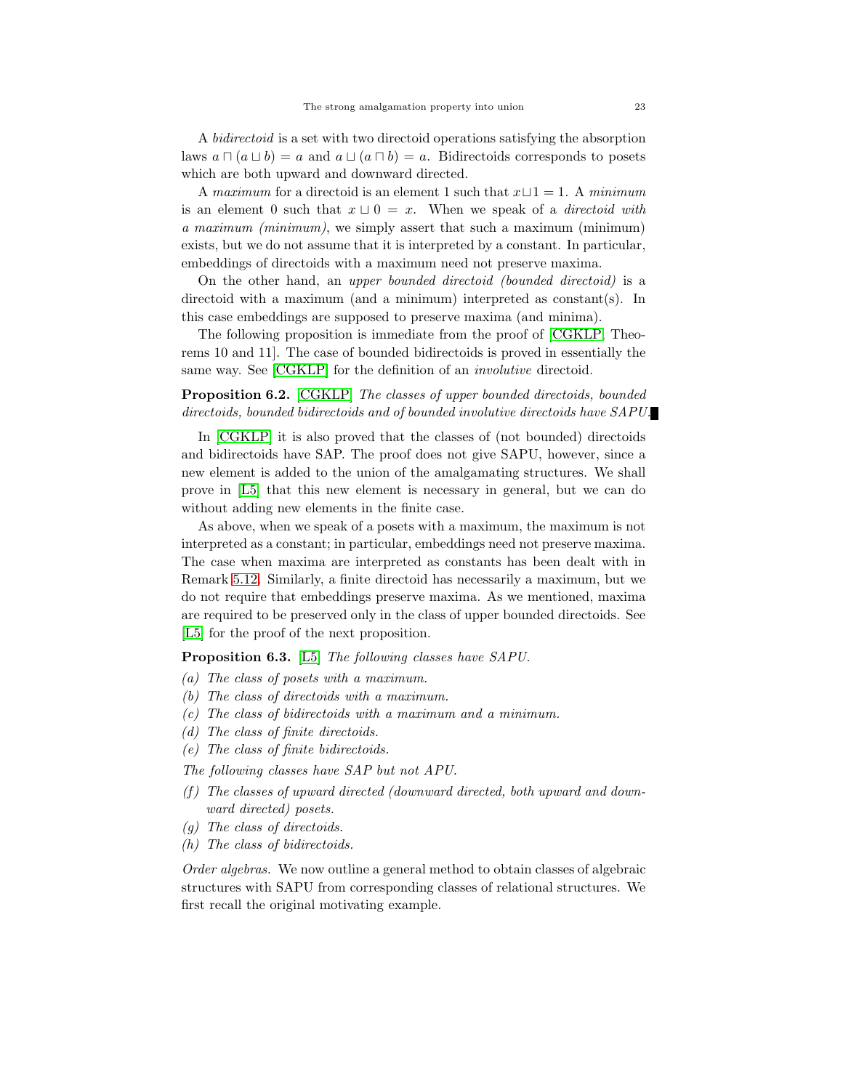A *bidirectoid* is a set with two directoid operations satisfying the absorption laws  $a \sqcap (a \sqcup b) = a$  and  $a \sqcup (a \sqcap b) = a$ . Bidirectoids corresponds to posets which are both upward and downward directed.

A *maximum* for a directoid is an element 1 such that x⊔1 = 1. A *minimum* is an element 0 such that  $x \sqcup 0 = x$ . When we speak of a *directoid with a maximum (minimum)*, we simply assert that such a maximum (minimum) exists, but we do not assume that it is interpreted by a constant. In particular, embeddings of directoids with a maximum need not preserve maxima.

On the other hand, an *upper bounded directoid (bounded directoid)* is a directoid with a maximum (and a minimum) interpreted as constant(s). In this case embeddings are supposed to preserve maxima (and minima).

The following proposition is immediate from the proof of [\[CGKLP,](#page-36-15) Theorems 10 and 11]. The case of bounded bidirectoids is proved in essentially the same way. See [\[CGKLP\]](#page-36-15) for the definition of an *involutive* directoid.

<span id="page-22-0"></span>Proposition 6.2. [\[CGKLP\]](#page-36-15) *The classes of upper bounded directoids, bounded directoids, bounded bidirectoids and of bounded involutive directoids have SAPU.*

In [\[CGKLP\]](#page-36-15) it is also proved that the classes of (not bounded) directoids and bidirectoids have SAP. The proof does not give SAPU, however, since a new element is added to the union of the amalgamating structures. We shall prove in [\[L5\]](#page-37-4) that this new element is necessary in general, but we can do without adding new elements in the finite case.

As above, when we speak of a posets with a maximum, the maximum is not interpreted as a constant; in particular, embeddings need not preserve maxima. The case when maxima are interpreted as constants has been dealt with in Remark [5.12.](#page-20-0) Similarly, a finite directoid has necessarily a maximum, but we do not require that embeddings preserve maxima. As we mentioned, maxima are required to be preserved only in the class of upper bounded directoids. See [\[L5\]](#page-37-4) for the proof of the next proposition.

<span id="page-22-1"></span>Proposition 6.3. [\[L5\]](#page-37-4) *The following classes have SAPU.*

- *(a) The class of posets with a maximum.*
- *(b) The class of directoids with a maximum.*
- *(c) The class of bidirectoids with a maximum and a minimum.*
- *(d) The class of finite directoids.*
- *(e) The class of finite bidirectoids.*
- *The following classes have SAP but not APU.*
- *(f ) The classes of upward directed (downward directed, both upward and downward directed) posets.*
- *(g) The class of directoids.*
- *(h) The class of bidirectoids.*

*Order algebras.* We now outline a general method to obtain classes of algebraic structures with SAPU from corresponding classes of relational structures. We first recall the original motivating example.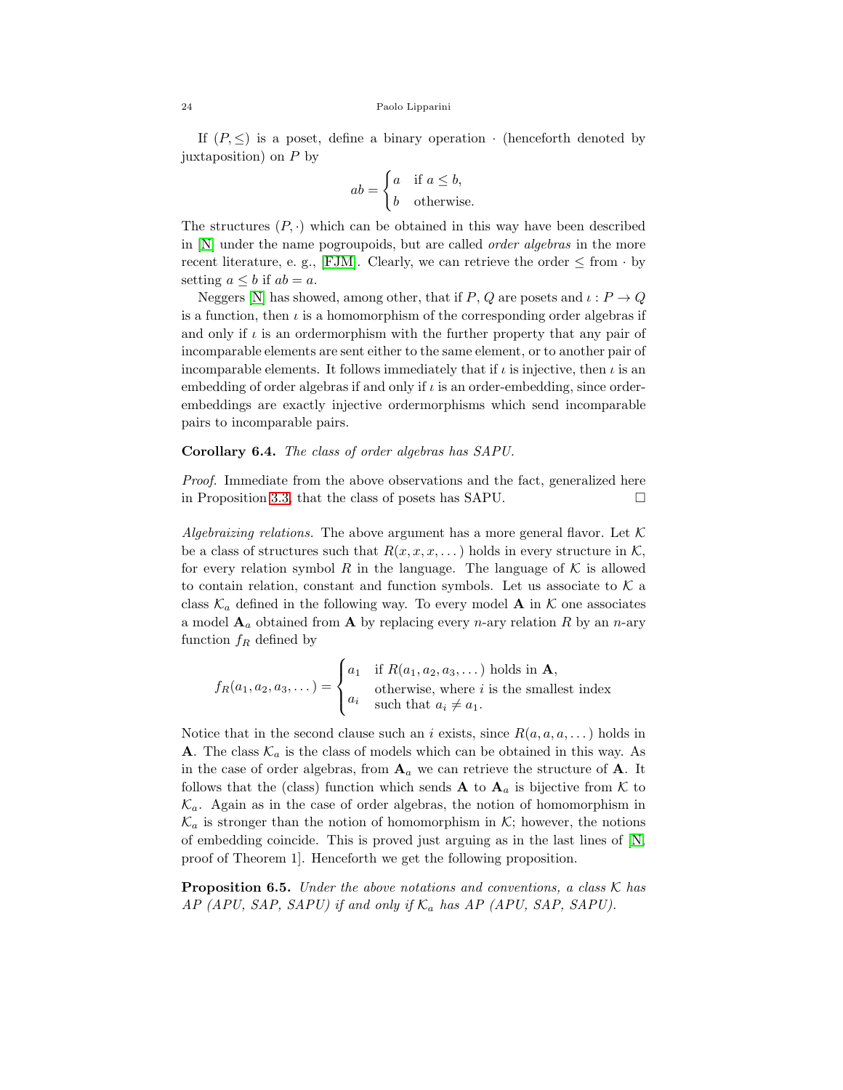If  $(P, \leq)$  is a poset, define a binary operation  $\cdot$  (henceforth denoted by juxtaposition) on  $P$  by

$$
ab = \begin{cases} a & \text{if } a \le b, \\ b & \text{otherwise.} \end{cases}
$$

The structures  $(P, \cdot)$  which can be obtained in this way have been described in [\[N\]](#page-37-5) under the name pogroupoids, but are called *order algebras* in the more recent literature, e. g., [\[FJM\]](#page-36-16). Clearly, we can retrieve the order  $\leq$  from  $\cdot$  by setting  $a \leq b$  if  $ab = a$ .

Neggers [\[N\]](#page-37-5) has showed, among other, that if P, Q are posets and  $\iota: P \to Q$ is a function, then  $\iota$  is a homomorphism of the corresponding order algebras if and only if  $\iota$  is an ordermorphism with the further property that any pair of incomparable elements are sent either to the same element, or to another pair of incomparable elements. It follows immediately that if  $\iota$  is injective, then  $\iota$  is an embedding of order algebras if and only if  $\iota$  is an order-embedding, since orderembeddings are exactly injective ordermorphisms which send incomparable pairs to incomparable pairs.

# Corollary 6.4. *The class of order algebras has SAPU.*

*Proof.* Immediate from the above observations and the fact, generalized here in Proposition [3.3,](#page-6-3) that the class of posets has SAPU.  $\Box$ 

*Algebraizing relations.* The above argument has a more general flavor. Let  $K$ be a class of structures such that  $R(x, x, x, ...)$  holds in every structure in K, for every relation symbol R in the language. The language of  $K$  is allowed to contain relation, constant and function symbols. Let us associate to  $K$  a class  $\mathcal{K}_a$  defined in the following way. To every model **A** in  $\mathcal{K}$  one associates a model  $\mathbf{A}_a$  obtained from  $\mathbf{A}$  by replacing every *n*-ary relation R by an *n*-ary function  $f_R$  defined by

$$
f_R(a_1, a_2, a_3, \dots) = \begin{cases} a_1 & \text{if } R(a_1, a_2, a_3, \dots) \text{ holds in } \mathbf{A}, \\ a_i & \text{otherwise, where } i \text{ is the smallest index} \\ a_i \neq a_1. \end{cases}
$$

Notice that in the second clause such an i exists, since  $R(a, a, a, \dots)$  holds in **A**. The class  $\mathcal{K}_a$  is the class of models which can be obtained in this way. As in the case of order algebras, from  $\mathbf{A}_a$  we can retrieve the structure of  $\mathbf{A}$ . It follows that the (class) function which sends **A** to  $A_a$  is bijective from K to  $\mathcal{K}_a$ . Again as in the case of order algebras, the notion of homomorphism in  $\mathcal{K}_a$  is stronger than the notion of homomorphism in  $\mathcal{K}$ ; however, the notions of embedding coincide. This is proved just arguing as in the last lines of [\[N,](#page-37-5) proof of Theorem 1]. Henceforth we get the following proposition.

Proposition 6.5. *Under the above notations and conventions, a class* K *has*  $AP$  (APU, SAP, SAPU) if and only if  $K_a$  has AP (APU, SAP, SAPU).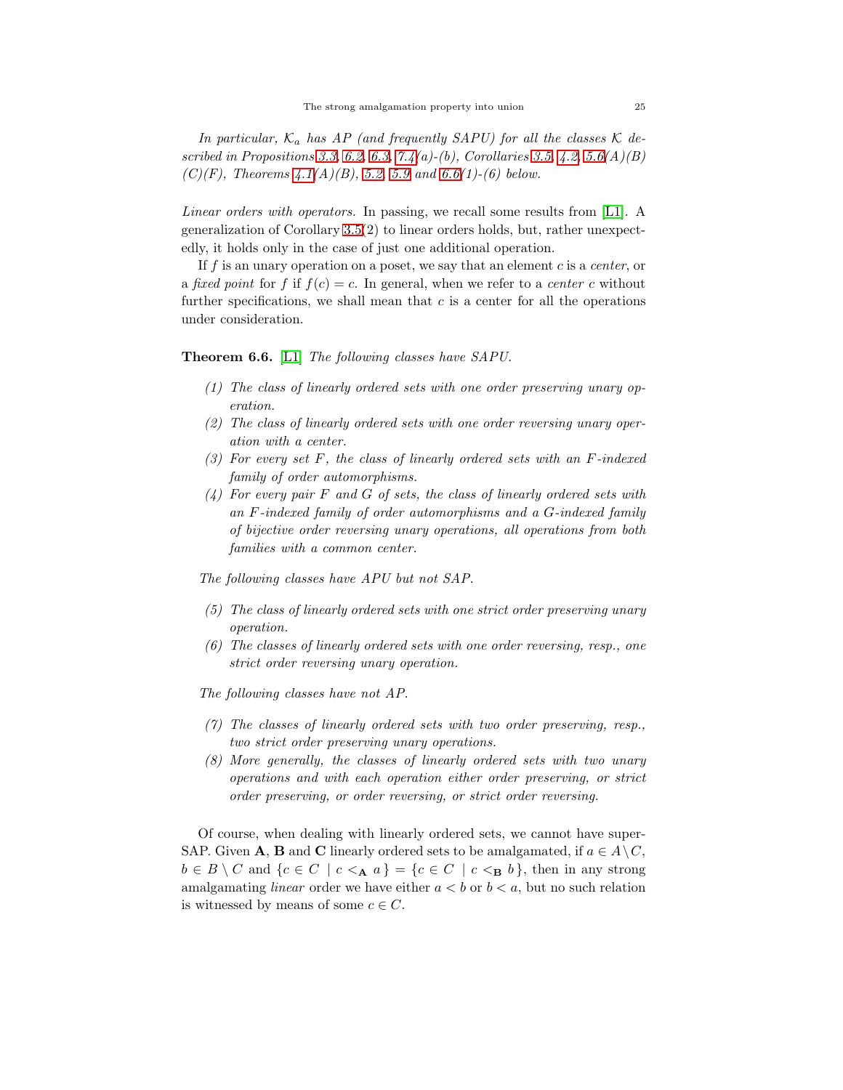In particular,  $K_a$  has AP (and frequently SAPU) for all the classes  $K$  de*scribed in Propositions [3.3,](#page-6-3) [6.2,](#page-22-0) [6.3,](#page-22-1) [7.4\(](#page-26-0)a)-(b), Corollaries [3.5,](#page-9-1) [4.2,](#page-12-0) 5.6(A)(B) (C)(F), Theorems [4.1\(](#page-9-0)A)(B), 5.2, [5.9](#page-18-0) and [6.6\(](#page-24-0)1)-(6) below.*

*Linear orders with operators.* In passing, we recall some results from [\[L1\]](#page-36-8). A generalization of Corollary [3.5\(](#page-9-1)2) to linear orders holds, but, rather unexpectedly, it holds only in the case of just one additional operation.

If f is an unary operation on a poset, we say that an element c is a *center*, or a *fixed point* for f if  $f(c) = c$ . In general, when we refer to a *center* c without further specifications, we shall mean that  $c$  is a center for all the operations under consideration.

<span id="page-24-0"></span>Theorem 6.6. [\[L1\]](#page-36-8) *The following classes have SAPU.*

- *(1) The class of linearly ordered sets with one order preserving unary operation.*
- *(2) The class of linearly ordered sets with one order reversing unary operation with a center.*
- *(3) For every set* F*, the class of linearly ordered sets with an* F*-indexed family of order automorphisms.*
- *(4) For every pair* F *and* G *of sets, the class of linearly ordered sets with an* F*-indexed family of order automorphisms and a* G*-indexed family of bijective order reversing unary operations, all operations from both families with a common center.*

*The following classes have APU but not SAP.*

- *(5) The class of linearly ordered sets with one strict order preserving unary operation.*
- *(6) The classes of linearly ordered sets with one order reversing, resp., one strict order reversing unary operation.*

*The following classes have not AP.*

- *(7) The classes of linearly ordered sets with two order preserving, resp., two strict order preserving unary operations.*
- *(8) More generally, the classes of linearly ordered sets with two unary operations and with each operation either order preserving, or strict order preserving, or order reversing, or strict order reversing.*

Of course, when dealing with linearly ordered sets, we cannot have super-SAP. Given **A**, **B** and **C** linearly ordered sets to be amalgamated, if  $a \in A \setminus C$ ,  $b \in B \setminus C$  and  $\{c \in C \mid c \leq_{\mathbf{A}} a\} = \{c \in C \mid c \leq_{\mathbf{B}} b\}$ , then in any strong amalgamating *linear* order we have either  $a < b$  or  $b < a$ , but no such relation is witnessed by means of some  $c \in C$ .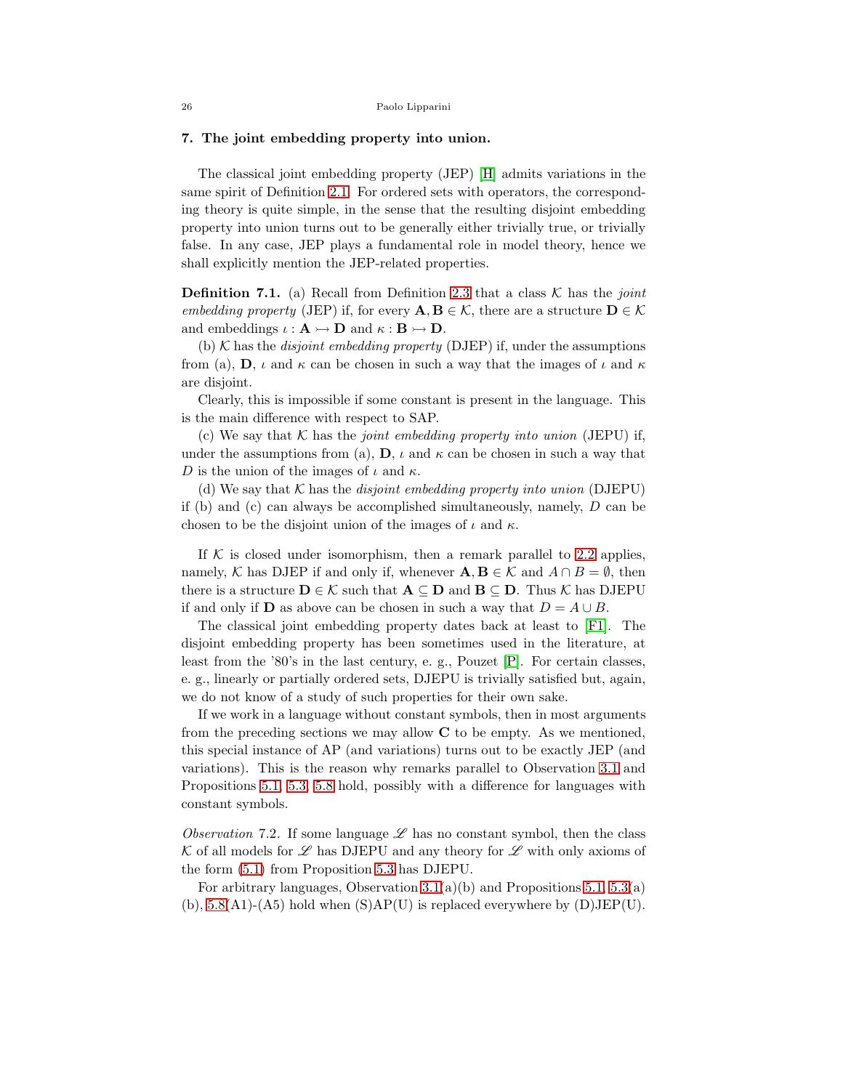# <span id="page-25-0"></span>7. The joint embedding property into union.

The classical joint embedding property (JEP) [\[H\]](#page-36-0) admits variations in the same spirit of Definition [2.1.](#page-2-1) For ordered sets with operators, the corresponding theory is quite simple, in the sense that the resulting disjoint embedding property into union turns out to be generally either trivially true, or trivially false. In any case, JEP plays a fundamental role in model theory, hence we shall explicitly mention the JEP-related properties.

<span id="page-25-1"></span>**Definition 7.1.** (a) Recall from Definition [2.3](#page-4-0) that a class  $\mathcal{K}$  has the *joint embedding property* (JEP) if, for every  $\mathbf{A}, \mathbf{B} \in \mathcal{K}$ , there are a structure  $\mathbf{D} \in \mathcal{K}$ and embeddings  $\iota : \mathbf{A} \rightarrow \mathbf{D}$  and  $\kappa : \mathbf{B} \rightarrow \mathbf{D}$ .

(b)  $K$  has the *disjoint embedding property* (DJEP) if, under the assumptions from (a), **D**,  $\iota$  and  $\kappa$  can be chosen in such a way that the images of  $\iota$  and  $\kappa$ are disjoint.

Clearly, this is impossible if some constant is present in the language. This is the main difference with respect to SAP.

(c) We say that K has the *joint embedding property into union* (JEPU) if, under the assumptions from (a),  $\mathbf{D}$ ,  $\iota$  and  $\kappa$  can be chosen in such a way that D is the union of the images of  $\iota$  and  $\kappa$ .

(d) We say that  $K$  has the *disjoint embedding property into union* (DJEPU) if (b) and (c) can always be accomplished simultaneously, namely, D can be chosen to be the disjoint union of the images of  $\iota$  and  $\kappa$ .

If  $K$  is closed under isomorphism, then a remark parallel to [2.2](#page-3-0) applies, namely, K has DJEP if and only if, whenever  $\mathbf{A}, \mathbf{B} \in \mathcal{K}$  and  $A \cap B = \emptyset$ , then there is a structure  $D \in \mathcal{K}$  such that  $A \subseteq D$  and  $B \subseteq D$ . Thus  $\mathcal{K}$  has DJEPU if and only if **D** as above can be chosen in such a way that  $D = A \cup B$ .

The classical joint embedding property dates back at least to [\[F1\]](#page-36-7). The disjoint embedding property has been sometimes used in the literature, at least from the '80's in the last century, e. g., Pouzet [\[P\]](#page-37-6). For certain classes, e. g., linearly or partially ordered sets, DJEPU is trivially satisfied but, again, we do not know of a study of such properties for their own sake.

If we work in a language without constant symbols, then in most arguments from the preceding sections we may allow  $C$  to be empty. As we mentioned, this special instance of AP (and variations) turns out to be exactly JEP (and variations). This is the reason why remarks parallel to Observation [3.1](#page-4-1) and Propositions [5.1,](#page-13-0) [5.3,](#page-15-0) [5.8](#page-17-0) hold, possibly with a difference for languages with constant symbols.

*Observation* 7.2. If some language  $\mathscr L$  has no constant symbol, then the class K of all models for  $\mathscr L$  has DJEPU and any theory for  $\mathscr L$  with only axioms of the form [\(5.1\)](#page-15-1) from Proposition [5.3](#page-15-0) has DJEPU.

For arbitrary languages, Observation  $3.1(a)(b)$  and Propositions  $5.1, 5.3(a)$  $5.1, 5.3(a)$  $5.1, 5.3(a)$ (b),  $5.8(A1)$ - $(A5)$  hold when  $(S)AP(U)$  is replaced everywhere by  $(D)JEP(U)$ .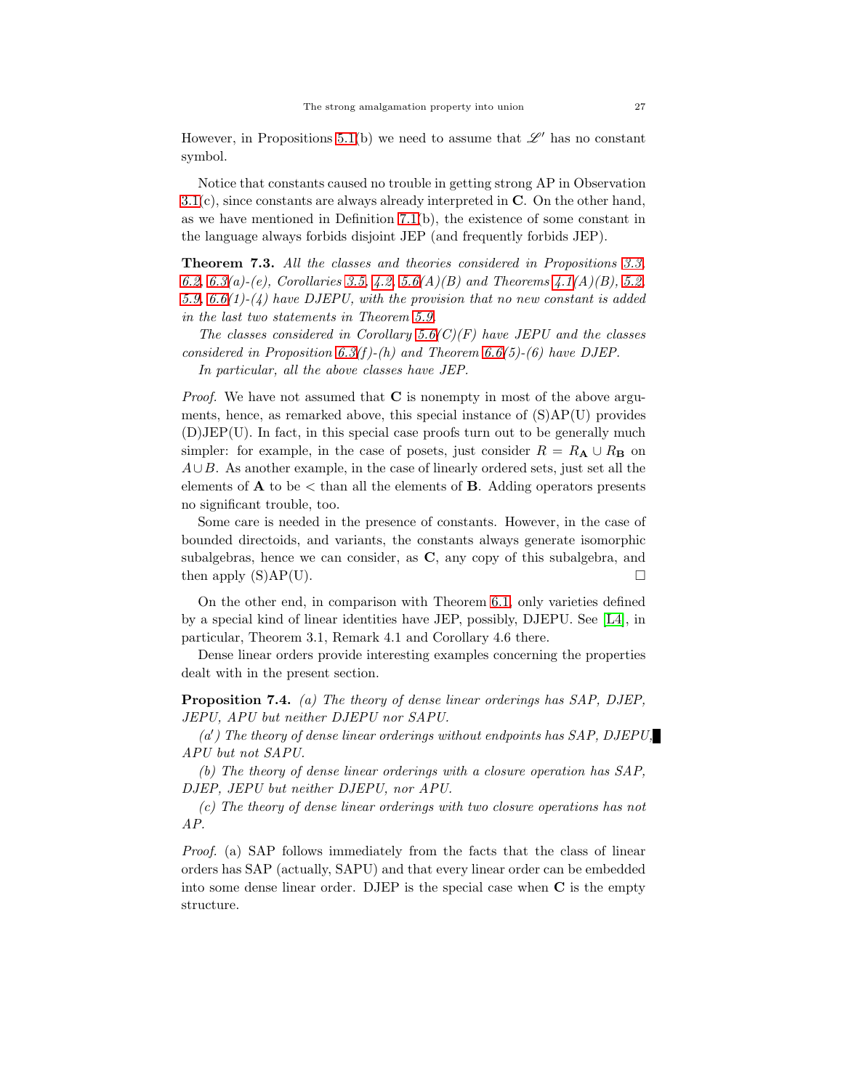However, in Propositions [5.1\(](#page-13-0)b) we need to assume that  $\mathscr{L}'$  has no constant symbol.

Notice that constants caused no trouble in getting strong AP in Observation  $3.1(c)$  $3.1(c)$ , since constants are always already interpreted in C. On the other hand, as we have mentioned in Definition [7.1\(](#page-25-1)b), the existence of some constant in the language always forbids disjoint JEP (and frequently forbids JEP).

Theorem 7.3. *All the classes and theories considered in Propositions [3.3,](#page-6-3) [6.2,](#page-22-0) [6.3\(](#page-22-1)a)-(e), Corollaries [3.5,](#page-9-1) [4.2,](#page-12-0) 5.6(A)(B) and Theorems [4.1\(](#page-9-0)A)(B), 5.2, [5.9,](#page-18-0) [6.6\(](#page-24-0)1)-(4) have DJEPU, with the provision that no new constant is added in the last two statements in Theorem [5.9.](#page-18-0)*

*The classes considered in Corollary 5.6(C)(F) have JEPU and the classes considered in Proposition [6.3\(](#page-22-1)f )-(h) and Theorem [6.6\(](#page-24-0)5)-(6) have DJEP.*

*In particular, all the above classes have JEP.*

*Proof.* We have not assumed that **C** is nonempty in most of the above arguments, hence, as remarked above, this special instance of (S)AP(U) provides (D)JEP(U). In fact, in this special case proofs turn out to be generally much simpler: for example, in the case of posets, just consider  $R = R_{\mathbf{A}} \cup R_{\mathbf{B}}$  on  $A\cup B$ . As another example, in the case of linearly ordered sets, just set all the elements of  $\bf{A}$  to be  $\lt$  than all the elements of  $\bf{B}$ . Adding operators presents no significant trouble, too.

Some care is needed in the presence of constants. However, in the case of bounded directoids, and variants, the constants always generate isomorphic subalgebras, hence we can consider, as C, any copy of this subalgebra, and then apply  $(S)AP(U)$ .

On the other end, in comparison with Theorem [6.1,](#page-21-1) only varieties defined by a special kind of linear identities have JEP, possibly, DJEPU. See [\[L4\]](#page-37-3), in particular, Theorem 3.1, Remark 4.1 and Corollary 4.6 there.

Dense linear orders provide interesting examples concerning the properties dealt with in the present section.

<span id="page-26-0"></span>Proposition 7.4. *(a) The theory of dense linear orderings has SAP, DJEP, JEPU, APU but neither DJEPU nor SAPU.*

*(a*′ *) The theory of dense linear orderings without endpoints has SAP, DJEPU, APU but not SAPU.*

*(b) The theory of dense linear orderings with a closure operation has SAP, DJEP, JEPU but neither DJEPU, nor APU.*

*(c) The theory of dense linear orderings with two closure operations has not AP.*

*Proof.* (a) SAP follows immediately from the facts that the class of linear orders has SAP (actually, SAPU) and that every linear order can be embedded into some dense linear order. DJEP is the special case when C is the empty structure.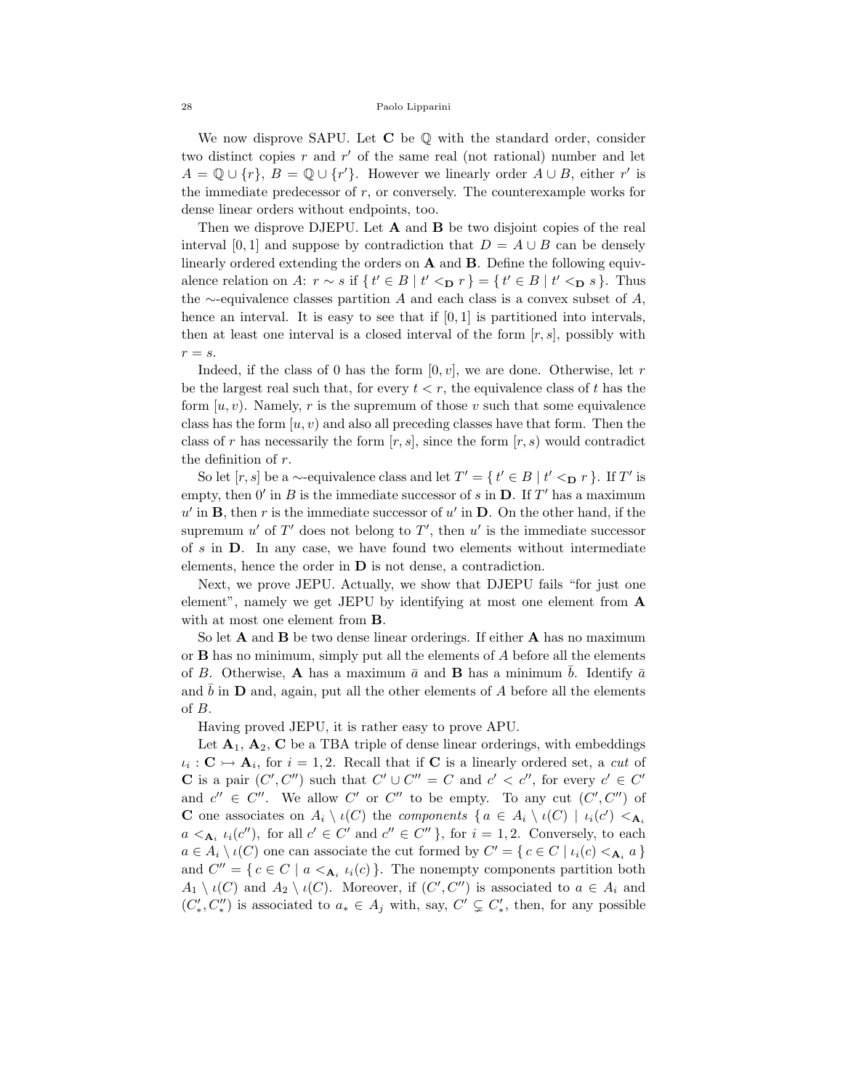We now disprove SAPU. Let  $C$  be  $Q$  with the standard order, consider two distinct copies  $r$  and  $r'$  of the same real (not rational) number and let  $A = \mathbb{Q} \cup \{r\}, B = \mathbb{Q} \cup \{r'\}.$  However we linearly order  $A \cup B$ , either r' is the immediate predecessor of  $r$ , or conversely. The counterexample works for dense linear orders without endpoints, too.

Then we disprove DJEPU. Let **A** and **B** be two disjoint copies of the real interval [0, 1] and suppose by contradiction that  $D = A \cup B$  can be densely linearly ordered extending the orders on A and B. Define the following equivalence relation on A:  $r \sim s$  if  $\{ t' \in B \mid t' <_{\mathbf{D}} r \} = \{ t' \in B \mid t' <_{\mathbf{D}} s \}.$  Thus the  $\sim$ -equivalence classes partition A and each class is a convex subset of A, hence an interval. It is easy to see that if  $[0, 1]$  is partitioned into intervals, then at least one interval is a closed interval of the form  $[r, s]$ , possibly with  $r = s$ .

Indeed, if the class of 0 has the form  $[0, v]$ , we are done. Otherwise, let r be the largest real such that, for every  $t < r$ , the equivalence class of t has the form  $[u, v]$ . Namely, r is the supremum of those v such that some equivalence class has the form  $[u, v]$  and also all preceding classes have that form. Then the class of r has necessarily the form  $[r, s]$ , since the form  $[r, s]$  would contradict the definition of r.

So let  $[r, s]$  be a ∼-equivalence class and let  $T' = \{ t' \in B \mid t' \leq_D r \}$ . If T' is empty, then  $0'$  in B is the immediate successor of s in  $D$ . If T' has a maximum  $u'$  in **B**, then r is the immediate successor of  $u'$  in **D**. On the other hand, if the supremum  $u'$  of  $T'$  does not belong to  $T'$ , then  $u'$  is the immediate successor of s in D. In any case, we have found two elements without intermediate elements, hence the order in D is not dense, a contradiction.

Next, we prove JEPU. Actually, we show that DJEPU fails "for just one element", namely we get JEPU by identifying at most one element from A with at most one element from B.

So let  $A$  and  $B$  be two dense linear orderings. If either  $A$  has no maximum or  $\bf{B}$  has no minimum, simply put all the elements of  $\bf{A}$  before all the elements of B. Otherwise, **A** has a maximum  $\bar{a}$  and **B** has a minimum  $\bar{b}$ . Identify  $\bar{a}$ and  $\bar{b}$  in D and, again, put all the other elements of A before all the elements of B.

Having proved JEPU, it is rather easy to prove APU.

Let  $A_1$ ,  $A_2$ , C be a TBA triple of dense linear orderings, with embeddings  $\iota_i : \mathbf{C} \rightarrowtail \mathbf{A}_i$ , for  $i = 1, 2$ . Recall that if **C** is a linearly ordered set, a *cut* of **C** is a pair  $(C', C'')$  such that  $C' \cup C'' = C$  and  $c' < c''$ , for every  $c' \in C'$ and  $c'' \in C''$ . We allow C' or C'' to be empty. To any cut  $(C', C'')$  of **C** one associates on  $A_i \setminus \iota(C)$  the *components*  $\{a \in A_i \setminus \iota(C) \mid \iota_i(c') \leq A_i\}$  $a \leq_{\mathbf{A}_i} \iota_i(c'')$ , for all  $c' \in C'$  and  $c'' \in C''$ , for  $i = 1, 2$ . Conversely, to each  $a \in A_i \setminus \iota(C)$  one can associate the cut formed by  $C' = \{ c \in C \mid \iota_i(c) < \mathbf{A}_i \mid a \}$ and  $C'' = \{ c \in C \mid a \leq_{\mathbf{A}_i} u_i(c) \}.$  The nonempty components partition both  $A_1 \setminus \iota(C)$  and  $A_2 \setminus \iota(C)$ . Moreover, if  $(C', C'')$  is associated to  $a \in A_i$  and  $(C'_*, C''_*)$  is associated to  $a_* \in A_j$  with, say,  $C' \subsetneq C'_*$ , then, for any possible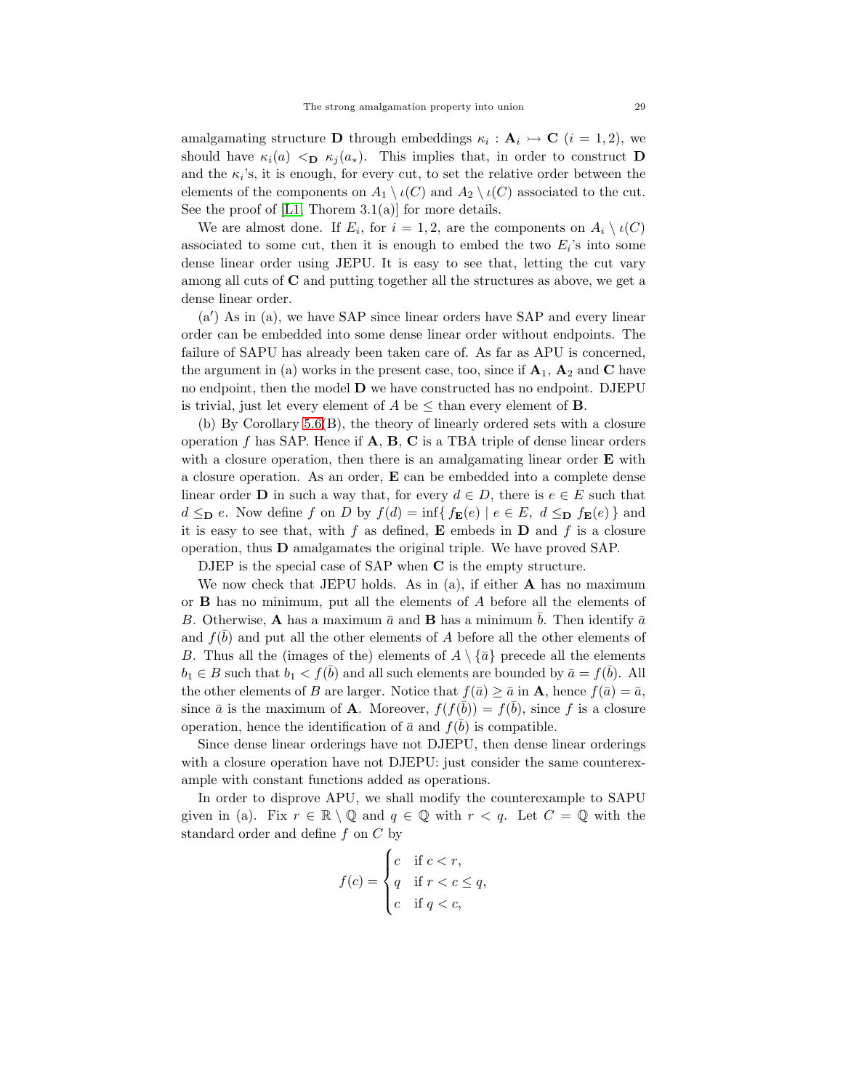amalgamating structure **D** through embeddings  $\kappa_i : \mathbf{A}_i \rightarrow \mathbf{C}$  ( $i = 1, 2$ ), we should have  $\kappa_i(a) <_{\mathbf{D}} \kappa_j(a_*)$ . This implies that, in order to construct **D** and the  $\kappa_i$ 's, it is enough, for every cut, to set the relative order between the elements of the components on  $A_1 \setminus \iota(C)$  and  $A_2 \setminus \iota(C)$  associated to the cut. See the proof of  $[L1, Thorem 3.1(a)]$  for more details.

We are almost done. If  $E_i$ , for  $i = 1, 2$ , are the components on  $A_i \setminus \iota(C)$ associated to some cut, then it is enough to embed the two  $E_i$ 's into some dense linear order using JEPU. It is easy to see that, letting the cut vary among all cuts of C and putting together all the structures as above, we get a dense linear order.

(a′ ) As in (a), we have SAP since linear orders have SAP and every linear order can be embedded into some dense linear order without endpoints. The failure of SAPU has already been taken care of. As far as APU is concerned, the argument in (a) works in the present case, too, since if  $A_1$ ,  $A_2$  and C have no endpoint, then the model D we have constructed has no endpoint. DJEPU is trivial, just let every element of A be  $\leq$  than every element of **B**.

(b) By Corollary 5.6(B), the theory of linearly ordered sets with a closure operation f has SAP. Hence if  $A$ ,  $B$ ,  $C$  is a TBA triple of dense linear orders with a closure operation, then there is an amalgamating linear order  $E$  with a closure operation. As an order, E can be embedded into a complete dense linear order **D** in such a way that, for every  $d \in D$ , there is  $e \in E$  such that  $d \leq_{\mathbf{D}} e$ . Now define f on D by  $f(d) = \inf\{f_{\mathbf{E}}(e) \mid e \in E, d \leq_{\mathbf{D}} f_{\mathbf{E}}(e)\}\$ and it is easy to see that, with f as defined,  $E$  embeds in  $D$  and f is a closure operation, thus D amalgamates the original triple. We have proved SAP.

DJEP is the special case of SAP when C is the empty structure.

We now check that JEPU holds. As in  $(a)$ , if either **A** has no maximum or B has no minimum, put all the elements of A before all the elements of B. Otherwise, **A** has a maximum  $\bar{a}$  and **B** has a minimum  $\bar{b}$ . Then identify  $\bar{a}$ and  $f(\bar{b})$  and put all the other elements of A before all the other elements of B. Thus all the (images of the) elements of  $A \setminus {\overline{a}}$  precede all the elements  $b_1 \in B$  such that  $b_1 < f(\bar{b})$  and all such elements are bounded by  $\bar{a} = f(\bar{b})$ . All the other elements of B are larger. Notice that  $f(\bar{a}) \geq \bar{a}$  in **A**, hence  $f(\bar{a}) = \bar{a}$ , since  $\bar{a}$  is the maximum of **A**. Moreover,  $f(f(\bar{b})) = f(\bar{b})$ , since f is a closure operation, hence the identification of  $\bar{a}$  and  $f(\bar{b})$  is compatible.

Since dense linear orderings have not DJEPU, then dense linear orderings with a closure operation have not DJEPU: just consider the same counterexample with constant functions added as operations.

In order to disprove APU, we shall modify the counterexample to SAPU given in (a). Fix  $r \in \mathbb{R} \setminus \mathbb{Q}$  and  $q \in \mathbb{Q}$  with  $r < q$ . Let  $C = \mathbb{Q}$  with the standard order and define  $f$  on  $C$  by

$$
f(c) = \begin{cases} c & \text{if } c < r, \\ q & \text{if } r < c \le q, \\ c & \text{if } q < c, \end{cases}
$$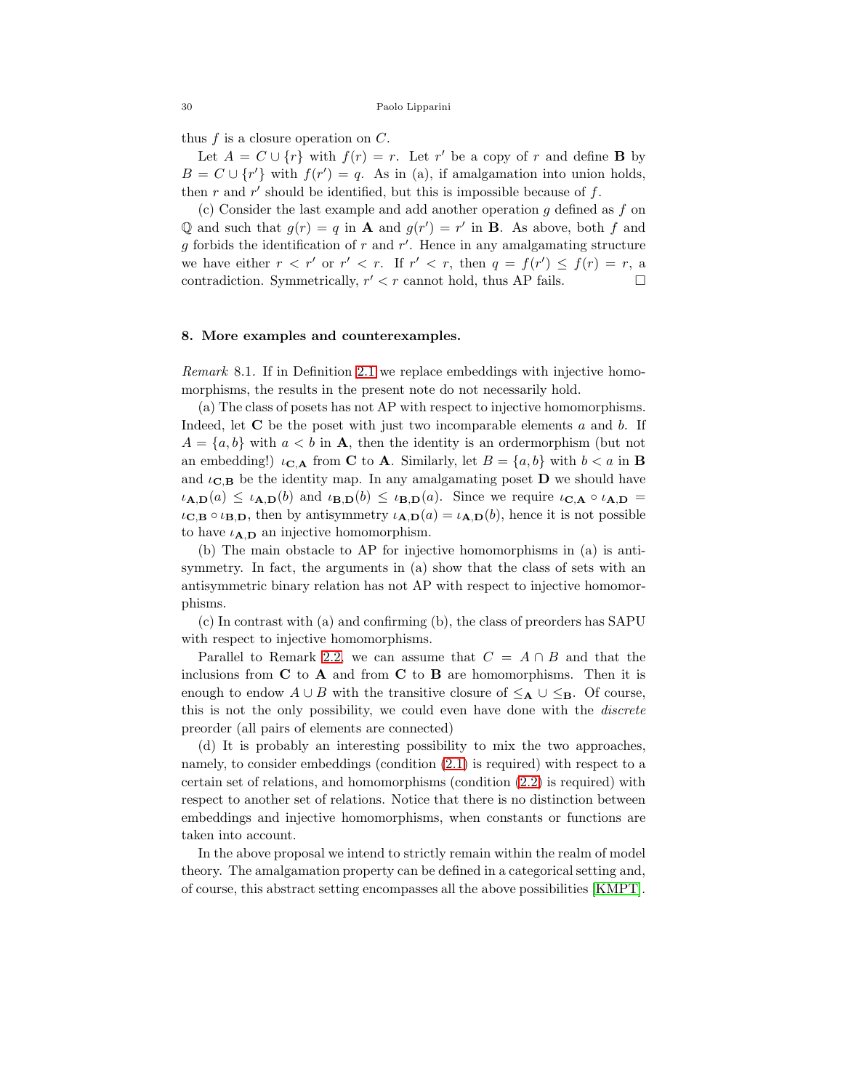thus  $f$  is a closure operation on  $C$ .

Let  $A = C \cup \{r\}$  with  $f(r) = r$ . Let r' be a copy of r and define **B** by  $B = C \cup \{r'\}$  with  $f(r') = q$ . As in (a), if amalgamation into union holds, then  $r$  and  $r'$  should be identified, but this is impossible because of  $f$ .

(c) Consider the last example and add another operation  $g$  defined as  $f$  on Q and such that  $g(r) = q$  in **A** and  $g(r') = r'$  in **B**. As above, both f and  $g$  forbids the identification of  $r$  and  $r'$ . Hence in any amalgamating structure we have either  $r < r'$  or  $r' < r$ . If  $r' < r$ , then  $q = f(r') \leq f(r) = r$ , a contradiction. Symmetrically,  $r' < r$  cannot hold, thus AP fails.  $\Box$ 

### 8. More examples and counterexamples.

<span id="page-29-0"></span>*Remark* 8.1*.* If in Definition [2.1](#page-2-1) we replace embeddings with injective homomorphisms, the results in the present note do not necessarily hold.

(a) The class of posets has not AP with respect to injective homomorphisms. Indeed, let  $C$  be the poset with just two incomparable elements  $a$  and  $b$ . If  $A = \{a, b\}$  with  $a < b$  in **A**, then the identity is an ordermorphism (but not an embedding!)  $\iota_{\mathbf{C},\mathbf{A}}$  from **C** to **A**. Similarly, let  $B = \{a, b\}$  with  $b < a$  in **B** and  $\iota_{\mathbf{C},\mathbf{B}}$  be the identity map. In any amalgamating poset **D** we should have  $\iota_{\mathbf{A},\mathbf{D}}(a) \leq \iota_{\mathbf{A},\mathbf{D}}(b)$  and  $\iota_{\mathbf{B},\mathbf{D}}(b) \leq \iota_{\mathbf{B},\mathbf{D}}(a)$ . Since we require  $\iota_{\mathbf{C},\mathbf{A}} \circ \iota_{\mathbf{A},\mathbf{D}} =$  $\iota_{\mathbf{C},\mathbf{B}} \circ \iota_{\mathbf{B},\mathbf{D}},$  then by antisymmetry  $\iota_{\mathbf{A},\mathbf{D}}(a) = \iota_{\mathbf{A},\mathbf{D}}(b)$ , hence it is not possible to have  $\iota_{A,D}$  an injective homomorphism.

(b) The main obstacle to AP for injective homomorphisms in (a) is antisymmetry. In fact, the arguments in (a) show that the class of sets with an antisymmetric binary relation has not AP with respect to injective homomorphisms.

(c) In contrast with (a) and confirming (b), the class of preorders has SAPU with respect to injective homomorphisms.

Parallel to Remark [2.2,](#page-3-0) we can assume that  $C = A \cap B$  and that the inclusions from  $C$  to  $A$  and from  $C$  to  $B$  are homomorphisms. Then it is enough to endow  $A \cup B$  with the transitive closure of  $\leq_{\mathbf{A}} \cup \leq_{\mathbf{B}}$ . Of course, this is not the only possibility, we could even have done with the *discrete* preorder (all pairs of elements are connected)

(d) It is probably an interesting possibility to mix the two approaches, namely, to consider embeddings (condition [\(2.1\)](#page-2-0) is required) with respect to a certain set of relations, and homomorphisms (condition [\(2.2\)](#page-2-2) is required) with respect to another set of relations. Notice that there is no distinction between embeddings and injective homomorphisms, when constants or functions are taken into account.

In the above proposal we intend to strictly remain within the realm of model theory. The amalgamation property can be defined in a categorical setting and, of course, this abstract setting encompasses all the above possibilities [\[KMPT\]](#page-36-4).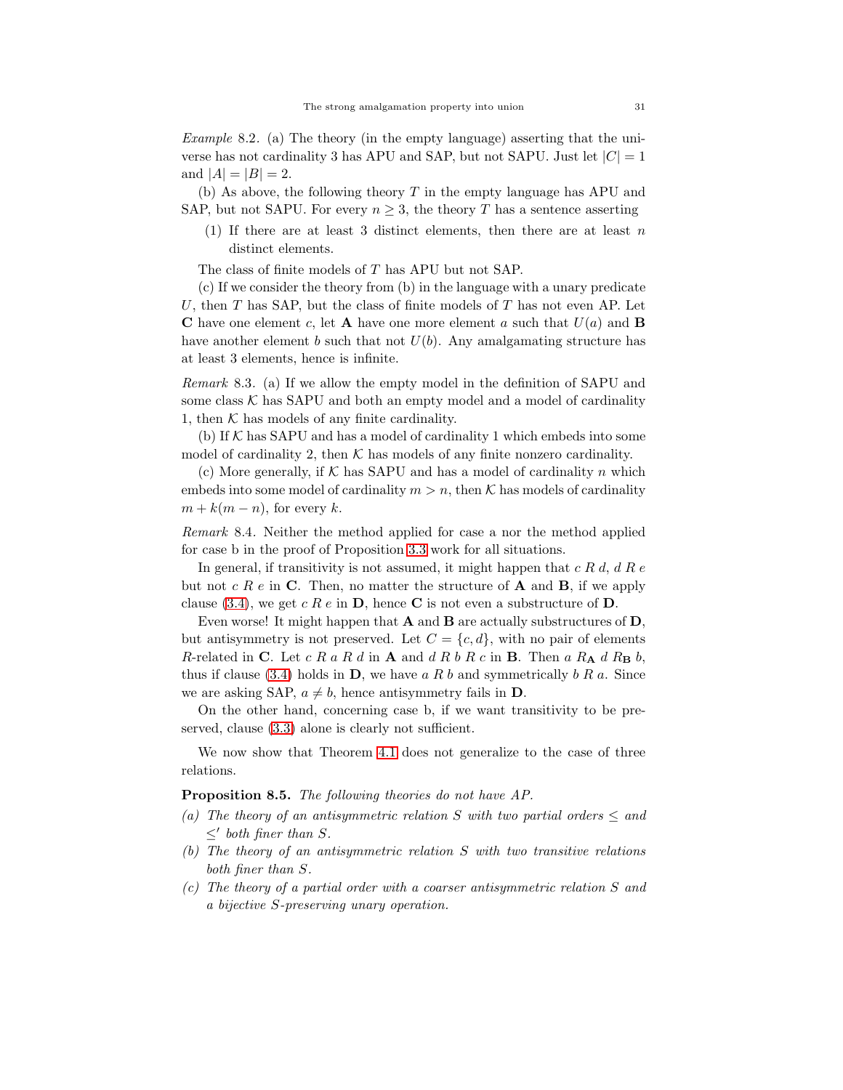<span id="page-30-0"></span>*Example* 8.2*.* (a) The theory (in the empty language) asserting that the universe has not cardinality 3 has APU and SAP, but not SAPU. Just let  $|C| = 1$ and  $|A| = |B| = 2$ .

(b) As above, the following theory  $T$  in the empty language has APU and SAP, but not SAPU. For every  $n \geq 3$ , the theory T has a sentence asserting

(1) If there are at least 3 distinct elements, then there are at least  $n$ distinct elements.

The class of finite models of T has APU but not SAP.

(c) If we consider the theory from (b) in the language with a unary predicate U, then  $T$  has SAP, but the class of finite models of  $T$  has not even AP. Let **C** have one element c, let **A** have one more element a such that  $U(a)$  and **B** have another element b such that not  $U(b)$ . Any amalgamating structure has at least 3 elements, hence is infinite.

<span id="page-30-3"></span>*Remark* 8.3*.* (a) If we allow the empty model in the definition of SAPU and some class  $K$  has SAPU and both an empty model and a model of cardinality 1, then  $K$  has models of any finite cardinality.

(b) If  $K$  has SAPU and has a model of cardinality 1 which embeds into some model of cardinality 2, then  $K$  has models of any finite nonzero cardinality.

(c) More generally, if  $K$  has SAPU and has a model of cardinality n which embeds into some model of cardinality  $m > n$ , then K has models of cardinality  $m + k(m - n)$ , for every k.

<span id="page-30-1"></span>*Remark* 8.4*.* Neither the method applied for case a nor the method applied for case b in the proof of Proposition [3.3](#page-6-3) work for all situations.

In general, if transitivity is not assumed, it might happen that  $c R d, d R e$ but not c R e in C. Then, no matter the structure of A and B, if we apply clause [\(3.4\)](#page-7-1), we get c R e in D, hence C is not even a substructure of D.

Even worse! It might happen that A and B are actually substructures of D, but antisymmetry is not preserved. Let  $C = \{c, d\}$ , with no pair of elements R-related in C. Let  $c R a R d$  in A and  $d R b R c$  in B. Then  $a R_A d R_B b$ , thus if clause [\(3.4\)](#page-7-1) holds in  $\mathbf{D}$ , we have a R b and symmetrically b R a. Since we are asking SAP,  $a \neq b$ , hence antisymmetry fails in **D**.

On the other hand, concerning case b, if we want transitivity to be preserved, clause [\(3.3\)](#page-6-2) alone is clearly not sufficient.

We now show that Theorem [4.1](#page-9-0) does not generalize to the case of three relations.

<span id="page-30-2"></span>Proposition 8.5. *The following theories do not have AP.*

- *(a)* The theory of an antisymmetric relation S with two partial orders  $\leq$  and  $\leq'$  both finer than *S*.
- *(b) The theory of an antisymmetric relation* S *with two transitive relations both finer than* S*.*
- *(c) The theory of a partial order with a coarser antisymmetric relation* S *and a bijective* S*-preserving unary operation.*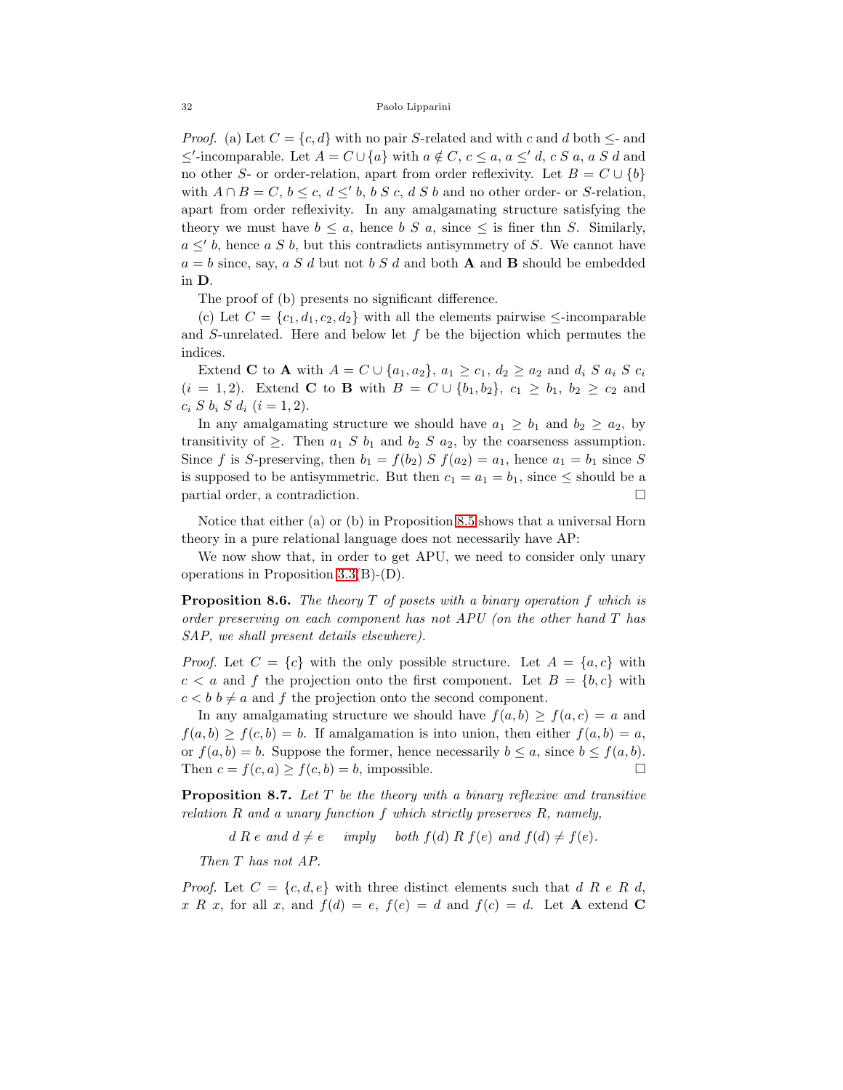*Proof.* (a) Let  $C = \{c, d\}$  with no pair S-related and with c and d both  $\leq$ - and ≤'-incomparable. Let  $A = C \cup \{a\}$  with  $a \notin C$ ,  $c \le a$ ,  $a \le' d$ ,  $c S a$ ,  $a S d$  and no other S- or order-relation, apart from order reflexivity. Let  $B = C \cup \{b\}$ with  $A \cap B = C$ ,  $b \leq c$ ,  $d \leq b$ ,  $b S c$ ,  $d S b$  and no other order- or S-relation, apart from order reflexivity. In any amalgamating structure satisfying the theory we must have  $b \leq a$ , hence b S a, since  $\leq$  is finer thn S. Similarly,  $a \leq' b$ , hence a S b, but this contradicts antisymmetry of S. We cannot have  $a = b$  since, say, a S d but not b S d and both **A** and **B** should be embedded in D.

The proof of (b) presents no significant difference.

(c) Let  $C = \{c_1, d_1, c_2, d_2\}$  with all the elements pairwise  $\leq$ -incomparable and S-unrelated. Here and below let f be the bijection which permutes the indices.

Extend **C** to **A** with  $A = C \cup \{a_1, a_2\}$ ,  $a_1 \geq c_1$ ,  $d_2 \geq a_2$  and  $d_i S a_i S c_i$  $(i = 1, 2)$ . Extend **C** to **B** with  $B = C \cup \{b_1, b_2\}$ ,  $c_1 \geq b_1$ ,  $b_2 \geq c_2$  and  $c_i S b_i S d_i (i = 1, 2).$ 

In any amalgamating structure we should have  $a_1 \geq b_1$  and  $b_2 \geq a_2$ , by transitivity of  $\geq$ . Then  $a_1 S b_1$  and  $b_2 S a_2$ , by the coarseness assumption. Since f is S-preserving, then  $b_1 = f(b_2) S f(a_2) = a_1$ , hence  $a_1 = b_1$  since S is supposed to be antisymmetric. But then  $c_1 = a_1 = b_1$ , since  $\le$  should be a partial order, a contradiction.

Notice that either (a) or (b) in Proposition [8.5](#page-30-2) shows that a universal Horn theory in a pure relational language does not necessarily have AP:

We now show that, in order to get APU, we need to consider only unary operations in Proposition [3.3\(](#page-6-3)B)-(D).

<span id="page-31-0"></span>Proposition 8.6. *The theory* T *of posets with a binary operation* f *which is order preserving on each component has not APU (on the other hand* T *has SAP, we shall present details elsewhere).*

*Proof.* Let  $C = \{c\}$  with the only possible structure. Let  $A = \{a, c\}$  with  $c < a$  and f the projection onto the first component. Let  $B = \{b, c\}$  with  $c < b$   $b \neq a$  and f the projection onto the second component.

In any amalgamating structure we should have  $f(a, b) \ge f(a, c) = a$  and  $f(a, b) \ge f(c, b) = b$ . If amalgamation is into union, then either  $f(a, b) = a$ , or  $f(a, b) = b$ . Suppose the former, hence necessarily  $b \le a$ , since  $b \le f(a, b)$ . Then  $c = f(c, a) \ge f(c, b) = b$ , impossible.

<span id="page-31-1"></span>Proposition 8.7. *Let* T *be the theory with a binary reflexive and transitive relation* R *and a unary function* f *which strictly preserves* R*, namely,*

 $d R e$  *and*  $d \neq e$  *imply both*  $f(d) R f(e)$  *and*  $f(d) \neq f(e)$ *.* 

*Then* T *has not AP.*

*Proof.* Let  $C = \{c, d, e\}$  with three distinct elements such that d R e R d, x R x, for all x, and  $f(d) = e$ ,  $f(e) = d$  and  $f(c) = d$ . Let A extend C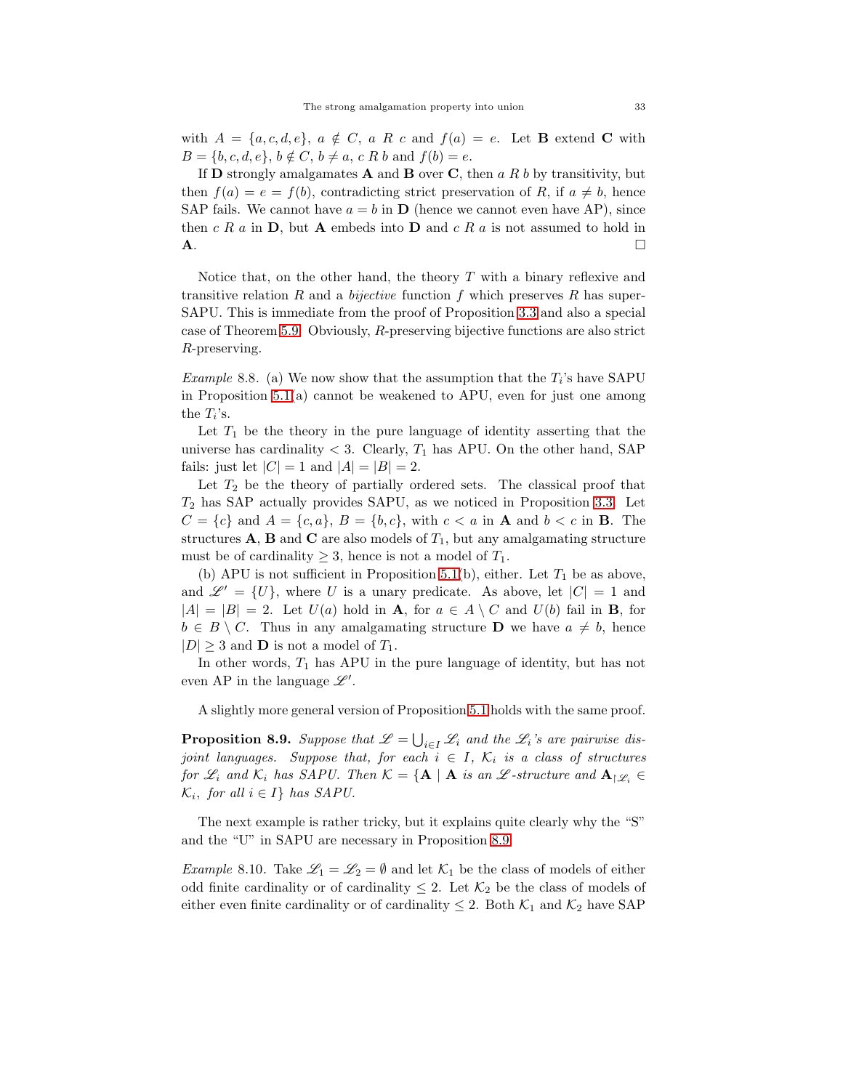with  $A = \{a, c, d, e\}$ ,  $a \notin C$ ,  $a R c$  and  $f(a) = e$ . Let **B** extend **C** with  $B = \{b, c, d, e\}, b \notin C, b \neq a, c R b \text{ and } f(b) = e.$ 

If **D** strongly amalgamates **A** and **B** over **C**, then a R b by transitivity, but then  $f(a) = e = f(b)$ , contradicting strict preservation of R, if  $a \neq b$ , hence SAP fails. We cannot have  $a = b$  in **D** (hence we cannot even have AP), since then  $c R a$  in  $D$ , but A embeds into  $D$  and  $c R a$  is not assumed to hold in  $\mathbf{A}$ .

Notice that, on the other hand, the theory  $T$  with a binary reflexive and transitive relation  $R$  and a *bijective* function  $f$  which preserves  $R$  has super-SAPU. This is immediate from the proof of Proposition [3.3](#page-6-3) and also a special case of Theorem [5.9.](#page-18-0) Obviously, R-preserving bijective functions are also strict R-preserving.

<span id="page-32-1"></span>*Example* 8.8. (a) We now show that the assumption that the  $T_i$ 's have SAPU in Proposition [5.1\(](#page-13-0)a) cannot be weakened to APU, even for just one among the  $T_i$ 's.

Let  $T_1$  be the theory in the pure language of identity asserting that the universe has cardinality  $<$  3. Clearly,  $T_1$  has APU. On the other hand, SAP fails: just let  $|C| = 1$  and  $|A| = |B| = 2$ .

Let  $T_2$  be the theory of partially ordered sets. The classical proof that  $T_2$  has SAP actually provides SAPU, as we noticed in Proposition [3.3.](#page-6-3) Let  $C = \{c\}$  and  $A = \{c, a\}$ ,  $B = \{b, c\}$ , with  $c < a$  in **A** and  $b < c$  in **B**. The structures  $\mathbf{A}$ ,  $\mathbf{B}$  and  $\mathbf{C}$  are also models of  $T_1$ , but any amalgamating structure must be of cardinality  $\geq 3$ , hence is not a model of  $T_1$ .

(b) APU is not sufficient in Proposition [5.1\(](#page-13-0)b), either. Let  $T_1$  be as above, and  $\mathscr{L}' = \{U\}$ , where U is a unary predicate. As above, let  $|C| = 1$  and  $|A| = |B| = 2$ . Let  $U(a)$  hold in **A**, for  $a \in A \setminus C$  and  $U(b)$  fail in **B**, for  $b \in B \setminus C$ . Thus in any amalgamating structure **D** we have  $a \neq b$ , hence  $|D| \geq 3$  and **D** is not a model of  $T_1$ .

In other words,  $T_1$  has APU in the pure language of identity, but has not even AP in the language  $\mathscr{L}'$ .

A slightly more general version of Proposition [5.1](#page-13-0) holds with the same proof.

<span id="page-32-2"></span>**Proposition 8.9.** Suppose that  $\mathscr{L} = \bigcup_{i \in I} \mathscr{L}_i$  and the  $\mathscr{L}_i$ 's are pairwise dis*joint languages. Suppose that, for each*  $i \in I$ ,  $\mathcal{K}_i$  *is a class of structures for*  $\mathscr{L}_i$  *and*  $\mathcal{K}_i$  *has SAPU. Then*  $\mathcal{K} = {\mathbf{A} | \mathbf{A}$  *is an*  $\mathscr{L}$ *-structure and*  $\mathbf{A}_{\restriction \mathscr{L}_i} \in$  $\mathcal{K}_i$ , for all  $i \in I$  *has SAPU*.

The next example is rather tricky, but it explains quite clearly why the "S" and the "U" in SAPU are necessary in Proposition [8.9.](#page-32-2)

<span id="page-32-0"></span>*Example* 8.10. Take  $\mathcal{L}_1 = \mathcal{L}_2 = \emptyset$  and let  $\mathcal{K}_1$  be the class of models of either odd finite cardinality or of cardinality  $\leq 2$ . Let  $\mathcal{K}_2$  be the class of models of either even finite cardinality or of cardinality  $\leq 2$ . Both  $\mathcal{K}_1$  and  $\mathcal{K}_2$  have SAP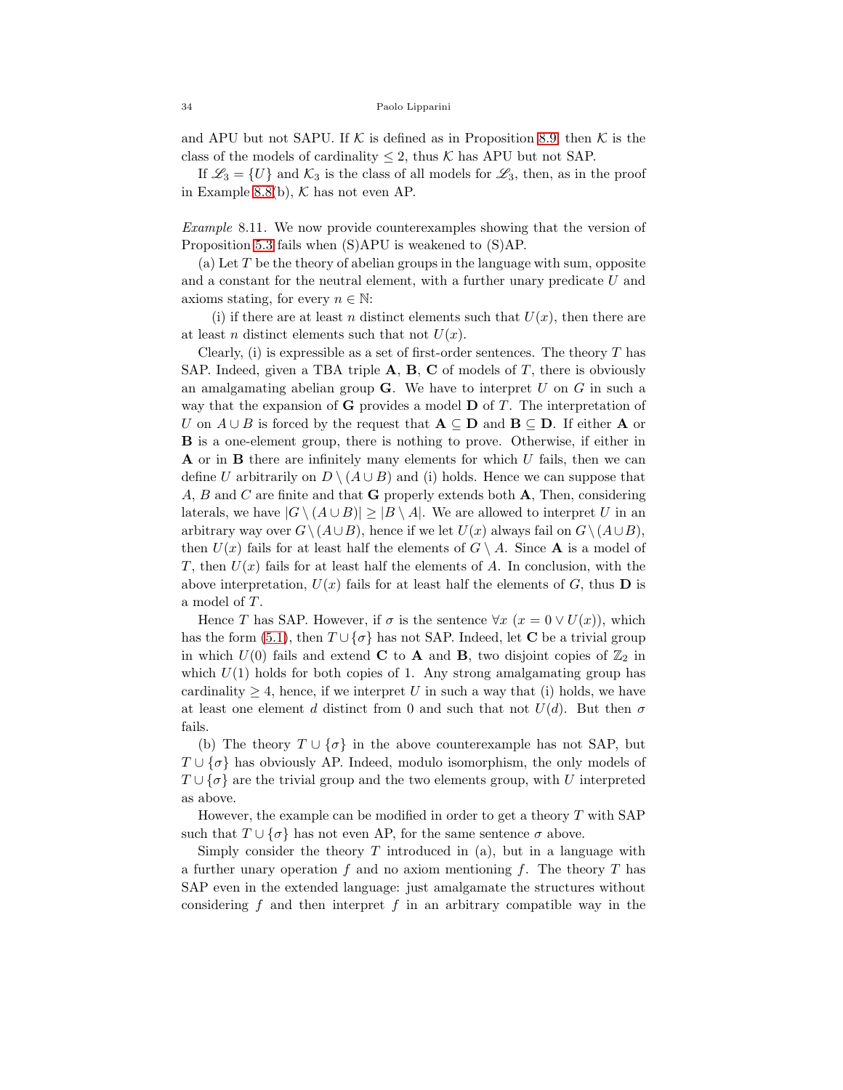and APU but not SAPU. If K is defined as in Proposition [8.9,](#page-32-2) then K is the class of the models of cardinality  $\leq 2$ , thus K has APU but not SAP.

If  $\mathscr{L}_3 = \{U\}$  and  $\mathcal{K}_3$  is the class of all models for  $\mathscr{L}_3$ , then, as in the proof in Example [8.8\(](#page-32-1)b),  $K$  has not even AP.

<span id="page-33-0"></span>*Example* 8.11*.* We now provide counterexamples showing that the version of Proposition [5.3](#page-15-0) fails when (S)APU is weakened to (S)AP.

(a) Let  $T$  be the theory of abelian groups in the language with sum, opposite and a constant for the neutral element, with a further unary predicate U and axioms stating, for every  $n \in \mathbb{N}$ :

(i) if there are at least n distinct elements such that  $U(x)$ , then there are at least *n* distinct elements such that not  $U(x)$ .

Clearly, (i) is expressible as a set of first-order sentences. The theory  $T$  has SAP. Indeed, given a TBA triple  $A$ ,  $B$ ,  $C$  of models of  $T$ , there is obviously an amalgamating abelian group  $\bf{G}$ . We have to interpret U on G in such a way that the expansion of **G** provides a model  $\bf{D}$  of  $T$ . The interpretation of U on  $A \cup B$  is forced by the request that  $A \subseteq D$  and  $B \subseteq D$ . If either A or B is a one-element group, there is nothing to prove. Otherwise, if either in **A** or in **B** there are infinitely many elements for which  $U$  fails, then we can define U arbitrarily on  $D \setminus (A \cup B)$  and (i) holds. Hence we can suppose that A, B and C are finite and that **G** properly extends both  $\bf{A}$ , Then, considering laterals, we have  $|G \setminus (A \cup B)| \geq |B \setminus A|$ . We are allowed to interpret U in an arbitrary way over  $G \setminus (A\cup B)$ , hence if we let  $U(x)$  always fail on  $G \setminus (A\cup B)$ , then  $U(x)$  fails for at least half the elements of  $G \setminus A$ . Since **A** is a model of T, then  $U(x)$  fails for at least half the elements of A. In conclusion, with the above interpretation,  $U(x)$  fails for at least half the elements of G, thus **D** is a model of T.

Hence T has SAP. However, if  $\sigma$  is the sentence  $\forall x \ (x = 0 \lor U(x))$ , which has the form [\(5.1\)](#page-15-1), then  $T \cup {\sigma}$  has not SAP. Indeed, let C be a trivial group in which  $U(0)$  fails and extend **C** to **A** and **B**, two disjoint copies of  $\mathbb{Z}_2$  in which  $U(1)$  holds for both copies of 1. Any strong amalgamating group has cardinality  $\geq 4$ , hence, if we interpret U in such a way that (i) holds, we have at least one element d distinct from 0 and such that not  $U(d)$ . But then  $\sigma$ fails.

(b) The theory  $T \cup {\lbrace \sigma \rbrace}$  in the above counterexample has not SAP, but  $T \cup {\sigma}$  has obviously AP. Indeed, modulo isomorphism, the only models of  $T \cup {\sigma}$  are the trivial group and the two elements group, with U interpreted as above.

However, the example can be modified in order to get a theory  $T$  with SAP such that  $T \cup {\sigma}$  has not even AP, for the same sentence  $\sigma$  above.

Simply consider the theory  $T$  introduced in (a), but in a language with a further unary operation  $f$  and no axiom mentioning  $f$ . The theory  $T$  has SAP even in the extended language: just amalgamate the structures without considering f and then interpret f in an arbitrary compatible way in the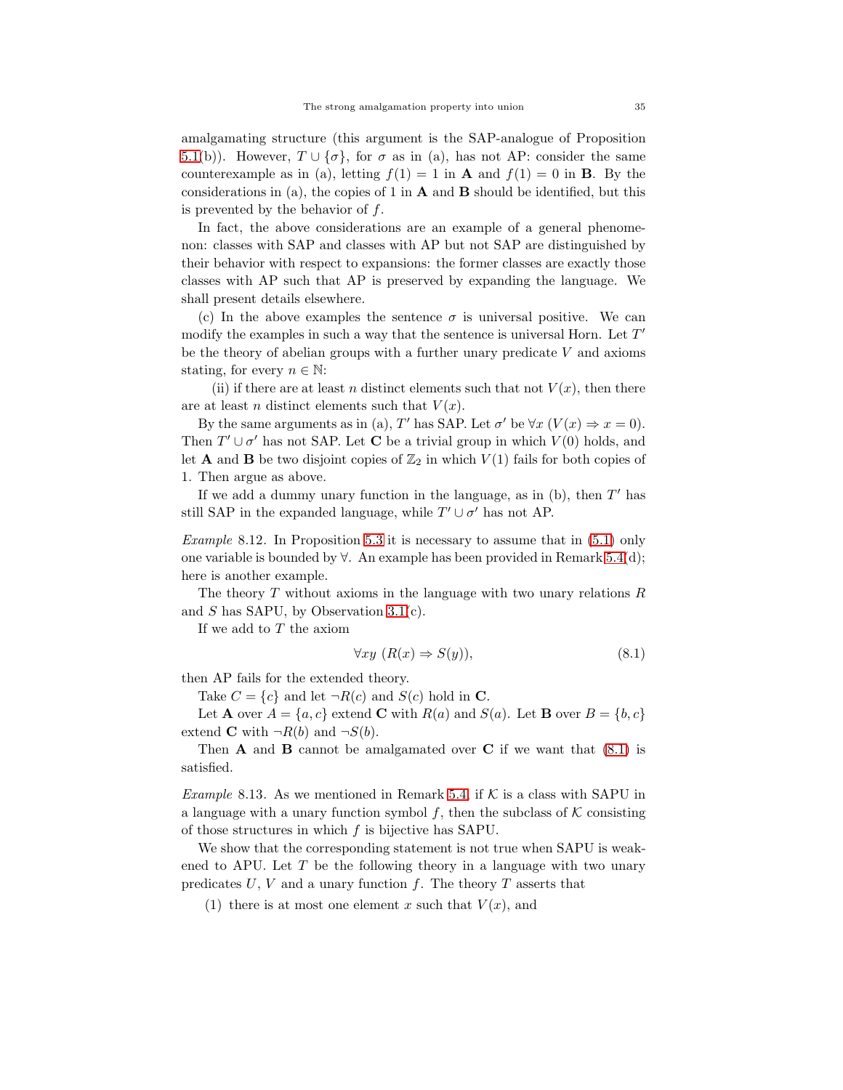amalgamating structure (this argument is the SAP-analogue of Proposition [5.1\(](#page-13-0)b)). However,  $T \cup {\sigma}$ , for  $\sigma$  as in (a), has not AP: consider the same counterexample as in (a), letting  $f(1) = 1$  in **A** and  $f(1) = 0$  in **B**. By the considerations in (a), the copies of 1 in  $\bf{A}$  and  $\bf{B}$  should be identified, but this is prevented by the behavior of  $f$ .

In fact, the above considerations are an example of a general phenomenon: classes with SAP and classes with AP but not SAP are distinguished by their behavior with respect to expansions: the former classes are exactly those classes with AP such that AP is preserved by expanding the language. We shall present details elsewhere.

(c) In the above examples the sentence  $\sigma$  is universal positive. We can modify the examples in such a way that the sentence is universal Horn. Let  $T'$ be the theory of abelian groups with a further unary predicate  $V$  and axioms stating, for every  $n \in \mathbb{N}$ :

(ii) if there are at least n distinct elements such that not  $V(x)$ , then there are at least n distinct elements such that  $V(x)$ .

By the same arguments as in (a), T' has SAP. Let  $\sigma'$  be  $\forall x (V(x) \Rightarrow x = 0)$ . Then  $T' \cup \sigma'$  has not SAP. Let **C** be a trivial group in which  $V(0)$  holds, and let **A** and **B** be two disjoint copies of  $\mathbb{Z}_2$  in which  $V(1)$  fails for both copies of 1. Then argue as above.

If we add a dummy unary function in the language, as in  $(b)$ , then  $T'$  has still SAP in the expanded language, while  $T' \cup \sigma'$  has not AP.

<span id="page-34-0"></span>*Example* 8.12*.* In Proposition [5.3](#page-15-0) it is necessary to assume that in [\(5.1\)](#page-15-1) only one variable is bounded by ∀. An example has been provided in Remark [5.4\(](#page-15-2)d); here is another example.

The theory  $T$  without axioms in the language with two unary relations  $R$ and  $S$  has SAPU, by Observation [3.1\(](#page-4-1)c).

If we add to T the axiom

<span id="page-34-2"></span>
$$
\forall xy \ (R(x) \Rightarrow S(y)), \tag{8.1}
$$

then AP fails for the extended theory.

Take  $C = \{c\}$  and let  $\neg R(c)$  and  $S(c)$  hold in C.

Let **A** over  $A = \{a, c\}$  extend **C** with  $R(a)$  and  $S(a)$ . Let **B** over  $B = \{b, c\}$ extend **C** with  $\neg R(b)$  and  $\neg S(b)$ .

Then **A** and **B** cannot be amalgamated over **C** if we want that  $(8.1)$  is satisfied.

<span id="page-34-1"></span>*Example* 8.13. As we mentioned in Remark [5.4,](#page-15-2) if  $K$  is a class with SAPU in a language with a unary function symbol f, then the subclass of  $K$  consisting of those structures in which  $f$  is bijective has SAPU.

We show that the corresponding statement is not true when SAPU is weakened to APU. Let  $T$  be the following theory in a language with two unary predicates  $U, V$  and a unary function  $f$ . The theory  $T$  asserts that

(1) there is at most one element x such that  $V(x)$ , and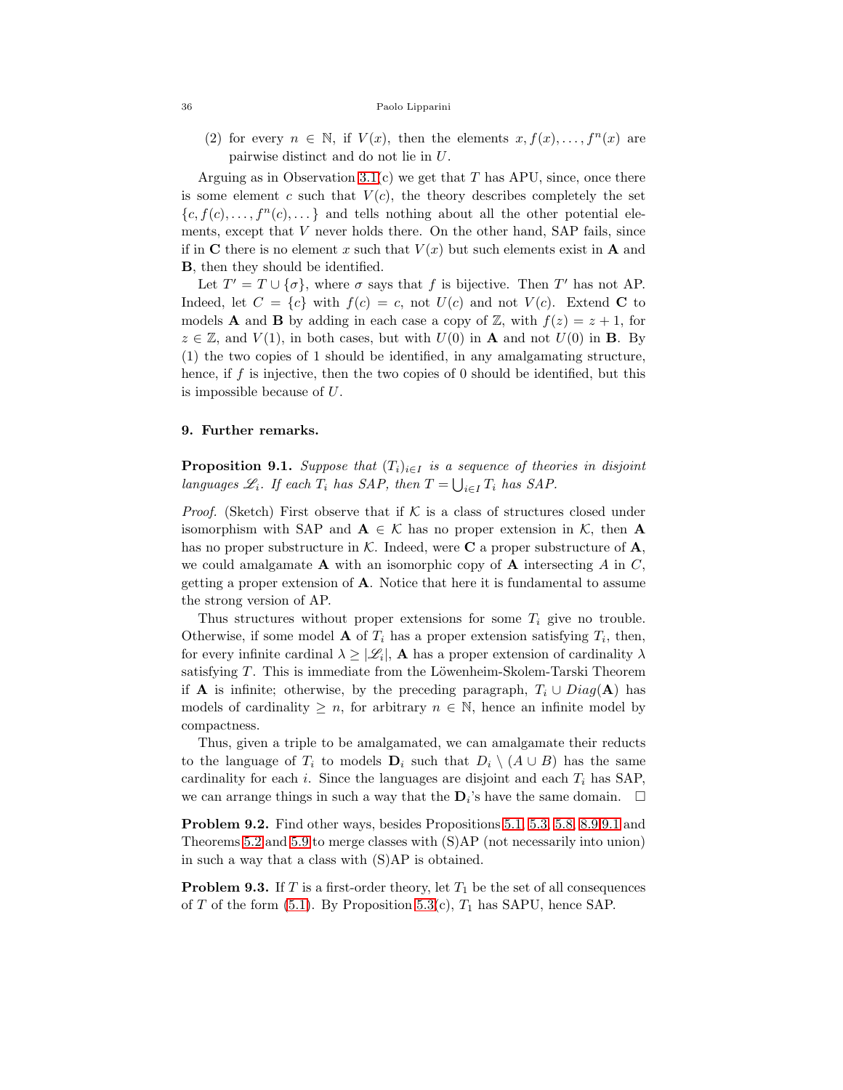(2) for every  $n \in \mathbb{N}$ , if  $V(x)$ , then the elements  $x, f(x), \ldots, f^{n}(x)$  are pairwise distinct and do not lie in U.

Arguing as in Observation [3.1\(](#page-4-1)c) we get that T has APU, since, once there is some element c such that  $V(c)$ , the theory describes completely the set  ${c, f(c), \ldots, f^{n}(c), \ldots}$  and tells nothing about all the other potential elements, except that  $V$  never holds there. On the other hand, SAP fails, since if in C there is no element x such that  $V(x)$  but such elements exist in A and B, then they should be identified.

Let  $T' = T \cup \{\sigma\}$ , where  $\sigma$  says that f is bijective. Then T' has not AP. Indeed, let  $C = \{c\}$  with  $f(c) = c$ , not  $U(c)$  and not  $V(c)$ . Extend C to models **A** and **B** by adding in each case a copy of Z, with  $f(z) = z + 1$ , for  $z \in \mathbb{Z}$ , and  $V(1)$ , in both cases, but with  $U(0)$  in **A** and not  $U(0)$  in **B**. By (1) the two copies of 1 should be identified, in any amalgamating structure, hence, if f is injective, then the two copies of 0 should be identified, but this is impossible because of U.

### 9. Further remarks.

<span id="page-35-0"></span>**Proposition 9.1.** *Suppose that*  $(T_i)_{i \in I}$  *is a sequence of theories in disjoint languages*  $\mathscr{L}_i$ *. If each*  $T_i$  *has SAP, then*  $T = \bigcup_{i \in I} T_i$  *has SAP.* 

*Proof.* (Sketch) First observe that if  $K$  is a class of structures closed under isomorphism with SAP and  $A \in \mathcal{K}$  has no proper extension in  $\mathcal{K}$ , then A has no proper substructure in  $K$ . Indeed, were **C** a proper substructure of **A**, we could amalgamate  $A$  with an isomorphic copy of  $A$  intersecting  $A$  in  $C$ , getting a proper extension of A. Notice that here it is fundamental to assume the strong version of AP.

Thus structures without proper extensions for some  $T_i$  give no trouble. Otherwise, if some model **A** of  $T_i$  has a proper extension satisfying  $T_i$ , then, for every infinite cardinal  $\lambda \geq |\mathcal{L}_i|$ , **A** has a proper extension of cardinality  $\lambda$ satisfying  $T$ . This is immediate from the Löwenheim-Skolem-Tarski Theorem if **A** is infinite; otherwise, by the preceding paragraph,  $T_i \cup Diag(\mathbf{A})$  has models of cardinality  $\geq n$ , for arbitrary  $n \in \mathbb{N}$ , hence an infinite model by compactness.

Thus, given a triple to be amalgamated, we can amalgamate their reducts to the language of  $T_i$  to models  $\mathbf{D}_i$  such that  $D_i \setminus (A \cup B)$  has the same cardinality for each i. Since the languages are disjoint and each  $T_i$  has SAP, we can arrange things in such a way that the  $\mathbf{D}_i$ 's have the same domain.  $\Box$ 

Problem 9.2. Find other ways, besides Propositions [5.1,](#page-13-0) [5.3,](#page-15-0) [5.8,](#page-17-0) [8.9](#page-32-2) [9.1](#page-35-0) and Theorems 5.2 and [5.9](#page-18-0) to merge classes with (S)AP (not necessarily into union) in such a way that a class with (S)AP is obtained.

**Problem 9.3.** If T is a first-order theory, let  $T_1$  be the set of all consequences of T of the form  $(5.1)$ . By Proposition  $5.3(c)$ ,  $T_1$  has SAPU, hence SAP.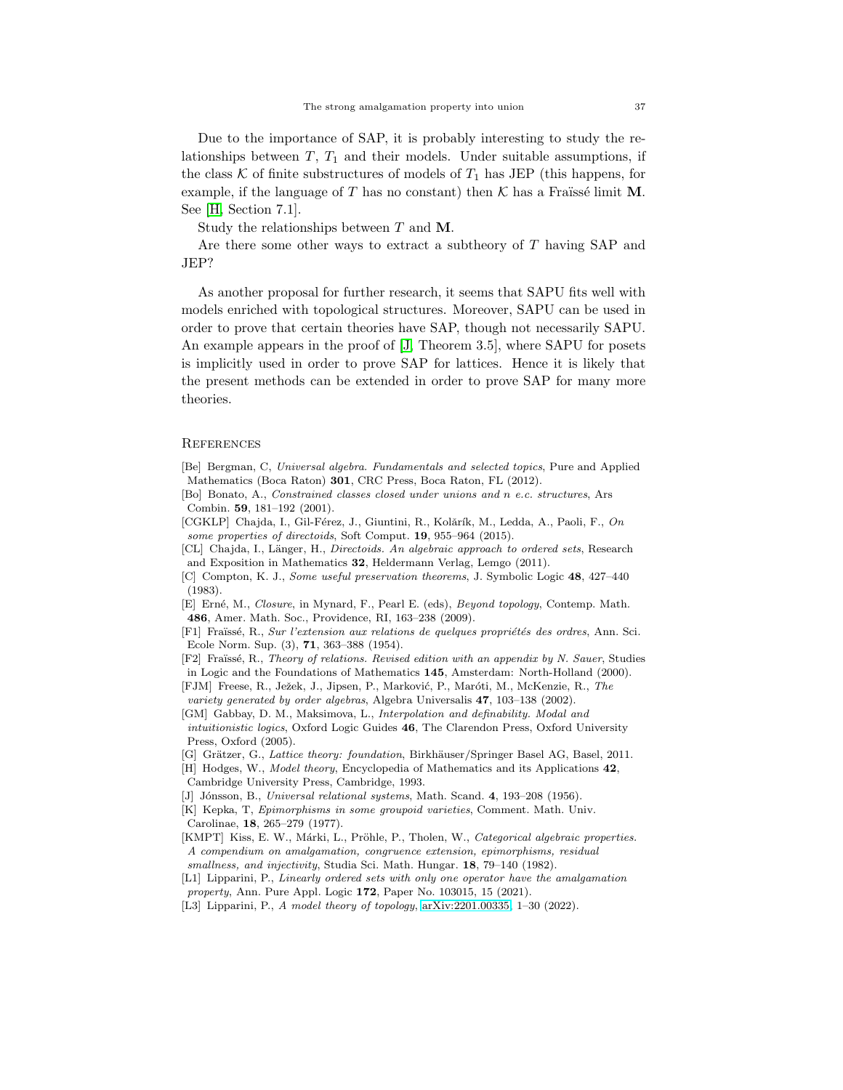Due to the importance of SAP, it is probably interesting to study the relationships between  $T$ ,  $T_1$  and their models. Under suitable assumptions, if the class K of finite substructures of models of  $T_1$  has JEP (this happens, for example, if the language of T has no constant) then K has a Fraüssé limit M. See [\[H,](#page-36-0) Section 7.1].

Study the relationships between T and M.

Are there some other ways to extract a subtheory of T having SAP and JEP?

As another proposal for further research, it seems that SAPU fits well with models enriched with topological structures. Moreover, SAPU can be used in order to prove that certain theories have SAP, though not necessarily SAPU. An example appears in the proof of [\[J,](#page-36-3) Theorem 3.5], where SAPU for posets is implicitly used in order to prove SAP for lattices. Hence it is likely that the present methods can be extended in order to prove SAP for many more theories.

#### **REFERENCES**

<span id="page-36-13"></span>[Be] Bergman, C, *Universal algebra. Fundamentals and selected topics*, Pure and Applied Mathematics (Boca Raton) 301, CRC Press, Boca Raton, FL (2012).

<span id="page-36-5"></span>[Bo] Bonato, A., *Constrained classes closed under unions and* n *e.c. structures*, Ars Combin. 59, 181–192 (2001).

<span id="page-36-15"></span>[CGKLP] Chajda, I., Gil-Férez, J., Giuntini, R., Kolărík, M., Ledda, A., Paoli, F., On *some properties of directoids*, Soft Comput. 19, 955–964 (2015).

<span id="page-36-14"></span>[CL] Chajda, I., L¨anger, H., *Directoids. An algebraic approach to ordered sets*, Research and Exposition in Mathematics 32, Heldermann Verlag, Lemgo (2011).

<span id="page-36-11"></span>[C] Compton, K. J., *Some useful preservation theorems*, J. Symbolic Logic 48, 427–440 (1983).

<span id="page-36-10"></span>[E] Ern´e, M., *Closure*, in Mynard, F., Pearl E. (eds), *Beyond topology*, Contemp. Math. 486, Amer. Math. Soc., Providence, RI, 163–238 (2009).

<span id="page-36-7"></span>[F1] Fra¨ıss´e, R., *Sur l'extension aux relations de quelques propri´et´es des ordres*, Ann. Sci. Ecole Norm. Sup. (3), 71, 363–388 (1954).

<span id="page-36-6"></span>[F2] Fra¨ıss´e, R., *Theory of relations. Revised edition with an appendix by N. Sauer*, Studies in Logic and the Foundations of Mathematics 145, Amsterdam: North-Holland (2000).

- <span id="page-36-16"></span>[FJM] Freese, R., Ježek, J., Jipsen, P., Marković, P., Maróti, M., McKenzie, R., The *variety generated by order algebras*, Algebra Universalis 47, 103–138 (2002).
- <span id="page-36-1"></span>[GM] Gabbay, D. M., Maksimova, L., *Interpolation and definability. Modal and intuitionistic logics*, Oxford Logic Guides 46, The Clarendon Press, Oxford University Press, Oxford (2005).
- <span id="page-36-2"></span>[G] Grätzer, G., *Lattice theory: foundation*, Birkhäuser/Springer Basel AG, Basel, 2011.
- <span id="page-36-0"></span>[H] Hodges, W., *Model theory*, Encyclopedia of Mathematics and its Applications 42, Cambridge University Press, Cambridge, 1993.
- <span id="page-36-3"></span>[J] J´onsson, B., *Universal relational systems*, Math. Scand. 4, 193–208 (1956).
- <span id="page-36-12"></span>[K] Kepka, T, *Epimorphisms in some groupoid varieties*, Comment. Math. Univ. Carolinae, 18, 265–279 (1977).
- <span id="page-36-4"></span>[KMPT] Kiss, E. W., Márki, L., Pröhle, P., Tholen, W., *Categorical algebraic properties. A compendium on amalgamation, congruence extension, epimorphisms, residual smallness, and injectivity*, Studia Sci. Math. Hungar. 18, 79–140 (1982).

<span id="page-36-8"></span>[L1] Lipparini, P., *Linearly ordered sets with only one operator have the amalgamation property*, Ann. Pure Appl. Logic 172, Paper No. 103015, 15 (2021).

<span id="page-36-9"></span>[L3] Lipparini, P., *A model theory of topology*, [arXiv:2201.00335,](http://arxiv.org/abs/2201.00335) 1–30 (2022).